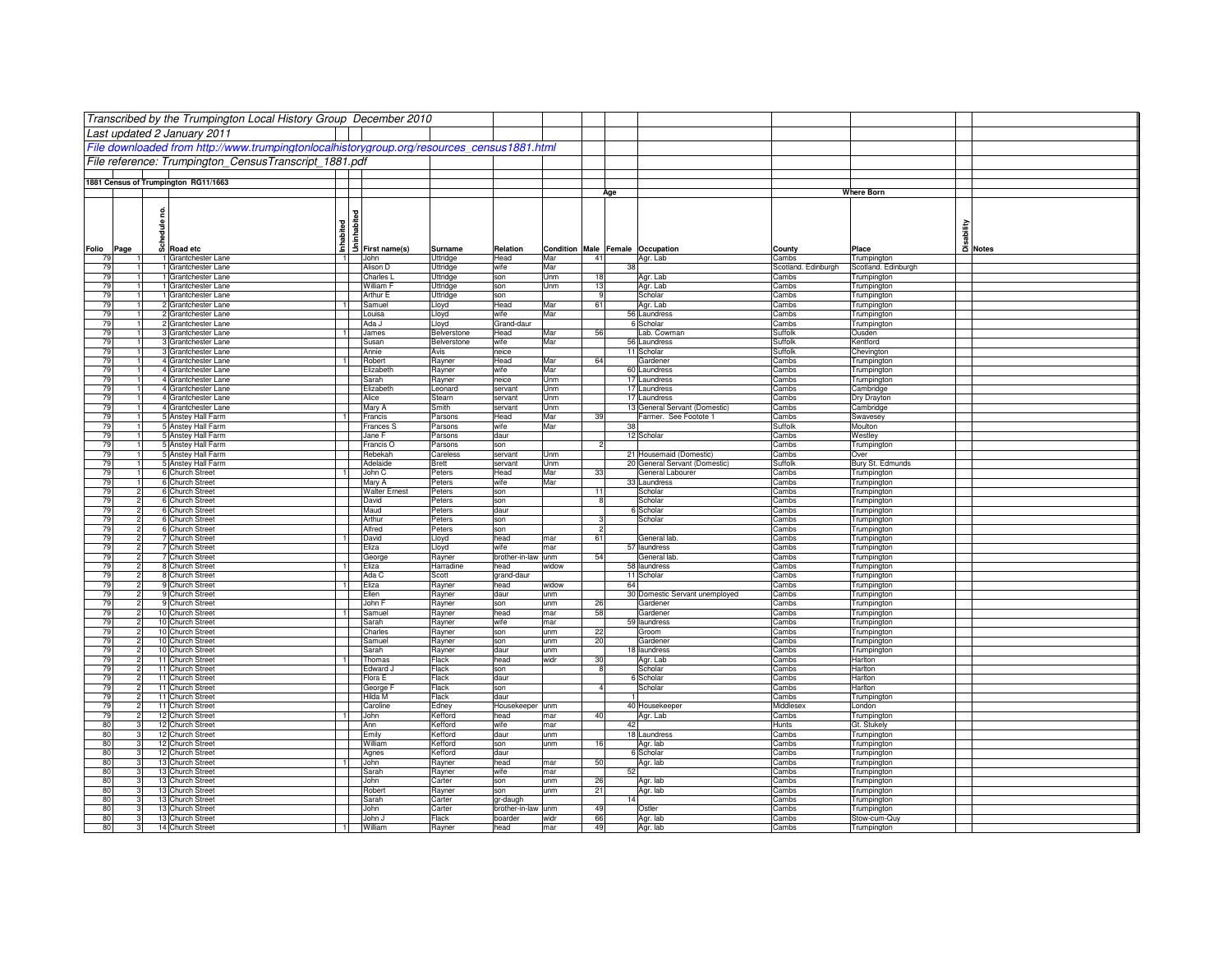|            |       | Transcribed by the Trumpington Local History Group December 2010                           |                |                      |                          |                            |            |                                  |                                                          |                       |                                          |                                     |
|------------|-------|--------------------------------------------------------------------------------------------|----------------|----------------------|--------------------------|----------------------------|------------|----------------------------------|----------------------------------------------------------|-----------------------|------------------------------------------|-------------------------------------|
|            |       |                                                                                            |                |                      |                          |                            |            |                                  |                                                          |                       |                                          |                                     |
|            |       | Last updated 2 January 2011                                                                |                |                      |                          |                            |            |                                  |                                                          |                       |                                          |                                     |
|            |       | File downloaded from http://www.trumpingtonlocalhistorygroup.org/resources census1881.html |                |                      |                          |                            |            |                                  |                                                          |                       |                                          |                                     |
|            |       | File reference: Trumpington CensusTranscript 1881.pdf                                      |                |                      |                          |                            |            |                                  |                                                          |                       |                                          |                                     |
|            |       |                                                                                            |                |                      |                          |                            |            |                                  |                                                          |                       |                                          |                                     |
|            |       | 1881 Census of Trumpington RG11/1663                                                       |                |                      |                          |                            |            |                                  |                                                          |                       | <b>Where Born</b>                        |                                     |
|            |       |                                                                                            |                |                      |                          |                            |            | Age                              |                                                          |                       |                                          |                                     |
|            | 2     |                                                                                            |                |                      |                          |                            |            |                                  |                                                          |                       |                                          |                                     |
|            |       |                                                                                            | inhabited      |                      |                          |                            |            |                                  |                                                          |                       |                                          |                                     |
|            | edule |                                                                                            | Inhabited      |                      |                          |                            |            |                                  |                                                          |                       |                                          | Disability<br>Disability<br>Dinotes |
| Folio      | ន្លី  | Road etc                                                                                   |                | First name(s)        | Surname                  | Relation                   |            | Condition Male Female Occupation |                                                          | County                |                                          |                                     |
| Page<br>79 |       | 1 Grantchester Lane                                                                        |                | John                 | Uttridge                 | Head                       | Mar        | 41                               | Agr. Lab                                                 | Cambs                 | Place<br>Trumpington                     |                                     |
| 79         |       | 1 Grantchester Lane                                                                        |                | Alison D             | Uttridge                 | wife                       | Mar        | 38                               |                                                          | Scotland. Edinburgh   | Scotland. Edinburgh                      |                                     |
| 79         |       | 1 Grantchester Lane                                                                        |                | Charles I            | Uttridge                 | son                        | Unm        | 18                               | Agr. Lab                                                 | Cambs                 | Trumpington                              |                                     |
| 79         |       | 1 Grantchester Lane                                                                        |                | William F            | Uttridge                 | son                        | Unm        | 13<br>٦g                         | Agr. Lab                                                 | Cambs                 | Trumpington                              |                                     |
| 79<br>79   |       | 1 Grantchester Lane<br>2 Grantchester Lane                                                 | $\overline{1}$ | Arthur E<br>Samuel   | Uttridge<br>Lloyd        | son<br>Head                | Mar        | 61                               | Scholar<br>Agr. Lab                                      | Cambs<br>Cambs        | Trumpington<br>Trumpington               |                                     |
| 79         |       | 2 Grantchester Lane                                                                        |                | Louisa               | Lloyd                    | wife                       | Mar        |                                  | 56 Laundress                                             | Cambs                 | Trumpington                              |                                     |
| 79         |       | 2 Grantchester Lane                                                                        |                | Ada J                | Lloyd                    | Grand-daur                 |            |                                  | 6 Scholar                                                | Cambs                 | <b>Trumpington</b>                       |                                     |
| 79         |       | 3 Grantchester Lane                                                                        | $\overline{1}$ | James                | Belverstone              | Head                       | Mar        | 56                               | Lab. Cowman                                              | Suffolk               | Ousden                                   |                                     |
| 79<br>79   |       | 3 Grantchester Lane<br>3 Grantchester Lane                                                 |                | Susan                | Belverstone              | wife                       | Mar        |                                  | 56 Laundress<br>11 Scholar                               | Suffolk<br>Suffolk    | Kentford                                 |                                     |
| 79         |       | 4 Grantchester Lane                                                                        |                | Annie<br>Robert      | Avis<br>Rayner           | neice<br>Head              | Mar        | 64                               | Gardener                                                 | Cambs                 | Chevington<br><b>Trumpington</b>         |                                     |
| 79         |       | 4 Grantchester Lane                                                                        |                | Elizabeth            | Rayner                   | wife                       | Mar        |                                  | 60 Laundress                                             | Cambs                 | Trumpington                              |                                     |
| 79         |       | 4 Grantchester Lane                                                                        |                | Sarah                | Rayner                   | neice                      | Unm        |                                  | 17 Laundress                                             | Cambs                 | <b>Trumpington</b>                       |                                     |
| 79         |       | 4 Grantchester Lane                                                                        |                | Elizabeth            | Leonard                  | servant                    | Jnm        |                                  | 17 Laundress                                             | Cambs                 | Cambridge                                |                                     |
| 79<br>79   |       | 4 Grantchester Lane<br>4 Grantchester Lane                                                 |                | Alice<br>Mary A      | Stearn<br>Smith          | servant<br>servant         | Unm<br>Unm |                                  | 17 Laundress<br>13 General Servant (Domestic)            | Cambs<br>Cambs        | Dry Drayton<br>Cambridge                 |                                     |
| 79         |       | 5 Anstey Hall Farm                                                                         |                | Francis              | Parsons                  | Head                       | Mar        | 39                               | Farmer. See Footote 1                                    | Cambs                 | Swavesey                                 |                                     |
| 79         |       | 5 Anstey Hall Farm                                                                         |                | <b>Frances S</b>     | Parsons                  | wife                       | Mar        | 38                               |                                                          | Suffolk               | Moulton                                  |                                     |
| 79         |       | 5 Anstey Hall Farm                                                                         |                | Jane F               | Parsons                  | daur                       |            |                                  | 12 Scholar                                               | Cambs                 | Westley                                  |                                     |
| 79         |       | 5 Anstey Hall Farm                                                                         |                | Francis O            | Parsons                  | son                        |            | $\overline{2}$                   |                                                          | Cambs                 | Trumpington                              |                                     |
| 79<br>79   |       | 5 Anstey Hall Farm<br>5 Anstey Hall Farm                                                   |                | Rebekah<br>Adelaide  | Careless<br><b>Brett</b> | servant<br>servant         | Unm<br>Unm |                                  | 21 Housemaid (Domestic)<br>20 General Servant (Domestic) | Cambs<br>Suffolk      | Over<br>Bury St. Edmunds                 |                                     |
| 79         |       | 6 Church Street                                                                            |                | John C               | Peters                   | Head                       | Mar        | 33                               | General Labourer                                         | Cambs                 | Trumpington                              |                                     |
| 79         |       | 6 Church Street                                                                            |                | Mary A               | Peters                   | wife                       | Mar        |                                  | 33 Laundress                                             | Cambs                 | Trumpington                              |                                     |
| 79         |       | 6 Church Street                                                                            |                | <b>Walter Ernest</b> | Peters                   | son                        |            | 11                               | Scholar                                                  | Cambs                 | <b>Trumpington</b>                       |                                     |
| 79<br>79   |       | 6 Church Street<br>6 Church Street                                                         |                | David<br>Maud        | Peters<br>Peters         | son<br>daur                |            | 8                                | Scholar<br>6 Scholar                                     | Cambs<br>Cambs        | Trumpington                              |                                     |
| 79         |       | 6 Church Street                                                                            |                | Arthur               | Peters                   | son                        |            |                                  | Scholar                                                  | Cambs                 | <b>Trumpington</b><br><b>Trumpington</b> |                                     |
| 79         |       | 6 Church Street                                                                            |                | Alfred               | Peters                   | son                        |            | 2                                |                                                          | Cambs                 | <b>Trumpington</b>                       |                                     |
| 79         |       | 7 Church Street                                                                            |                | David                | Lloyd                    | head                       | mar        | 61                               | General lab.                                             | Cambs                 | <b>Trumpington</b>                       |                                     |
| 79         |       | 7 Church Street                                                                            |                | Eliza                | Lloyd                    | wife                       | mar        |                                  | 57 laundress                                             | Cambs                 | <b>Trumpington</b>                       |                                     |
| 79<br>79   |       | 7 Church Street<br>8 Church Street                                                         |                | George<br>Eliza      | Rayner<br>Harradine      | brother-in-law unm<br>head | widow      | 54                               | General lab<br>58 laundress                              | Cambs<br>Cambs        | <b>Trumpington</b><br>Trumpington        |                                     |
| 79         |       | 8 Church Street                                                                            |                | Ada C                | Scott                    | grand-daur                 |            |                                  | 11 Scholar                                               | Cambs                 | Trumpington                              |                                     |
| 79         |       | 9 Church Street                                                                            | - 1            | Eliza                | Rayner                   | head                       | widow      | 64                               |                                                          | Cambs                 | Trumpington                              |                                     |
| 79         |       | 9 Church Street                                                                            |                | Ellen                | Rayner                   | daur                       | unm        |                                  | 30 Domestic Servant unemployed                           | Cambs                 | Trumpington                              |                                     |
| 79<br>79   |       | 9 Church Street<br>10 Church Street                                                        |                | John F               | Rayner                   | son<br>head                | unm        | 26<br>58                         | Gardener<br>Gardener                                     | Cambs<br>Cambs        | Trumpington                              |                                     |
| 79         |       | 10 Church Street                                                                           |                | Samuel<br>Sarah      | Rayner<br>Rayner         | wife                       | mar<br>mar |                                  | 59 laundress                                             | Cambs                 | <b>Trumpington</b><br><b>Trumpington</b> |                                     |
| 79         |       | 10 Church Street                                                                           |                | Charles              | Rayner                   | son                        | unm        | 22                               | Groom                                                    | Cambs                 | <b>Trumpington</b>                       |                                     |
| 79         |       | 10 Church Street                                                                           |                | Samuel               | Rayner                   | son                        | unm        | 20                               | Gardener                                                 | Cambs                 | Trumpington                              |                                     |
| 79         |       | 10 Church Street                                                                           |                | Sarah                | Rayner                   | daur                       | unm        |                                  | 18 laundress                                             | Cambs                 | Trumpington                              |                                     |
| 79<br>79   |       | 11 Church Street<br>11 Church Street                                                       |                | Thomas<br>Edward J   | Flack<br>Flack           | head<br>son                | widr       | 30<br>-8                         | Agr. Lab<br>Scholar                                      | Cambs<br>Cambs        | Harlton<br>Harlton                       |                                     |
| 79         |       | 11 Church Street                                                                           |                | Flora E              | Flack                    | daur                       |            |                                  | 6 Scholar                                                | Cambs                 | Harlton                                  |                                     |
| 79         |       | 11 Church Street                                                                           |                | George F             | Flack                    | son                        |            |                                  | Scholar                                                  | Cambs                 | Harlton                                  |                                     |
| 79         |       | 11 Church Street                                                                           |                | Hilda M              | Flack                    | daur                       |            |                                  |                                                          | Cambs                 | <b>Trumpington</b>                       |                                     |
| 79         |       | 11 Church Street                                                                           |                | Caroline             | Edney                    | Housekeeper                | unm        |                                  | 40 Housekeepe                                            | Middlesex             | London                                   |                                     |
| 79<br>80   |       | 12 Church Street<br>12 Church Street                                                       | $\overline{1}$ | John<br>Ann          | Kefford<br>Kefford       | head<br>wife               | mar<br>mar | 40<br>42                         | Agr. Lab                                                 | Cambs<br><b>Hunts</b> | Trumpington<br>Gt. Stukely               |                                     |
| 80         |       | 12 Church Street                                                                           |                | Emily                | Kefford                  | daur                       | unm        |                                  | 18 Laundress                                             | Cambs                 | Trumpington                              |                                     |
| 80         |       | 12 Church Street                                                                           |                | William              | Kefford                  | son                        | unm        | 16                               | Agr. lab                                                 | Cambs                 | Trumpington                              |                                     |
| 80         |       | 12 Church Street                                                                           |                | Agnes                | Kefford                  | daur                       |            |                                  | 6 Scholar                                                | Cambs                 | Trumpington                              |                                     |
| 80         |       | 13 Church Street                                                                           | $\overline{1}$ | John                 | Rayner                   | head                       | mar        | 50                               | Agr. lab                                                 | Cambs                 | Trumpington                              |                                     |
| 80<br>80   |       | 13 Church Street<br>13 Church Street                                                       |                | Sarah<br>John        | Rayner<br>Carter         | wife<br>son                | mar<br>unm | 52<br>26                         | Agr. lab                                                 | Cambs<br>Cambs        | <b>Trumpington</b><br>Trumpington        |                                     |
| 80         |       | 13 Church Street                                                                           |                | Robert               | Rayner                   | son                        | unm        | 21                               | Agr. lab                                                 | Cambs                 | <b>Trumpington</b>                       |                                     |
| 80         |       | 13 Church Street                                                                           |                | Sarah                | Carter                   | gr-daugh                   |            |                                  |                                                          | Cambs                 | <b>Trumpington</b>                       |                                     |
| 80         |       | 13 Church Street                                                                           |                | John                 | Carter                   | brother-in-law unm         |            | 49                               | Ostler                                                   | Cambs                 | <b>Trumpington</b>                       |                                     |
| 80         |       | 13 Church Street                                                                           |                | John J               | Flack                    | boarder                    | widr       | 66                               | Agr. lab                                                 | Cambs                 | Stow-cum-Quy                             |                                     |
| 80         |       | 14 Church Street                                                                           | -1             | William              | Rayner                   | head                       | mar        | 49                               | Agr. lab                                                 | Cambs                 | <b>Trumpinaton</b>                       |                                     |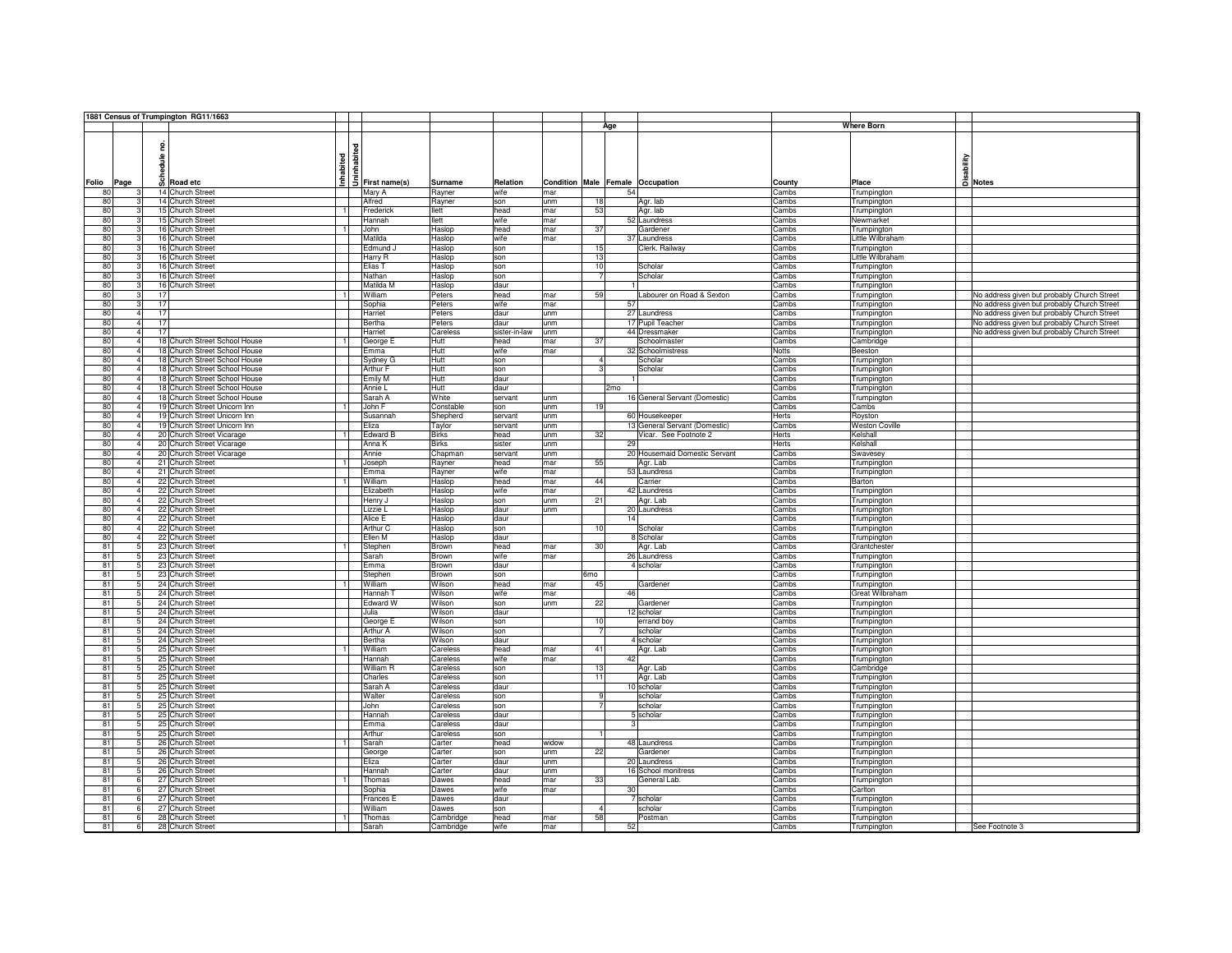|                |                      | 1881 Census of Trumpington RG11/1663 |                           |                      |                       |                       |             |                        |                                     |                |                                   |                                             |
|----------------|----------------------|--------------------------------------|---------------------------|----------------------|-----------------------|-----------------------|-------------|------------------------|-------------------------------------|----------------|-----------------------------------|---------------------------------------------|
|                |                      |                                      |                           |                      |                       |                       |             | Age                    |                                     |                | <b>Where Born</b>                 |                                             |
|                |                      | 읃<br>sdule                           | ত<br>Inhabited<br>Jninhab |                      |                       |                       |             |                        |                                     |                |                                   | Millity<br>Disability<br>Di Notes           |
|                |                      |                                      |                           |                      |                       |                       |             |                        |                                     |                |                                   |                                             |
| Folio          | Page                 | $\overline{S}$ Road etc              |                           | First name(s)        | Surname               | Relation              | Condition   | Male Female Occupation |                                     | County         | Place                             |                                             |
| 80             |                      | 14 Church Street                     |                           | Mary A               | Rayner                | wife                  | mar         | 54                     |                                     | Cambs          | Trumpington                       |                                             |
| 80<br>80       | R                    | 14 Church Street                     | $\overline{1}$            | Alfred               | Rayner                | son                   | unm         | 18<br>53               | Agr. lab<br>Agr. lab                | Cambs          | Trumpington                       |                                             |
| 80             | 3                    | 15 Church Street<br>15 Church Street |                           | Frederick<br>Hannah  | <b>Ilett</b><br>llett | head<br>wife          | mar<br>mar  |                        | 52 Laundress                        | Cambs<br>Cambs | Trumpington<br>Newmarket          |                                             |
| 80             | $\mathbf{R}$         | 16 Church Street                     | $\overline{1}$            | John                 | Haslop                | head                  | mar         | 37                     | Gardener                            | Cambs          | Trumpington                       |                                             |
| 80             | 3                    | 16 Church Street                     |                           | Matilda              | Haslop                | wife                  | mar         |                        | 37 Laundress                        | Cambs          | ittle Wilbraham                   |                                             |
| 80             |                      | 16 Church Street                     |                           | Edmund.              | Haslop                | son                   |             | 15                     | Clerk. Railway                      | Cambs          | Trumpington                       |                                             |
| 80             | 31                   | 16 Church Street                     |                           | Harry R              | Haslop                | son                   |             | 13                     |                                     | Cambs          | Little Wilbraham                  |                                             |
| 80             | 31                   | 16 Church Street                     |                           | Elias T              | Haslop                | son                   |             | 10                     | Scholar                             | Cambs          | Trumpington                       |                                             |
| 80             |                      | 16 Church Street                     |                           | Nathan               | Haslop                | son                   |             | -7                     | Scholar                             | Cambs          | <b>Trumpington</b>                |                                             |
| 80             | 3                    | 16 Church Street                     |                           | Matilda M            | Haslop                | daur                  |             |                        |                                     | Cambs          | <b>Trumpington</b>                |                                             |
| 80             | 3                    | 17                                   | $\overline{1}$            | William              | Peters                | head                  | mar         | 59                     | Labourer on Road & Sexton           | Cambs          | <b>Trumpington</b>                | No address given but probably Church Street |
| 80             |                      | 17                                   |                           | Sophia               | Peters                | wife                  | mar         | 57                     |                                     | Cambs          | <b>Trumpington</b>                | No address given but probably Church Street |
| 80             | $\overline{4}$       | 17                                   |                           | Harriet              | Peters                | daur                  | unm         |                        | 27 Laundress                        | Cambs          | Trumpington                       | No address given but probably Church Street |
| 80<br>80       | 4 <sup>1</sup>       | 17                                   |                           | Bertha               | Peters                | daur                  | unm         |                        | 17 Pupil Teacher                    | Cambs          | Trumpington                       | No address given but probably Church Street |
| 80             | $\overline{4}$<br>4  | 17<br>18 Church Street School House  | $\overline{1}$            | Harriet              | Careless<br>Hutt      | sister-in-law<br>head | unm<br>mar  | 37                     | 44 Dressmaker<br>Schoolmaster       | Cambs<br>Cambs | Trumpington<br>Cambridge          | No address given but probably Church Street |
| 80             | 4                    | 18 Church Street School House        |                           | George E<br>Emma     | Hutt                  | wife                  | mar         |                        | 32 Schoolmistress                   | Notts          | Beeston                           |                                             |
| 80             | 4                    | 18 Church Street School House        |                           | Sydney G             | Hutt                  | son                   |             | $\Lambda$              | Scholar                             | Cambs          | Trumpington                       |                                             |
| 80             | $\Delta$             | 18 Church Street School House        |                           | Arthur F             | Hutt                  | son                   |             | 3                      | Scholar                             | Cambs          | Trumpington                       |                                             |
| 80             | $\overline{4}$       | 18 Church Street School House        |                           | Emily M              | <b>Hutt</b>           | daur                  |             |                        |                                     | Cambs          | Trumpington                       |                                             |
| 80             | 4                    | 18 Church Street School House        |                           | Annie L              | Hutt                  | daur                  |             | 2 <sub>mo</sub>        |                                     | Cambs          | Trumpington                       |                                             |
| 80             | 4                    | 18 Church Street School House        |                           | Sarah A              | White                 | servant               | unm         |                        | 16 General Servant (Domestic)       | Cambs          | <b>Frumpington</b>                |                                             |
| 80             | 4                    | 19 Church Street Unicorn Inn         | $\overline{1}$            | John F               | Constable             | son                   | unm         | 19                     |                                     | Cambs          | Cambs                             |                                             |
| 80             | $\Lambda$            | 19 Church Street Unicorn Inn         |                           | Susannah             | Shepherd              | servant               | unm         |                        | 60 Housekeeper                      | Herts          | Royston                           |                                             |
| 80             | 4                    | 19 Church Street Unicorn Inn         |                           | Eliza                | Taylor                | servant               | unm         |                        | 13 General Servant (Domestic)       | Cambs          | <b>Weston Coville</b>             |                                             |
| 80             | 4 <sup>1</sup>       | 20 Church Street Vicarage            | $\overline{1}$            | Edward B             | <b>Birks</b>          | head                  | unm         | 32                     | Vicar. See Footnote 2               | Herts          | Kelshall                          |                                             |
| 80             | $\overline{a}$       | 20 Church Street Vicarage            |                           | Anna K               | <b>Birks</b>          | sister                | unm         | 29                     |                                     | Herts          | Kelshall                          |                                             |
| 80             | ΔI                   | 20 Church Street Vicarage            |                           | Annie                | Chapman               | servant               | unm         |                        | 20 Housemaid Domestic Servant       | Cambs          | Swavesey                          |                                             |
| 80             | 4 <sup>1</sup>       | 21 Church Street                     | $\overline{1}$            | Joseph               | Rayner                | head                  | mar         | 55                     | Agr. Lab                            | Cambs          | Trumpington                       |                                             |
| 80             | $\Delta$<br>$\Delta$ | 21 Church Street                     |                           | Emma                 | Rayner                | wife                  | mar         |                        | 53 Laundress                        | Cambs          | Trumpington                       |                                             |
| 80<br>80       | $\overline{4}$       | 22 Church Street<br>22 Church Street | $\overline{1}$            | William<br>Elizabeth | Haslop                | head                  | mar         | 44                     | Carrier                             | Cambs<br>Cambs | Barton                            |                                             |
| 80             | 4                    | 22 Church Street                     |                           | Henry J              | Haslop<br>Haslop      | wife<br>son           | mar<br>lunm | 21                     | 42 Laundress<br>Agr. Lab            | Cambs          | Trumpington                       |                                             |
| 80             | 4                    | 22 Church Street                     |                           | Lizzie L             | Haslop                | daur                  | unm         |                        | 20 Laundress                        | Cambs          | Trumpington<br><b>Trumpington</b> |                                             |
| 80             |                      | 22 Church Street                     |                           | Alice E              | Haslop                | daur                  |             | 14                     |                                     | Cambs          | <b>Trumpington</b>                |                                             |
| 80             |                      | 22<br>Church Street                  |                           | Arthur C             | Haslop                | son                   |             | 10                     | Scholar                             | Cambs          | <b>Trumpington</b>                |                                             |
| 80             | 4                    | 22 Church Street                     |                           | Ellen M              | Haslop                | daur                  |             |                        | 8 Scholar                           | Cambs          | Trumpington                       |                                             |
| 81             | न्न                  | 23 Church Street                     | $\overline{1}$            | Stephen              | Brown                 | head                  | mar         | 30                     | Agr. Lab                            | Cambs          | Grantchester                      |                                             |
| R1             | 5                    | 23 Church Street                     |                           | Sarah                | Brown                 | wife                  | lmar        |                        | 26 Laundress                        | Cambs          | Trumpington                       |                                             |
| 81             | 5 <sup>1</sup>       | 23 Church Street                     |                           | Emma                 | Brown                 | daur                  |             |                        | 4 scholar                           | Cambs          | Trumpington                       |                                             |
| 81             | 5 <sub>1</sub>       | 23 Church Street                     |                           | Stephen              | Brown                 | son                   |             | 6mo                    |                                     | Cambs          | Trumpington                       |                                             |
| 81             | 51                   | 24 Church Street                     |                           | William              | Wilson                | head                  | mar         | 45                     | Gardener                            | Cambs          | Trumpington                       |                                             |
| 81             | 5 <sup>1</sup>       | 24 Church Street                     |                           | Hannah 1             | Wilson                | wife                  | mar         | 46                     |                                     | Cambs          | Great Wilbraham                   |                                             |
| 81             | 51                   | 24 Church Street                     |                           | Edward W             | Wilson                | son                   | unm         | 22                     | Gardener                            | Cambs          | Trumpington                       |                                             |
| R <sub>1</sub> | 5.                   | 24 Church Street                     |                           | Julia                | Wilson                | daur                  |             |                        | 12 scholar                          | Cambs          | Trumpington                       |                                             |
| 81<br>81       | 5<br>5               | 24 Church Street<br>24 Church Street |                           | George E<br>Arthur A | Wilson<br>Wilson      | son<br>son            |             | 10                     | errand boy<br>scholar               | Cambs<br>Cambs | <b>Trumpington</b>                |                                             |
| 81             |                      | 24 Church Street                     |                           | Bertha               | Wilson                | daur                  |             |                        | 4 scholar                           | Cambs          | <b>Tumpington</b>                 |                                             |
| 81             | -51                  | 25 Church Street                     | $\overline{1}$            | William              | Careless              | head                  | mar         | 41                     | Agr. Lab                            | Cambs          | <b>Trumpington</b><br>Trumpington |                                             |
| 81             | $\overline{5}$       | 25 Church Street                     |                           | Hannah               | Careless              | wife                  | mar         | 42                     |                                     | Cambs          | Trumpington                       |                                             |
| R1             | $\overline{5}$       | 25 Church Street                     |                           | William R            | Careless              | son                   |             | 13                     | Agr. Lab                            | Cambs          | Cambridge                         |                                             |
| 81             | 51                   | 25 Church Street                     |                           | Charles              | Careless              | son                   |             | 11                     | Agr. Lab                            | Cambs          | <b>Trumpington</b>                |                                             |
| 81             | 5 <sup>1</sup>       | 25 Church Street                     |                           | Sarah A              | Careless              | daur                  |             |                        | 10 scholar                          | Cambs          | <b>Trumpington</b>                |                                             |
| 81             | 5 <sup>1</sup>       | 25 Church Street                     |                           | Walter               | Careless              | son                   |             |                        | scholar                             | Cambs          | Trumpington                       |                                             |
| 81             | 51                   | 25 Church Street                     |                           | John                 | Careless              | son                   |             |                        | scholar                             | Cambs          | Trumpington                       |                                             |
| 81             | 5                    | 25 Church Street                     |                           | Hannah               | Careless              | daur                  |             |                        | 5 scholar                           | Cambs          | Trumpington                       |                                             |
| R <sub>1</sub> |                      | 25 Church Street                     |                           | Emma                 | Careless              | daur                  |             | з                      |                                     | Cambs          | <b>Frumpington</b>                |                                             |
| 81             | 5 <sup>1</sup>       | 25 Church Street                     |                           | Arthur               | Careless              | son                   |             |                        |                                     | Cambs          | <b>Trumpington</b>                |                                             |
| 81             | 5                    | 26<br>Church Street                  | $\overline{1}$            | Sarah                | Carter                | head                  | widow       |                        | 48 Laundress                        | Cambs          | <b>Trumpington</b>                |                                             |
| 81             | к                    | 26<br>Church Street                  |                           | George               | Carter                | son                   | unm         | 22                     | Gardener                            | Cambs          | Trumpington                       |                                             |
| 81             | 5 <sup>1</sup>       | 26 Church Street                     |                           | Eliza                | Carter                | daur                  | unm         |                        | 20 Laundress                        | Cambs          | Trumpington                       |                                             |
| 81<br>R1       | 5<br>6               | 26 Church Street                     | $\overline{1}$            | Hannah               | Carter                | daur                  | unm         | 33                     | 16 School monitress<br>General Lab. | Cambs          | Trumpington                       |                                             |
| 81             | 6 <sup>1</sup>       | 27 Church Street<br>27 Church Street |                           | Thomas               | Dawes<br>Dawes        | head<br>wife          | mar<br>mar  | 30 <sup>1</sup>        |                                     | Cambs<br>Cambs | Trumpington<br>Carlton            |                                             |
| 81             | 6                    | 27 Church Street                     |                           | Sophia<br>Frances E  | Dawes                 | daur                  |             |                        | 7 scholar                           | Cambs          | <b>Trumpington</b>                |                                             |
| 81             | 61                   | 27 Church Street                     |                           | William              | Dawes                 | son                   |             | $\Lambda$              | scholar                             | Cambs          | <b>Trumpington</b>                |                                             |
| 81             | $6 \mid$             | 28 Church Street                     | $\overline{1}$            | Thomas               | Cambridge             | head                  | mar         | 58                     | Postman                             | Cambs          | <b>Trumpington</b>                |                                             |
|                | $6 \mid$<br>81       | 28 Church Street                     |                           | Sarah                | Cambridge             | wife                  | mar         | 52                     |                                     | Cambs          | Trumpington                       | See Footnote 3                              |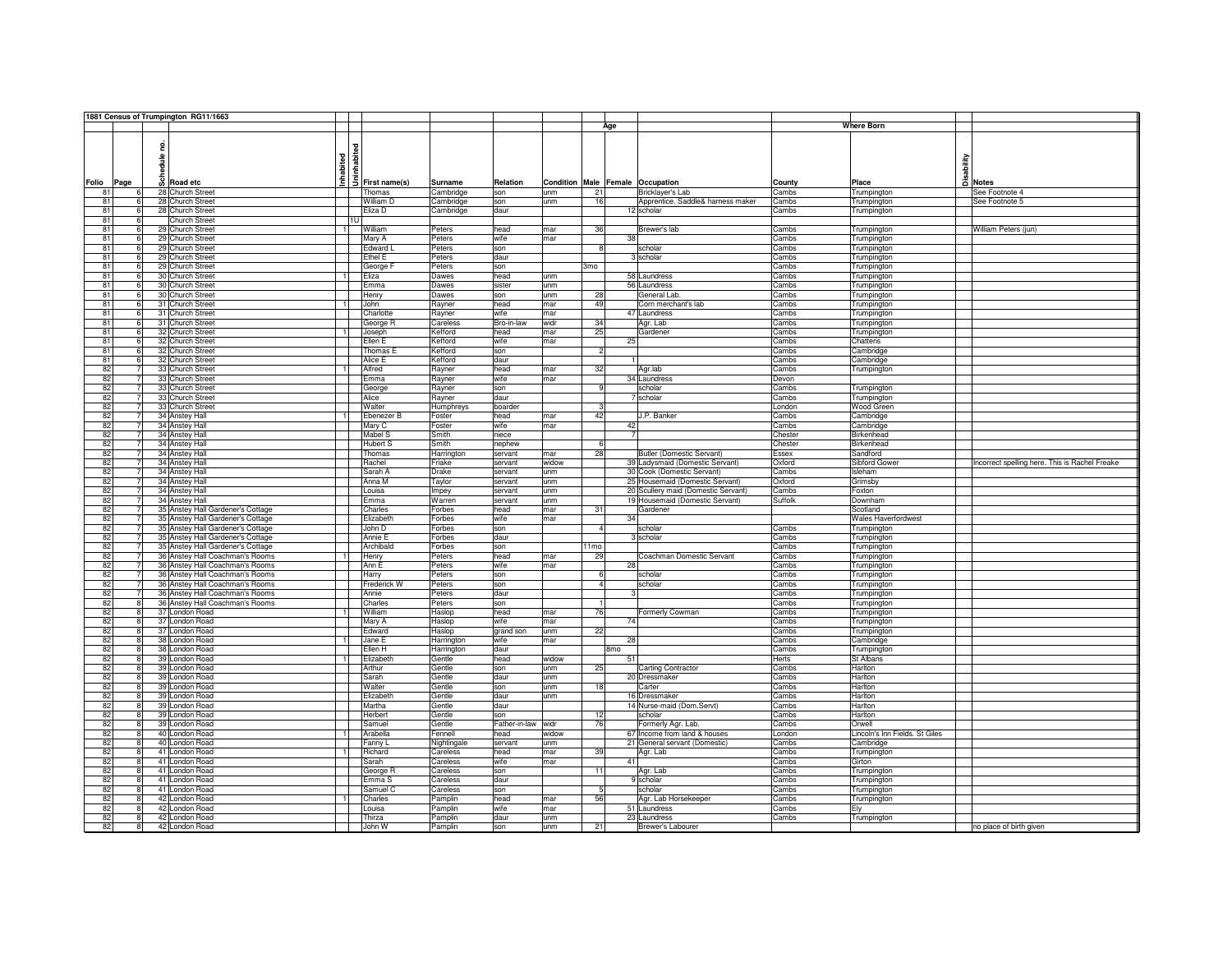|                |                   | 1881 Census of Trumpington RG11/1663              |     |                                              |                    |                    |            |                        |                                     |                |                                |                                                |
|----------------|-------------------|---------------------------------------------------|-----|----------------------------------------------|--------------------|--------------------|------------|------------------------|-------------------------------------|----------------|--------------------------------|------------------------------------------------|
|                |                   |                                                   |     |                                              |                    |                    |            | Age                    |                                     |                | <b>Where Born</b>              |                                                |
|                |                   |                                                   |     |                                              |                    |                    |            |                        |                                     |                |                                |                                                |
|                | 읃                 |                                                   |     | $\frac{1}{2}$<br>$\frac{1}{2}$ First name(s) |                    |                    |            |                        |                                     |                |                                |                                                |
|                | 을                 |                                                   |     |                                              |                    |                    |            |                        |                                     |                | sability                       |                                                |
|                | 륮                 | Inhabited                                         |     |                                              |                    |                    |            |                        |                                     |                |                                |                                                |
|                |                   |                                                   |     |                                              |                    |                    |            |                        |                                     |                |                                |                                                |
| Folio<br>Page  |                   | $\overline{\omega}$ Road etc                      |     |                                              | Surname            | Relation           | Condition  | Male Female Occupation |                                     | County         | Place                          | a Notes                                        |
| 81             | 6                 | 28 Church Street                                  |     | Thomas                                       | Cambridge          | son                | unm        | 21                     | Bricklayer's Lab                    | Cambs          | Trumpington                    | See Footnote 4                                 |
| 81             | 6                 | 28 Church Street                                  |     | William D                                    | Cambridge          | son                | unm        | 16                     | Apprentice. Saddle& harness maker   | Cambs          | Trumpington                    | See Footnote 5                                 |
| 81             | 6<br>$\mathbf{6}$ | 28 Church Street                                  |     | Eliza D                                      | Cambridge          | daur               |            |                        | 12 scholar                          | Cambs          | Trumpington                    |                                                |
| 81             |                   | Church Street                                     | 111 |                                              |                    |                    |            |                        |                                     |                |                                |                                                |
| 81             | 6                 | 29 Church Street                                  |     | William                                      | Peters             | head               | mar        | 36                     | Brewer's lab                        | Cambs          | Trumpington                    | William Peters (jun)                           |
| 81             |                   | 29 Church Street                                  |     | Mary A                                       | Peters             | wife               | mar        | 38                     |                                     | Cambs          | Trumpington                    |                                                |
| 81             | ĥ                 | 29 Church Street                                  |     | Edward L                                     | Peters             | son                |            | 8                      | scholar                             | Cambs          | Trumpington                    |                                                |
| 81             | ĥ                 | 29 Church Street                                  |     | Ethel E                                      | Peters             | daur               |            |                        | 3 scholar                           | Cambs          | Trumpington                    |                                                |
| 81             | 6                 | 29 Church Street                                  |     | George F                                     | Peters             | son                |            | 3mo                    |                                     | Cambs          | Trumpington                    |                                                |
| 81             | 6                 | 30 Church Street                                  |     | Eliza                                        | Dawes              | head               | unm        |                        | 58 Laundress                        | Cambs          | Trumpington                    |                                                |
| 81             | 6                 | 30 Church Street                                  |     | Emma                                         | Dawes              | sister             | unm        |                        | 56 Laundress                        | Cambs          | Trumpington                    |                                                |
| 81             | 6                 | 30 Church Street                                  |     | Henry                                        | Dawes              | son                | unm        | 28                     | General Lab.                        | Cambs          | Trumpington                    |                                                |
| 81             | 6                 | 31 Church Street                                  |     | John                                         | Rayner             | head               | mar        | 49                     | Corn merchant's lab                 | Cambs          | Trumpington                    |                                                |
| 81             | 6                 | 31 Church Street                                  |     | Charlotte                                    | Rayner             | wife               | mar        |                        | 47 Laundress                        | Cambs          | Trumpington                    |                                                |
| 81             | 6                 | 31 Church Street                                  |     | George R                                     | Careless           | Bro-in-law         | widr       | 34                     | Agr. Lab                            | Cambs          | Trumpington                    |                                                |
| 81             | 6                 | 32 Church Street<br>$\overline{1}$                |     | Joseph                                       | Kefford            | head               | mar        | 25                     | Gardener                            | Cambs          | Trumpington                    |                                                |
| 81             | 6                 | 32 Church Street                                  |     | Ellen E                                      | Kefford            | wife               | mar        | 25                     |                                     | Cambs          | Chatteris                      |                                                |
| 81             | ĥ.                | 32 Church Street                                  |     | Thomas E                                     | Kefford            | son                |            | $\overline{2}$         |                                     | Cambs          | Cambridge                      |                                                |
| 81             | ĥ.                | 32 Church Street                                  |     | Alice E                                      | Kefford            | daur               |            |                        |                                     | Cambs          | Cambridge                      |                                                |
| 82             |                   | 33 Church Street                                  |     | Alfred                                       | Rayner             | head               | mar        | 32                     | Agr.lab                             | Cambs          | Trumpington                    |                                                |
| 82             |                   | 33 Church Street                                  |     | Emma                                         | Rayner             | wife               | mar        |                        | 34 Laundress                        | Devon          |                                |                                                |
| 82             | $\overline{7}$    | 33 Church Street                                  |     | George                                       | Rayner             | son                |            | $\mathbf{q}$           | scholar                             | Cambs          | Trumpington                    |                                                |
| 82             |                   | 33 Church Street                                  |     | Alice                                        | Rayner             | daur               |            |                        | 7 scholar                           | Cambs          | Trumpington                    |                                                |
| 82             |                   | 33 Church Street                                  |     | Walter                                       | Humphreys          | boarder            |            | 3                      |                                     | London         | Wood Green                     |                                                |
| 82             |                   | 34 Anstey Hall                                    |     | Ebenezer B                                   | Foster             | head               | mar        | 42                     | J.P. Banker                         | Cambs          | Cambridge                      |                                                |
| 82             |                   | 34 Anstey Hall                                    |     | Mary C                                       | Foster             | wife               | mar        | 42                     |                                     | Cambs          | Cambridge                      |                                                |
| 82             |                   | 34 Anstey Hall                                    |     | Mabel S                                      | Smith              | niece              |            |                        |                                     | Chester        | Birkenhead                     |                                                |
| 82             | $\overline{7}$    | 34 Anstey Hall                                    |     | <b>Hubert S</b>                              | Smith              | nephew             |            | 6                      |                                     | Chester        | Birkenhead                     |                                                |
| 82             | $\overline{7}$    | 34 Anstey Hall                                    |     | Thomas                                       | Harrington         | servant            | mar        | 28                     | Butler (Domestic Servant)           | Essex          | Sandford                       |                                                |
| 82             |                   | 34 Anstey Hall                                    |     | Rachel                                       | Friake             | servant            | widow      |                        | 39 Ladysmaid (Domestic Servant)     | Oxford         | Sibford Gower                  | Incorrect spelling here. This is Rachel Freake |
| 82             |                   | 34 Anstey Hall                                    |     | Sarah A                                      | Drake              | servant            | unm        |                        | 30 Cook (Domestic Servant)          | Cambs          | Isleham                        |                                                |
| 82             |                   | 34 Anstey Hall                                    |     | Anna M                                       | Taylor             | servant            | unm        |                        | 25 Housemaid (Domestic Servant)     | Oxford         | Grimsby                        |                                                |
| 82             |                   | 34 Anstey Hall                                    |     | Louisa                                       | Impey              | servant            | unm        |                        | 20 Scullery maid (Domestic Servant) | Cambs          | Foxton                         |                                                |
| 82             |                   | 34 Anstey Hall                                    |     | Emma                                         | Warren             | servant            | unm        |                        | 19 Housemaid (Domestic Servant)     | Suffolk        | Downham                        |                                                |
| 82             | 7                 | 35 Anstey Hall Gardener's Cottage                 |     | Charles                                      | Forbes             | head               | mar        | 31                     | Gardener                            |                | Scotland                       |                                                |
| 82             |                   | 35 Anstey Hall Gardener's Cottage                 |     | Elizabeth                                    | Forbes             | wife               | mar        | 34                     |                                     |                | Wales Haverfordwest            |                                                |
| 82             |                   | 35 Anstey Hall Gardener's Cottage                 |     | John D                                       | Forbes             | son                |            |                        | scholar                             | Cambs          | Trumpington                    |                                                |
| 82             |                   | 35 Anstey Hall Gardener's Cottage                 |     | Annie E                                      | Forbes             | daur               |            |                        | 3 scholar                           | Cambs          | Trumpington                    |                                                |
| 82             |                   | 35 Anstey Hall Gardener's Cottage                 |     | Archibald                                    | Forbes             | son                |            | 1 <sub>mo</sub>        |                                     | Cambs          | Trumpington                    |                                                |
| 82             | $\overline{7}$    | 36 Anstey Hall Coachman's Rooms<br>$\overline{1}$ |     | Henry                                        | Peters             | head               | mar        | 29                     | Coachman Domestic Servant           | Cambs          | Trumpington                    |                                                |
| 82             | $\overline{7}$    | 36 Anstey Hall Coachman's Rooms                   |     | Ann E                                        | Peters             | wife               | mar        | 28                     |                                     | Cambs          | Trumpington                    |                                                |
| 82             | $\overline{7}$    | 36 Anstey Hall Coachman's Rooms                   |     | Harry                                        | Peters             | son                |            | 6                      | scholar                             | Cambs          | Trumpington                    |                                                |
| 82             |                   | 36 Anstey Hall Coachman's Rooms                   |     | Frederick W                                  | Peters             | son                |            | $\mathbf{A}$           | scholar                             | Cambs          | Trumpington                    |                                                |
| 82             |                   | 36 Anstey Hall Coachman's Rooms                   |     | Annie                                        | Peters             | daur               |            |                        |                                     | Cambs          | Trumpington                    |                                                |
| 82             |                   | 36 Anstey Hall Coachman's Rooms                   |     | Charles                                      | Peters             | son                |            | $\mathbf{1}$           |                                     | Cambs          | Trumpington                    |                                                |
| 82             |                   | 37 London Road                                    |     | William                                      | Haslop             | head               | mar        | 76                     | Formerly Cowman                     | Cambs          | Trumpington                    |                                                |
| 82             | R                 | 37 London Road                                    |     | Mary A                                       | Haslop             | wife               | mar        | 74                     |                                     | Cambs          | Trumpington                    |                                                |
| 82             |                   | 37 London Road                                    |     | Edward                                       | Haslop             | grand son          | unm        | 22                     |                                     | Cambs          | Trumpington                    |                                                |
| 82             |                   | 38 London Road                                    |     | Jane E                                       | Harrington         | wife               | mar        | 28                     |                                     | Cambs          | Cambridge                      |                                                |
| 82             |                   | 38 London Road                                    |     | Ellen H                                      | Harrington         | daur               |            | 8 <sub>mo</sub>        |                                     | Cambs          | Trumpington                    |                                                |
| 82             | $\mathbf{R}$      | 39 London Road                                    |     | Elizabeth                                    | Gentle             | head               | widow      | 51                     |                                     | Herts          | St Albans                      |                                                |
| 82             | 8                 | 39 London Road                                    |     | Arthur                                       | Gentle             | son                | unm        | 25                     | Carting Contractor                  | Cambs          | Harlton                        |                                                |
| 82             | 8                 | 39 London Road                                    |     | Sarah                                        | Gentle             | daur               | unm        |                        | 20 Dressmaker                       | Cambs          | Harlton                        |                                                |
| 82             | <b>R</b>          | 39 London Road                                    |     | Walter                                       | Gentle             | son                | unm        | 18                     | Carter                              | Cambs          | Harlton                        |                                                |
| 82             | $\mathbf{R}$      | 39 London Road                                    |     | Elizabeth                                    | Gentle             | daur               | unm        |                        | 16 Dressmaker                       | Cambs          | Harlton                        |                                                |
| 82             |                   | 39 London Road                                    |     | Martha                                       | Gentle             | daur               |            |                        | 14 Nurse-maid (Dom.Servt)           | Cambs          | Harlton                        |                                                |
| 82             |                   | 39 London Road                                    |     | Herbert                                      | Gentle             | son                |            | 12                     | scholar                             | Cambs          | Harlton                        |                                                |
| 82             | R                 | 39 London Road                                    |     | Samuel                                       | Gentle             | Father-in-law widr |            | 76                     | Formerly Agr. Lab.                  | Cambs          | Orwell                         |                                                |
| 82             | R                 | 40 London Road                                    |     | Arabella                                     | Fennell            | head               | widow      |                        | 67 Income from land & houses        | London         | Lincoln's Inn Fields. St Giles |                                                |
| 82             | R                 | 40 London Road                                    |     | Fanny L                                      | Nightingale        | servant            | unm        |                        | 21 General servant (Domestic)       | Cambs          | Cambridge                      |                                                |
| 82             | 8                 | 41 London Road                                    |     | Richard                                      | Careless           | head               | mar        | 39                     | Agr. Lab                            | Cambs          | Trumpington                    |                                                |
| 82             | 8                 | 41 London Road                                    |     | Sarah                                        | Careless           | wife               | mar        | 41                     |                                     | Cambs          | Girton                         |                                                |
| 82             | 8                 | 41 London Road                                    |     | George R                                     | Careless           | son                |            | 11                     | Agr. Lab                            | Cambs          | Trumpington                    |                                                |
|                | 8                 | 41 London Road                                    |     | Emma S                                       | Careless           | daur               |            |                        | 9 scholar                           | Cambs          | Trumpington                    |                                                |
|                | 8                 | 41 London Road                                    |     | Samuel C                                     | Careless           | son                |            | 5                      | scholar                             | Cambs          | Trumpington                    |                                                |
|                |                   | $\overline{1}$                                    |     | Charles                                      | Pamplin            | head               | mar        | 56                     | Agr. Lab Horsekeeper                | Cambs          | Trumpington                    |                                                |
|                | R                 |                                                   |     |                                              |                    |                    |            |                        |                                     |                |                                |                                                |
| 82<br>82       |                   | 42 London Road                                    |     |                                              |                    |                    |            |                        |                                     |                |                                |                                                |
| 82<br>82<br>82 |                   | 42 London Road<br>42 London Road                  |     | Louisa<br>Thirza                             | Pamplin<br>Pamplin | wife<br>daur       | mar<br>unm |                        | 51 Laundress<br>23 Laundress        | Cambs<br>Cambs | Ely<br>Trumpington             |                                                |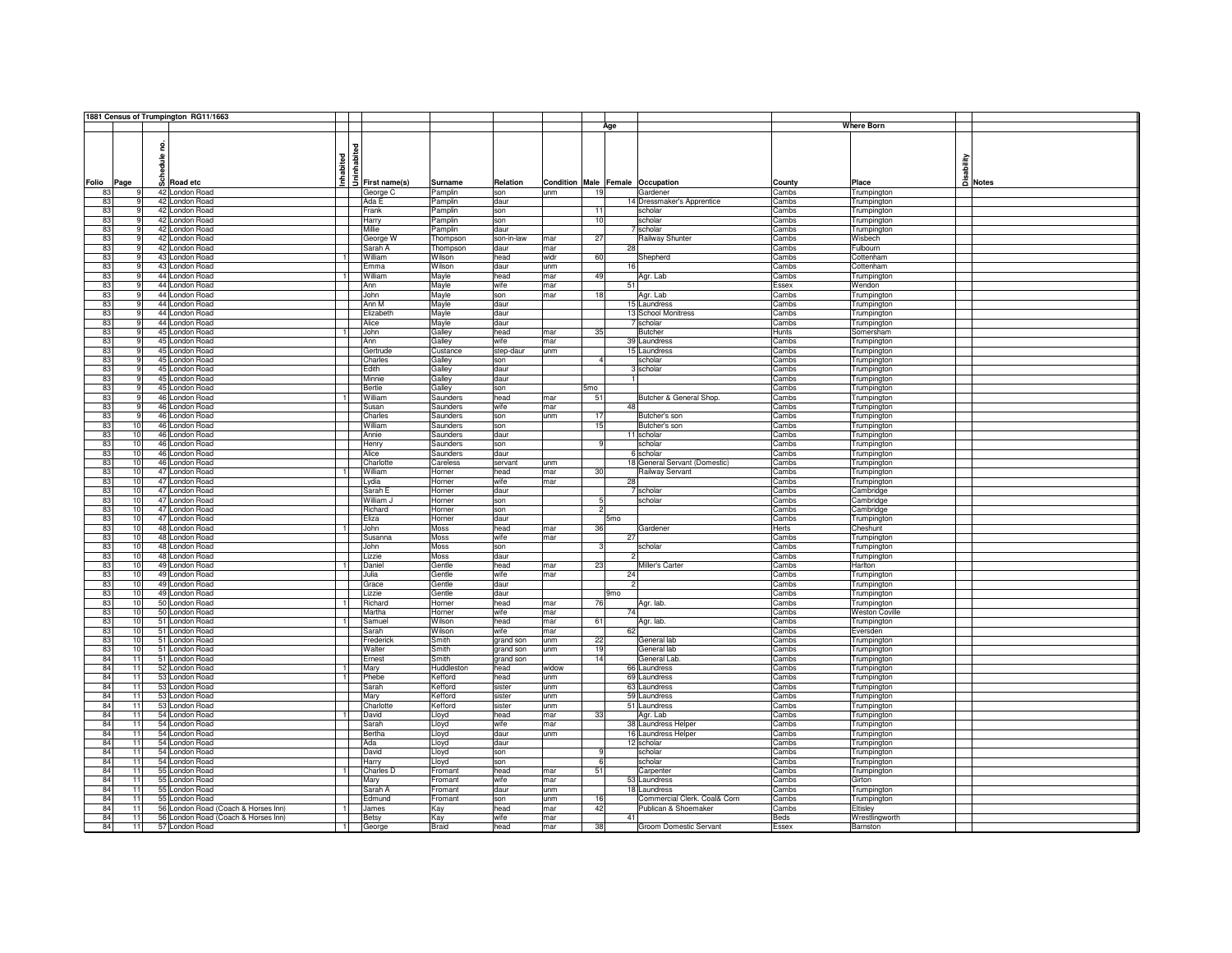|                       |   | 1881 Census of Trumpington RG11/1663                  |                                              |            |            |       |                                  |                               |             |                       |         |
|-----------------------|---|-------------------------------------------------------|----------------------------------------------|------------|------------|-------|----------------------------------|-------------------------------|-------------|-----------------------|---------|
|                       |   |                                                       |                                              |            |            |       | Age                              |                               |             | <b>Where Born</b>     |         |
|                       |   |                                                       |                                              |            |            |       |                                  |                               |             |                       |         |
|                       | 읃 |                                                       | $\frac{1}{2}$<br>$\frac{1}{2}$ First name(s) |            |            |       |                                  |                               |             |                       |         |
|                       | ≗ |                                                       |                                              |            |            |       |                                  |                               |             |                       |         |
|                       | 륳 |                                                       |                                              |            |            |       |                                  |                               |             |                       |         |
|                       |   | Inhabited                                             |                                              |            |            |       |                                  |                               |             | sability              |         |
| Folio<br>Page         |   | <b>B</b> Road etc                                     |                                              | Surname    | Relation   |       | Condition Male Female Occupation |                               | County      | Place                 | A Notes |
| 83                    |   | 42 London Road                                        | George C                                     | Pamplin    | son        | unm   | 19                               | Gardener                      | Cambs       | Trumpington           |         |
| 83<br>-9              |   | 42 London Road                                        | Ada E                                        | Pamplin    | daur       |       |                                  | 14 Dressmaker's Apprentice    | Cambs       | Trumpington           |         |
| 83<br>9               |   | 42 London Road                                        | Frank                                        | Pamplin    | son        |       | 11                               | scholar                       | Cambs       | Trumpington           |         |
| 83<br>q               |   | 42 London Road                                        | Harry                                        | Pamplin    | son        |       | 10                               | scholar                       | Cambs       | Trumpington           |         |
| 83<br>q               |   | 42 London Road                                        | Millie                                       | Pamplin    | daur       |       |                                  | scholar                       | Cambs       | Trumpington           |         |
| 83                    |   | 42 London Road                                        | George W                                     | Thompson   | son-in-law | mar   | 27                               | Railway Shunter               | Cambs       | Wisbech               |         |
| 83<br>q               |   | 42 London Road                                        | Sarah A                                      | Thompson   | daur       | mar   | 28                               |                               | Cambs       | Fulbourn              |         |
| 83                    |   | 43 London Road                                        | William                                      | Wilson     | head       | widr  | 60                               | Shepherd                      | Cambs       | Cottenham             |         |
| 83<br><b>q</b>        |   | 43 London Road                                        | Emma                                         | Wilson     | daur       | unm   | 16                               |                               | Cambs       | Cottenham             |         |
| 83<br>-9              |   | 44 London Road                                        | William                                      | Mayle      | head       | mar   | 49                               | Agr. Lab                      | Cambs       | Trumpington           |         |
| 83<br>-9              |   | 44 London Road                                        | Ann                                          | Mayle      | wife       | mar   | 51                               |                               | Essex       | Wendon                |         |
| 83<br>q               |   | 44 London Road                                        | John                                         | Mayle      | son        | mar   | 18                               | Agr. Lab                      | Cambs       | Trumpington           |         |
| 83<br>9               |   | 44 London Road                                        | Ann M                                        | Mayle      | daur       |       |                                  | 15 Laundress                  | Cambs       | Trumpington           |         |
| 83<br>9               |   | 44 London Road                                        | Elizabeth                                    | Mayle      | daur       |       |                                  | 13 School Monitress           | Cambs       | Trumpington           |         |
| 83<br>9               |   | 44 London Road                                        | Alice                                        | Mayle      | daur       |       |                                  | 7 scholar                     | Cambs       | Trumpington           |         |
| 83<br>-9              |   | 45 London Road<br>$\overline{1}$                      | John                                         | Galley     | head       | mar   | 35                               | <b>Butcher</b>                | Hunts       | Somersham             |         |
| 83<br>9               |   | 45 London Road                                        | Ann                                          | Galley     | wife       | mar   |                                  | 39 Laundress                  | Cambs       | Trumpington           |         |
| 83<br>q               |   | 45 London Road                                        | Gertrude                                     | Custance   | step-daur  | unm   |                                  | 15 Laundress                  | Cambs       | Trumpington           |         |
| 83<br>9               |   | 45 London Road                                        | Charles                                      | Galley     | son        |       | $\overline{4}$                   | scholar                       | Cambs       | Trumpington           |         |
| 83                    |   | 45 London Road                                        | Edith                                        | Galley     | daur       |       |                                  | 3 scholar                     | Cambs       | Trumpington           |         |
| 83                    |   | 45 London Road                                        | Minnie                                       | Galley     | daur       |       |                                  |                               | Cambs       | Trumpington           |         |
| 83<br>q               |   | 45 London Road                                        | Bertie                                       | Galley     | son        |       | 5mo                              |                               | Cambs       | Trumpington           |         |
| 83<br>q               |   | 46 London Road                                        | William                                      | Saunders   | head       | mar   | 51                               | Butcher & General Shop.       | Cambs       | Trumpington           |         |
| 83<br>q               |   | 46 London Road                                        | Susan                                        | Saunders   | wife       | mar   | 48                               |                               | Cambs       | Trumpington           |         |
| 83<br>$\mathbf{g}$    |   | 46 London Road                                        | Charles                                      | Saunders   | son        | unm   | 17                               | Butcher's son                 | Cambs       | Trumpington           |         |
| 83<br>10              |   | 46 London Road                                        | William                                      | Saunders   | son        |       | 15                               | Butcher's son                 | Cambs       | Trumpington           |         |
| 83<br>10              |   | 46 London Road                                        | Annie                                        | Saunders   | daur       |       |                                  | 11 scholar                    | Cambs       | Trumpington           |         |
| 83<br>10              |   | 46 London Road                                        | Henry                                        | Saunders   | son        |       | $\mathbf{Q}$                     | scholar                       | Cambs       | Trumpington           |         |
| 83<br>10              |   | 46 London Road                                        | Alice                                        | Saunders   | daur       |       |                                  | 6 scholar                     | Cambs       | Trumpington           |         |
| 83<br>10              |   | 46 London Road                                        | Charlotte                                    | Careless   | servant    | unm   |                                  | 18 General Servant (Domestic) | Cambs       | Trumpington           |         |
| 83<br>10              |   | 47 London Road                                        | William                                      | Horner     | head       | mar   | 30                               | Railway Servant               | Cambs       | Trumpington           |         |
| 83<br>10              |   | 47 London Road                                        | Lydia                                        | Horner     | wife       | mar   | 28                               |                               | Cambs       | Trumpington           |         |
| 83<br>10              |   | 47 London Road                                        | Sarah E                                      | Horner     | daur       |       |                                  | 7 scholar                     | Cambs       | Cambridge             |         |
| 83<br>10              |   | 47 London Road                                        | William J                                    | Horner     | son        |       | $5\overline{)}$                  | scholar                       | Cambs       | Cambridge             |         |
| 83<br>10              |   | 47 London Road                                        | Richard                                      | Horner     | son        |       | $\overline{c}$                   |                               | Cambs       | Cambridge             |         |
| 83<br>10              |   | 47 London Road                                        | Eliza                                        | Horner     | daur       |       | 5 <sub>mo</sub>                  |                               | Cambs       | Trumpington           |         |
| 83<br>10              |   | 48 London Road                                        | John                                         | Moss       | head       | mar   | 36                               | Gardener                      | Herts       | Cheshunt              |         |
| 83<br>10              |   | 48 London Road                                        | Susanna                                      | Moss       | wife       | mar   | 27                               |                               | Cambs       | Trumpington           |         |
| 83<br>10              |   | 48 London Road                                        | John                                         | Moss       | son        |       | з                                | scholar                       | Cambs       | Trumpington           |         |
| 83<br>10              |   | 48 London Road                                        | Lizzie                                       | Moss       | daur       |       |                                  |                               | Cambs       | Trumpington           |         |
| 83<br>10              |   | $\overline{1}$<br>49 London Road                      | Daniel                                       | Gentle     | head       | mar   | 23                               | Miller's Carter               | Cambs       | Harlton               |         |
| 83<br>10              |   | 49 London Road                                        | Julia                                        | Gentle     | wife       | mar   | 24                               |                               | Cambs       | Trumpington           |         |
| 83<br>10 <sup>1</sup> |   | 49 London Road                                        | Grace                                        | Gentle     | daur       |       |                                  |                               | Cambs       | Trumpington           |         |
| 83<br>10              |   | 49 London Road                                        | Lizzie                                       | Gentle     | daur       |       | 9 <sub>mo</sub>                  |                               | Cambs       | Trumpington           |         |
| 83<br>10              |   | 50 London Road                                        | Richard                                      | Horner     | head       | mar   | 76                               | Agr. lab.                     | Cambs       | Trumpington           |         |
| 83<br>10              |   | 50 London Road                                        | Martha                                       | Horner     | wife       | mar   | 74                               |                               | Cambs       | <b>Weston Coville</b> |         |
| 83<br>10              |   | 51 London Road<br>$\overline{1}$                      | Samuel                                       | Wilson     | head       | mar   | 61                               | Agr. lab.                     | Cambs       | Trumpington           |         |
| 83<br>10              |   | 51 London Road                                        | Sarah                                        | Wilson     | wife       | mar   | 62                               |                               | Cambs       | Eversden              |         |
| 83<br>10              |   | 51 London Road                                        | Frederick                                    | Smith      | grand son  | unm   | 22                               | General lab                   | Cambs       | Trumpington           |         |
| 83<br>10              |   | 51 London Road                                        | Walter                                       | Smith      | grand son  | unm   | 19                               | General lab                   | Cambs       | Trumpington           |         |
| 84<br>11              |   | 51 London Road                                        | Ernest                                       | Smith      | grand son  |       | 14                               | General Lab.                  | Cambs       | Trumpington           |         |
| 84<br>11              |   | 52 London Road<br>$\overline{1}$                      | Mary                                         | Huddleston | head       | widow |                                  | 66 Laundress                  | Cambs       | Trumpington           |         |
| 84<br>11              |   | 53 London Road<br>$\overline{1}$                      | Phebe                                        | Kefford    | head       | unm   |                                  | 69 Laundress                  | Cambs       | Trumpington           |         |
| 84<br>11              |   | 53 London Road                                        | Sarah                                        | Kefford    | sister     | unm   |                                  | 63 Laundress                  | Cambs       | Trumpington           |         |
| 84<br>11              |   | 53 London Road                                        | Mary                                         | Kefford    | sister     | unm   |                                  | 59 Laundress                  | Cambs       | Trumpington           |         |
| 84<br>11              |   | 53 London Road                                        | Charlotte                                    | Kefford    | sister     | unm   |                                  | 51 Laundress                  | Cambs       | Trumpington           |         |
| 84<br>11              |   | 54 London Road                                        | David                                        | Lloyd      | head       | mar   | 33                               | Agr. Lab                      | Cambs       | Trumpington           |         |
| 84<br>11              |   | 54 London Road                                        | Sarah                                        | Lloyd      | wife       | mar   |                                  | 38 Laundress Helper           | Cambs       | Trumpington           |         |
| 84<br>11              |   | 54 London Road                                        | Bertha                                       | Lloyd      | daur       | unm   |                                  | 16 Laundress Helper           | Cambs       | Trumpington           |         |
| 84<br>11              |   | 54 London Road                                        | Ada                                          | Lloyd      | daur       |       |                                  | 12 scholar                    | Cambs       | Trumpington           |         |
| 84<br>11              |   | 54 London Road                                        | David                                        | Lloyd      | son        |       | 9                                | scholar                       | Cambs       | Trumpington           |         |
| 84<br>11              |   | 54 London Road                                        | Harry                                        | Lloyd      | son        |       | 6                                | scholar                       | Cambs       | Trumpington           |         |
| 84<br>11              |   | 55 London Road                                        | Charles D                                    | Fromant    | head       | mar   | 51                               | Carpenter                     | Cambs       | Trumpington           |         |
| 84<br>11              |   | 55 London Road                                        | Mary                                         | Fromant    | wife       | mar   |                                  | 53 Laundress                  | Cambs       | Girton                |         |
| 84<br>11              |   | 55 London Road                                        | Sarah A                                      | Fromant    | daur       | unm   |                                  | 18 Laundress                  | Cambs       | Trumpington           |         |
| 84<br>11              |   | 55 London Road                                        | Edmund                                       | Fromant    | son        | unm   | 16                               | Commercial Clerk. Coal& Corn  | Cambs       | Trumpington           |         |
| 84<br>11              |   | 56 London Road (Coach & Horses Inn)<br>$\overline{1}$ | James                                        | Kay        | head       | mar   | 42                               | Publican & Shoemaker          | Cambs       | Eltisley              |         |
| 84<br>11              |   | 56 London Road (Coach & Horses Inn)                   | Betsy                                        | Kay        | wife       | mar   | 41                               |                               | <b>Beds</b> | Wrestlingworth        |         |
|                       |   | 57 London Road                                        | George                                       | Braid      | head       | mar   | 38                               | Groom Domestic Servant        | Essex       | Barnston              |         |
| 84<br>11              |   |                                                       |                                              |            |            |       |                                  |                               |             |                       |         |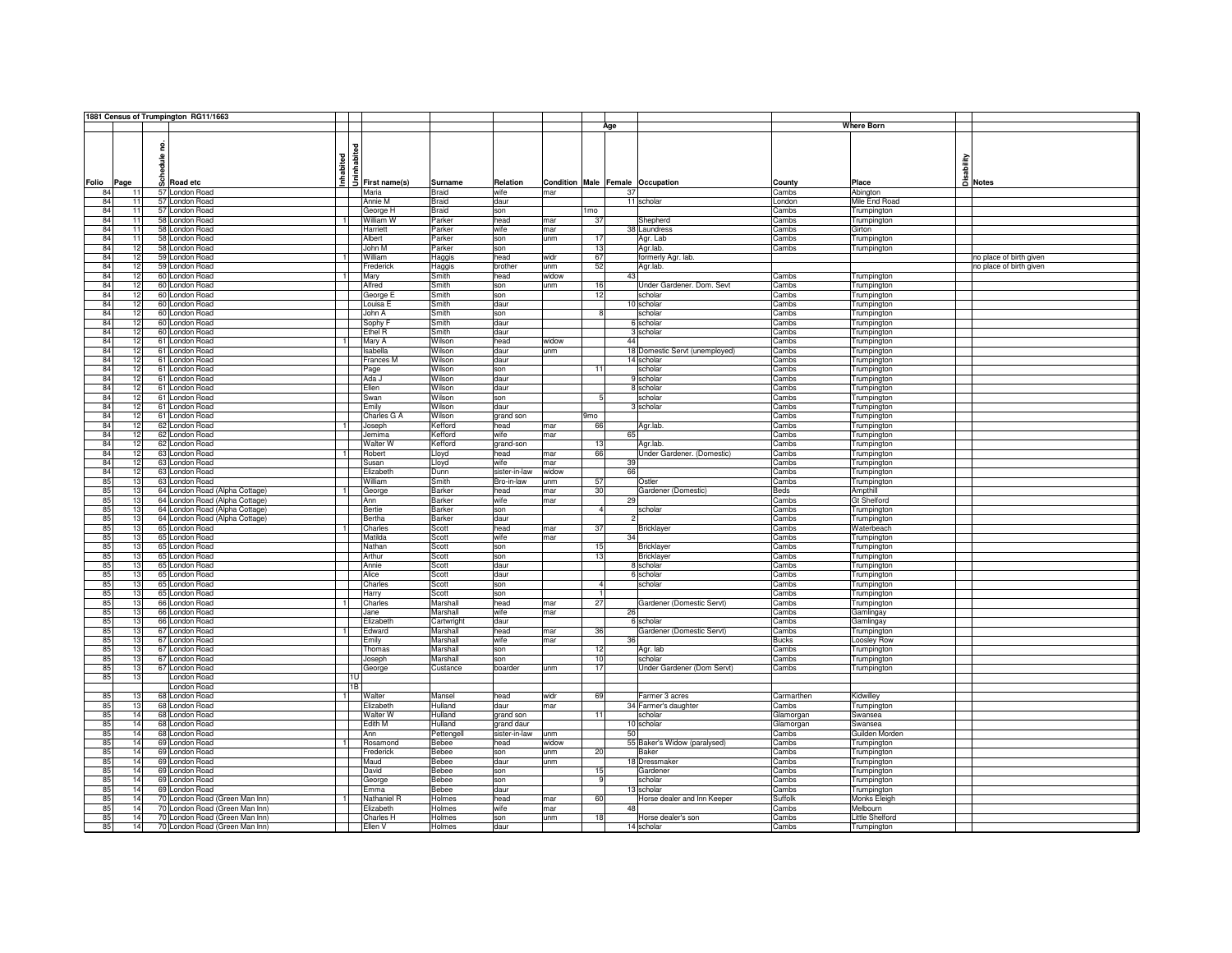|                      |              | 1881 Census of Trumpington RG11/1663 |                |                      |                 |                    |            |                                  |                                |                      |                                   |                          |
|----------------------|--------------|--------------------------------------|----------------|----------------------|-----------------|--------------------|------------|----------------------------------|--------------------------------|----------------------|-----------------------------------|--------------------------|
|                      |              |                                      |                |                      |                 |                    |            | Age                              |                                |                      | <b>Where Born</b>                 |                          |
|                      |              |                                      |                |                      |                 |                    |            |                                  |                                |                      |                                   |                          |
|                      |              |                                      |                |                      |                 |                    |            |                                  |                                |                      |                                   |                          |
|                      |              |                                      | abited         |                      |                 |                    |            |                                  |                                |                      |                                   |                          |
|                      |              |                                      |                |                      |                 |                    |            |                                  |                                |                      |                                   |                          |
|                      |              |                                      |                |                      |                 |                    |            |                                  |                                |                      |                                   |                          |
| Folio<br>Page        | Schedule no. | Road etc                             | Inhabited      | 5 First name(s)      | Surname         | Relation           |            | Condition Male Female Occupation |                                | County               | Place                             | Disability<br>Disability |
| 84<br>11             |              | 57 London Road                       |                | Maria                | <b>Braid</b>    | wife               | mar        | 37                               |                                | Cambs                | Abington                          |                          |
| 84<br>11             |              | 57 London Road                       |                | Annie M              | <b>Braid</b>    | daur               |            |                                  | 11 scholar                     | London               | Mile End Road                     |                          |
| 84<br>11             |              | 57 London Road                       |                | George H             | <b>Braid</b>    | son                |            | 1 <sub>mo</sub>                  |                                | Cambs                |                                   |                          |
| 84<br>11             |              | 58 London Road                       | $\overline{1}$ | William W            | Parker          | head               | mar        | 37                               | Shepherd                       | Cambs                | Trumpington<br><b>Trumpington</b> |                          |
| 84<br>11             |              | 58 London Road                       |                | Harriett             | Parker          | wife               | mar        |                                  | 38 Laundress                   | Cambs                | Girton                            |                          |
| 84<br>11             |              |                                      |                | Albert               | Parker          |                    |            | 17                               | Agr. Lab                       |                      |                                   |                          |
| 84<br>12             |              | 58 London Road<br>58 London Road     |                |                      |                 | son                | unm        | 13                               |                                | Cambs<br>Cambs       | Trumpington                       |                          |
| 84<br>12             |              | 59 London Road                       | $\overline{1}$ | John M<br>William    | Parker          | son                | widr       | 67                               | Agr.lab.                       |                      | Trumpington                       |                          |
| 84<br>12             |              | 59 London Road                       |                | Frederick            | Haggis          | head<br>brother    | unm        | 52                               | formerly Agr. lab.             |                      |                                   | no place of birth given  |
| 84<br>12             |              | 60 London Road                       | $\overline{1}$ |                      | Haggis<br>Smith | head               | widow      | 43                               | Agr.lab.                       | Cambs                |                                   | no place of birth given  |
|                      |              |                                      |                | Mary                 |                 |                    |            |                                  |                                |                      | Trumpington                       |                          |
| 84<br>12             |              | 60 London Road                       |                | Alfred               | Smith           | son                | unm        | 16                               | Under Gardener. Dom. Sevt      | Cambs                | Trumpington                       |                          |
| 84<br>12             |              | 60 London Road                       |                | George E             | Smith           | son                |            | 12                               | scholar                        | Cambs                | Trumpington                       |                          |
| 84<br>12             |              | 60 London Road                       |                | Louisa E             | Smith           | daur               |            |                                  | 10 scholar                     | Cambs                | Trumpington                       |                          |
| 84<br>12             |              | 60 London Road                       |                | John A               | Smith           | son                |            | R                                | scholar                        | Cambs                | Trumpington                       |                          |
| 84<br>12             |              | 60 London Road                       |                | Sophy F              | Smith           | daur               |            |                                  | 6 scholar                      | Cambs                | Trumpington                       |                          |
| 84<br>12             |              | 60 London Road                       |                | Ethel R              | Smith           | daur               |            |                                  | 3 scholar                      | Cambs                | Trumpington                       |                          |
| 84<br>12             |              | 61 London Road                       | $\mathbf{1}$   | Mary A               | Wilson          | head               | widow      | 44                               |                                | Cambs                | Trumpington                       |                          |
| 84<br>12             |              | 61 London Road                       |                | Isabella             | Wilson          | daur               | unm        |                                  | 18 Domestic Servt (unemployed) | Cambs                | Trumpington                       |                          |
| 84<br>12             |              | 61 London Road                       |                | Frances M            | Wilson          | daur               |            |                                  | 14 scholar                     | Cambs                | Trumpington                       |                          |
| 84<br>12             |              | 61 London Road                       |                | Page                 | Wilson          | son                |            | 11                               | scholar                        | Cambs                | Trumpington                       |                          |
| 84<br>12             |              | 61 London Road                       |                | Ada J                | Wilson          | daur               |            |                                  | 9 scholar                      | Cambs                | Trumpington                       |                          |
| 84<br>12             |              | 61 London Road                       |                | Ellen                | Wilson          | daur               |            | -5                               | 8 scholar                      | Cambs                | Trumpington                       |                          |
| 84<br>12             |              | 61 London Road                       |                | Swan                 | Wilson          | son                |            |                                  | scholar                        | Cambs                | Trumpington                       |                          |
| 84<br>12             |              | 61 London Road                       |                | Emily                | Wilson          | daur               |            |                                  | 3 scholar                      | Cambs                | Trumpington                       |                          |
| 84<br>12<br>12       |              | 61 London Road                       |                | Charles G A          | Wilson          | grand son          |            | 9 <sub>mo</sub>                  |                                | Cambs                | Trumpington                       |                          |
| 84                   |              | 62 London Road                       | $\overline{1}$ | Joseph               | Kefford         | head               | mar        | 66                               | Agr.lab.                       | Cambs                | Trumpington                       |                          |
| 84<br>12             |              | 62 London Road                       |                | Jemima               | Kefford         | wife               | mar        | 65                               |                                | Cambs                | Trumpington                       |                          |
| 84<br>12             |              | 62 London Road                       |                | Walter W             | Kefford         | grand-son          |            | 13                               | Agr.lab.                       | Cambs                | Trumpington                       |                          |
| 84<br>12             |              | 63 London Road                       | $\overline{1}$ | Robert               | Lloyd           | head               | mar        | 66                               | Under Gardener. (Domestic)     | Cambs                | Trumpington                       |                          |
| 84<br>12<br>84<br>12 |              | 63 London Road                       |                | Susan                | Lloyd           | wife               | mar        | 39<br>66                         |                                | Cambs                | Trumpington                       |                          |
| 85<br>13             |              | 63 London Road<br>63 London Road     |                | Elizabeth<br>William | Dunn<br>Smith   | sister-in-law      | widow      | 57                               |                                | Cambs                | Trumpington                       |                          |
| 85<br>13             |              | 64 London Road (Alpha Cottage)       | $\overline{1}$ |                      | <b>Barker</b>   | Bro-in-law<br>head | unm<br>mar | 30                               | Ostler<br>Gardener (Domestic)  | Cambs<br><b>Beds</b> | Trumpington<br>Ampthill           |                          |
| 85<br>13             |              | 64 London Road (Alpha Cottage)       |                | George<br>Ann        | Barker          | wife               | mar        | 29                               |                                | Cambs                | <b>Gt Shelford</b>                |                          |
| 85<br>13             |              | 64 London Road (Alpha Cottage)       |                | Bertie               | <b>Barker</b>   | son                |            | $\overline{4}$                   | scholar                        | Cambs                |                                   |                          |
| 85<br>13             |              | 64 London Road (Alpha Cottage)       |                | Bertha               | <b>Barker</b>   | daur               |            |                                  |                                | Cambs                | Trumpington                       |                          |
| 85<br>13             |              | 65 London Road                       | $\overline{1}$ | Charles              | Scott           | head               | mar        | 37                               | <b>Bricklayer</b>              | Cambs                | Trumpington<br>Waterbeach         |                          |
| 85<br>13             |              | 65 London Road                       |                | Matilda              | Scott           | wife               | mar        | 34                               |                                | Cambs                | Trumpington                       |                          |
| 85<br>13             |              | 65 London Road                       |                | Nathan               | Scott           | son                |            | 15                               | <b>Bricklayer</b>              | Cambs                | Trumpington                       |                          |
| 85<br>13             |              | 65 London Road                       |                | Arthur               | Scott           | son                |            | 13                               | Bricklayer                     | Cambs                | Trumpington                       |                          |
| 85<br>13             |              | 65 London Road                       |                | Annie                | Scott           | daur               |            |                                  | 8 scholar                      | Cambs                | Trumpington                       |                          |
| 85<br>13             |              | 65 London Road                       |                | Alice                | Scott           | daur               |            |                                  | 6 scholar                      | Cambs                | Trumpington                       |                          |
| 85<br>13             |              | 65 London Road                       |                | Charles              | Scott           | son                |            |                                  | scholar                        | Cambs                | Trumpington                       |                          |
| 85<br>13             |              | 65 London Road                       |                | Harry                | Scott           | son                |            |                                  |                                | Cambs                | Trumpington                       |                          |
| 85<br>13             |              | 66 London Road                       | $\overline{1}$ | Charles              | Marshall        | head               | mar        | 27                               | Gardener (Domestic Servt)      | Cambs                | Trumpington                       |                          |
| 85<br>13             |              | 66 London Road                       |                | Jane                 | Marshall        | wife               | mar        | 26                               |                                | Cambs                | Gamlingay                         |                          |
| 85<br>13             |              | 66 London Road                       |                | Elizabeth            | Cartwright      | daur               |            |                                  | 6 scholar                      | Cambs                | Gamlingay                         |                          |
| 85<br>13             |              | 67 London Road                       | $\overline{1}$ | Edward               | Marshall        | head               | mar        | 36                               | Gardener (Domestic Servt)      | Cambs                | Trumpington                       |                          |
| 85<br>13             |              | 67 London Road                       |                | Emily                | Marshall        | wife               | mar        | 36                               |                                | <b>Bucks</b>         | Loosley Row                       |                          |
| 85<br>13             |              | 67 London Road                       |                | Thomas               | Marshall        | son                |            | 12                               | Agr. lab                       | Cambs                | Trumpington                       |                          |
| 85<br>13             |              | 67 London Road                       |                | Joseph               | Marshall        | son                |            | 10                               | scholar                        | Cambs                | <b>Trumpington</b>                |                          |
| 85<br>13             |              | 67 London Road                       |                | George               | Custance        | boarder            | unm        | 17                               | Under Gardener (Dom Servt)     | Cambs                | Trumpington                       |                          |
| 85<br>13             |              | London Road                          |                |                      |                 |                    |            |                                  |                                |                      |                                   |                          |
|                      |              | London Road                          | 1B             |                      |                 |                    |            |                                  |                                |                      |                                   |                          |
| 85<br>13             |              | 68 London Road                       | $\rightarrow$  | Walter               | Mansel          | head               | widr       | 69                               | Farmer 3 acres                 | Carmarthen           | Kidwilley                         |                          |
| 85<br>13             |              | 68 London Road                       |                | Elizabeth            | Hulland         | daur               | mar        |                                  | 34 Farmer's daughter           | Cambs                | Trumpington                       |                          |
| 85<br>14             |              | 68 London Road                       |                | Walter W             | Hulland         | grand son          |            | 11                               | scholar                        | Glamorgan            | Swansea                           |                          |
| 85<br>14             |              | 68 London Road                       |                | Edith M              | Hulland         | grand daur         |            |                                  | 10 scholar                     | Glamorgan            | Swansea                           |                          |
| 85<br>14             |              | 68 London Road                       |                | Ann                  | Pettengel       | sister-in-law      | unm        | 50                               |                                | Cambs                | Guilden Morden                    |                          |
| 85<br>14             |              | 69 London Road                       |                | Rosamond             | Bebee           | head               | widow      |                                  | 55 Baker's Widow (paralysed)   | Cambs                | Trumpington                       |                          |
| 85<br>14             |              | 69 London Road                       |                | Frederick            | <b>Bebee</b>    | son                | unm        | 20                               | Baker                          | Cambs                | Trumpington                       |                          |
| 85<br>14             |              | 69 London Road                       |                | Maud                 | <b>Bebee</b>    | daur               | unm        |                                  | 18 Dressmaker                  | Cambs                | Trumpington                       |                          |
| 85<br>14             |              | 69 London Road                       |                | David                | Bebee           | son                |            | 15                               | Gardener                       | Cambs                | Trumpington                       |                          |
| 85<br>14             |              | 69 London Road                       |                | George               | Bebee           | son                |            | -9                               | scholar                        | Cambs                | Trumpington                       |                          |
| 85<br>14             |              | 69 London Road                       |                | Emma                 | <b>Bebee</b>    | daur               |            |                                  | 13 scholar                     | Cambs                | Trumpington                       |                          |
| 85<br>14             |              | 70 London Road (Green Man Inn)       |                | Nathaniel R          | Holmes          | head               | mar        | 60                               | Horse dealer and Inn Keeper    | Suffolk              | Monks Eleigh                      |                          |
| 85<br>14             |              | 70 London Road (Green Man Inn)       |                | Elizabeth            | Holmes          | wife               | mar        | 48                               |                                | Cambs                | Melbourn                          |                          |
| 85<br>14             |              | 70 London Road (Green Man Inn)       |                | Charles H            | Holmes          | son                | unm        | 18                               | Horse dealer's son             | Cambs                | <b>Little Shelford</b>            |                          |
| 85<br>14             |              | 70 London Road (Green Man Inn)       |                | Ellen V              | Holmes          | daur               |            |                                  | 14 scholar                     | Cambs                | Trumpington                       |                          |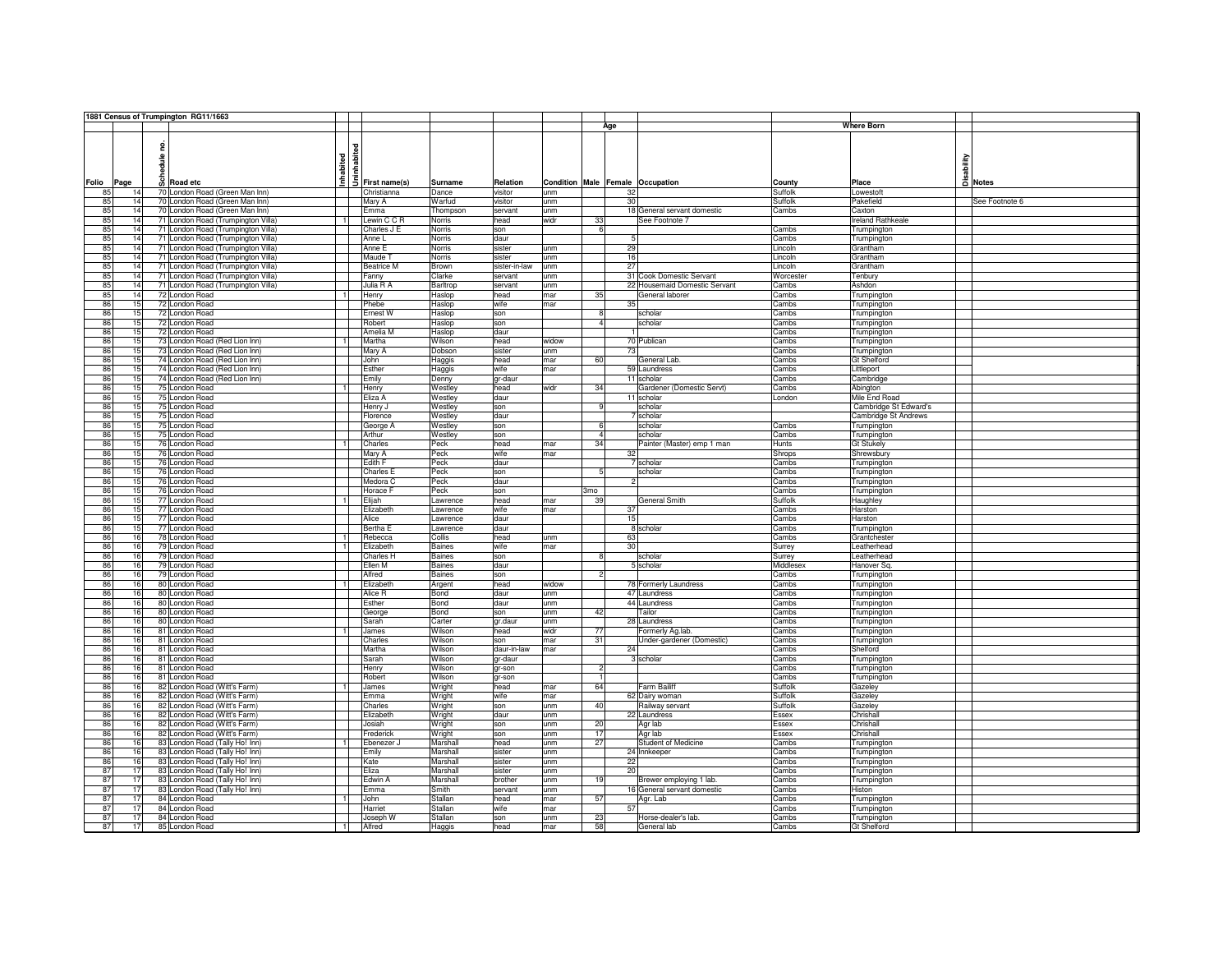|       |      |               | 1881 Census of Trumpington RG11/1663 |                |                           |               |               |       |                |     |                                  |           |                       |                |
|-------|------|---------------|--------------------------------------|----------------|---------------------------|---------------|---------------|-------|----------------|-----|----------------------------------|-----------|-----------------------|----------------|
|       |      |               |                                      |                |                           |               |               |       |                | Age |                                  |           | <b>Where Born</b>     |                |
|       |      |               |                                      |                |                           |               |               |       |                |     |                                  |           |                       |                |
|       |      |               |                                      |                |                           |               |               |       |                |     |                                  |           |                       |                |
|       |      | 은             |                                      |                | <b>J</b><br>Trist name(s) |               |               |       |                |     |                                  |           |                       |                |
|       |      | $\frac{6}{5}$ |                                      | Inhabited      |                           |               |               |       |                |     |                                  |           | sability              |                |
|       |      |               |                                      |                |                           |               |               |       |                |     |                                  |           |                       |                |
|       |      |               |                                      |                |                           |               |               |       |                |     |                                  |           |                       |                |
| Folio | Page |               | o Road etc                           |                |                           | Surname       | Relation      |       |                |     | Condition Male Female Occupation | County    | Place                 | a Notes        |
| 85    | 14   |               | 70 London Road (Green Man Inn)       |                | Christianna               | Dance         | visitor       | unm   |                | 32  |                                  | Suffolk   | Lowestoft             |                |
| 85    | 14   |               | 70 London Road (Green Man Inn)       |                | Mary A                    | Warfud        | visitor       | unm   |                | 30  |                                  | Suffolk   | Pakefield             | See Footnote 6 |
| 85    | 14   |               | 70 London Road (Green Man Inn)       |                | Emma                      | Thompson      | servant       | unm   |                |     | 18 General servant domestic      | Cambs     | Caxton                |                |
| 85    | 14   |               | 71 London Road (Trumpington Villa)   | $\overline{1}$ | Lewin C C R               | Norris        | head          | widr  | 33             |     | See Footnote 7                   |           | Ireland Rathkeale     |                |
|       |      |               |                                      |                |                           |               |               |       | $\overline{6}$ |     |                                  |           |                       |                |
| 85    | 14   |               | 71 London Road (Trumpington Villa)   |                | Charles J E               | Norris        | son           |       |                |     |                                  | Cambs     | Trumpington           |                |
| 85    | 14   |               | 71 London Road (Trumpington Villa)   |                | Anne L                    | Norris        | daur          |       |                | 5   |                                  | Cambs     | Trumpington           |                |
| 85    | 14   |               | 71 London Road (Trumpington Villa)   |                | Anne E                    | Norris        | sister        | unm   |                | 29  |                                  | Lincoln   | Grantham              |                |
| 85    | 14   |               | 71 London Road (Trumpington Villa)   |                | Maude T                   | Norris        | sister        | unm   |                | 16  |                                  | Lincoln   | Grantham              |                |
| 85    | 14   |               | 71 London Road (Trumpington Villa)   |                | <b>Beatrice M</b>         | Brown         | sister-in-law | unm   |                | 27  |                                  | Lincoln   | Grantham              |                |
| 85    | 14   |               | 71 London Road (Trumpington Villa)   |                | Fanny                     | Clarke        | servant       | unm   |                |     | 31 Cook Domestic Servant         | Worcester | Tenbury               |                |
| 85    | 14   |               | 71 London Road (Trumpington Villa)   |                | Julia R A                 | Barltrop      | servant       | unm   |                |     | 22 Housemaid Domestic Servant    | Cambs     | Ashdon                |                |
| 85    | 14   |               | 72 London Road                       |                | Henry                     | Haslop        | head          | mar   | 35             |     | General laborer                  | Cambs     | Trumpington           |                |
|       |      |               |                                      |                |                           |               |               |       |                |     |                                  |           |                       |                |
| 86    | 15   |               | 72 London Road                       |                | Phebe                     | Haslop        | wife          | mar   |                | 35  |                                  | Cambs     | Trumpington           |                |
| 86    | 15   |               | 72 London Road                       |                | Ernest W                  | Haslop        | son           |       |                |     | scholar                          | Cambs     | Trumpington           |                |
| 86    | 15   |               | 72 London Road                       |                | Robert                    | Haslop        | son           |       |                |     | scholar                          | Cambs     | Trumpington           |                |
| 86    | 15   |               | 72 London Road                       |                | Amelia M                  | Haslop        | daur          |       |                |     |                                  | Cambs     | Trumpington           |                |
| 86    | 15   |               | 73 London Road (Red Lion Inn)        | $\overline{1}$ | Martha                    | Wilson        | head          | widow |                |     | 70 Publican                      | Cambs     | Trumpington           |                |
| 86    | 15   |               | 73 London Road (Red Lion Inn)        |                | Mary A                    | Dobson        | sister        | unm   |                | 73  |                                  | Cambs     | Trumpington           |                |
| 86    | 15   |               | 74 London Road (Red Lion Inn)        |                | John                      |               | head          | mar   | 60             |     | General Lab.                     | Cambs     | <b>Gt Shelford</b>    |                |
|       |      |               |                                      |                |                           | Haggis        |               |       |                |     |                                  |           |                       |                |
| 86    | 15   |               | 74 London Road (Red Lion Inn)        |                | Esther                    | Haggis        | wife          | mar   |                |     | 59 Laundress                     | Cambs     | Littleport            |                |
| 86    | 15   |               | 74 London Road (Red Lion Inn)        |                | Emily                     | Denny         | gr-daur       |       |                |     | 11 scholar                       | Cambs     | Cambridge             |                |
| 86    | 15   |               | 75 London Road                       | 11             | Henry                     | Westley       | head          | widr  | 34             |     | Gardener (Domestic Servt)        | Cambs     | Abington              |                |
| 86    | 15   |               | 75 London Road                       |                | Eliza A                   | Westley       | daur          |       |                |     | 11 scholar                       | London    | Mile End Road         |                |
| 86    | 15   |               | 75 London Road                       |                | Henry J                   | Westley       | son           |       |                |     | scholar                          |           | Cambridge St Edward's |                |
| 86    | 15   |               | 75 London Road                       |                | Florence                  | Westley       | daur          |       |                |     | 7 scholar                        |           | Cambridge St Andrews  |                |
| 86    | 15   |               | 75 London Road                       |                | George A                  | Westley       | son           |       |                |     | scholar                          | Cambs     | Trumpington           |                |
|       |      |               |                                      |                |                           |               |               |       |                |     |                                  |           |                       |                |
| 86    | 15   |               | 75 London Road                       |                | Arthur                    | Westley       | son           |       |                |     | scholar                          | Cambs     | Trumpington           |                |
| 86    | 15   |               | 76 London Road                       |                | Charles                   | Peck          | head          | mar   | 34             |     | Painter (Master) emp 1 man       | Hunts     | Gt Stukely            |                |
| 86    | 15   |               | 76 London Road                       |                | Mary A                    | Peck          | wife          | mar   |                | 32  |                                  | Shrops    | Shrewsbury            |                |
| 86    | 15   |               | 76 London Road                       |                | Edith F                   | Peck          | daur          |       |                |     | 7 scholar                        | Cambs     | Trumpington           |                |
| 86    | 15   |               | 76 London Road                       |                | Charles E                 | Peck          | son           |       |                |     | scholar                          | Cambs     | Trumpington           |                |
| 86    | 15   |               | 76 London Road                       |                | Medora C                  | Peck          | daur          |       |                |     |                                  | Cambs     | Trumpington           |                |
| 86    | 15   |               | 76 London Road                       |                | Horace F                  | Peck          | son           |       | 3mo            |     |                                  | Cambs     | Trumpington           |                |
|       |      |               |                                      |                |                           |               |               |       |                |     |                                  |           |                       |                |
| 86    | 15   |               | 77 London Road                       |                | Elijah                    | Lawrence      | head          | mar   | 39             |     | General Smith                    | Suffolk   | Haughley              |                |
| 86    | 15   |               | 77 London Road                       |                | Elizabeth                 | Lawrence      | wife          | mar   |                | 37  |                                  | Cambs     | Harston               |                |
| 86    | 15   |               | 77 London Road                       |                | Alice                     | awrence       | daur          |       |                | 15  |                                  | Cambs     | Harston               |                |
| 86    | 15   |               | 77 London Road                       |                | Bertha E                  | _awrence      | daur          |       |                |     | 8 scholar                        | Cambs     | Trumpington           |                |
| 86    | 16   |               | 78 London Road                       |                | Rebecca                   | Collis        | head          | unm   |                | 63  |                                  | Cambs     | Grantchester          |                |
| 86    | 16   |               | 79 London Road                       |                | Elizabeth                 | <b>Baines</b> | wife          | mar   |                | 30  |                                  | Surrey    | eatherhead            |                |
| 86    | 16   |               | 79 London Road                       |                | Charles H                 | <b>Baines</b> | son           |       |                |     | scholar                          | Surrey    | Leatherhead           |                |
| 86    | 16   |               | 79 London Road                       |                | Ellen M                   | Baines        | daur          |       |                |     | 5 scholar                        | Middlesex | Hanover Sq.           |                |
|       | 16   |               |                                      |                | Alfred                    |               |               |       |                |     |                                  |           |                       |                |
| 86    |      |               | 79 London Road                       |                |                           | <b>Baines</b> | son           |       |                |     |                                  | Cambs     | Trumpington           |                |
| 86    | 16   |               | 80 London Road                       |                | Elizabeth                 | Argent        | head          | widow |                |     | 78 Formerly Laundress            | Cambs     | Trumpington           |                |
| 86    | 16   |               | 80 London Road                       |                | Alice R                   | Bond          | daur          | unm   |                |     | 47 Laundress                     | Cambs     | Trumpington           |                |
| 86    | 16   |               | 80 London Road                       |                | Esther                    | Bond          | daur          | unm   |                |     | 44 Laundress                     | Cambs     | Trumpington           |                |
| 86    | 16   |               | 80 London Road                       |                | George                    | Bond          | son           | unm   | 42             |     | Tailor                           | Cambs     | Trumpington           |                |
| 86    | 16   |               | 80 London Road                       |                | Sarah                     | Carter        | gr.daur       | unm   |                |     | 28 Laundress                     | Cambs     | Trumpington           |                |
| 86    | 16   |               | 81 London Road                       | $\overline{1}$ | James                     | Wilson        | head          | widr  | 77             |     | Formerly Ag.lab.                 | Cambs     | Trumpington           |                |
| 86    | 16   |               | 81 London Road                       |                | Charles                   | Wilson        | son           | mar   | 31             |     | Jnder-gardener (Domestic)        | Cambs     | Trumpington           |                |
|       |      |               | 81 London Road                       |                |                           |               | daur-in-law   | mar   |                |     |                                  |           |                       |                |
| 86    | 16   |               |                                      |                | Martha                    | Wilson        |               |       |                | 24  |                                  | Cambs     | Shelford              |                |
| 86    | 16   |               | 81 London Road                       |                | Sarah                     | Wilson        | gr-daur       |       |                |     | 3 scholar                        | Cambs     | Trumpington           |                |
| 86    | 16   |               | 81 London Road                       |                | Henry                     | Wilson        | gr-son        |       | $\mathcal{D}$  |     |                                  | Cambs     | Trumpington           |                |
| 86    | 16   |               | 81 London Road                       |                | Robert                    | Wilson        | gr-son        |       | $\mathbf{1}$   |     |                                  | Cambs     | Trumpington           |                |
| 86    | 16   |               | 82 London Road (Witt's Farm)         | $\overline{1}$ | <b>James</b>              | Wright        | head          | mar   | 64             |     | Farm Bailiff                     | Suffolk   | Gazeley               |                |
| 86    | 16   |               | 82 London Road (Witt's Farm)         |                | Emma                      | Wright        | wife          | mar   |                |     | 62 Dairy woman                   | Suffolk   | Gazeley               |                |
| 86    | 16   |               | 82 London Road (Witt's Farm)         |                | Charles                   | Wright        | son           | unm   | 40             |     | Railway servant                  | Suffolk   | Gazeley               |                |
| 86    | 16   |               | 82 London Road (Witt's Farm)         |                | Elizabeth                 | Wright        | daur          | unm   |                |     | 22 Laundress                     | Essex     | Chrishall             |                |
|       |      |               |                                      |                |                           |               |               |       |                |     |                                  |           |                       |                |
| 86    | 16   |               | 82 London Road (Witt's Farm)         |                | Josiah                    | Wright        | son           | unm   | 20             |     | Agr lab                          | Essex     | Chrishall             |                |
| 86    | 16   |               | 82 London Road (Witt's Farm)         |                | Frederick                 | Wright        | son           | unm   | 17             |     | Agr lab                          | Essex     | Chrishall             |                |
| 86    | 16   |               | 83 London Road (Tally Ho! Inn)       | $\blacksquare$ | Ebenezer J                | Marshall      | head          | unm   | 27             |     | Student of Medicine              | Cambs     | Trumpington           |                |
| 86    | 16   |               | 83 London Road (Tally Ho! Inn)       |                | Emily                     | Marshall      | sister        | unm   |                |     | 24 Innkeeper                     | Cambs     | Trumpington           |                |
| 86    | 16   |               | 83 London Road (Tally Ho! Inn)       |                | Kate                      | Marshall      | sister        | unm   |                | 22  |                                  | Cambs     | Trumpington           |                |
| 87    | 17   |               | 83 London Road (Tally Ho! Inn)       |                | Eliza                     | Marshall      | sister        | unm   |                | 20  |                                  | Cambs     | Trumpington           |                |
|       |      |               |                                      |                |                           |               |               |       |                |     |                                  |           |                       |                |
| 87    | 17   |               | 83 London Road (Tally Ho! Inn)       |                | Edwin A                   | Marshall      | brother       | unm   | 19             |     | Brewer employing 1 lab.          | Cambs     | Trumpington           |                |
| 87    | 17   |               | 83 London Road (Tally Ho! Inn)       |                | Emma                      | Smith         | servant       | unm   |                |     | 16 General servant domestic      | Cambs     | Histon                |                |
| 87    | 17   |               | 84 London Road                       | $\overline{1}$ | John                      | Stallan       | head          | mar   | 57             |     | Agr. Lab                         | Cambs     | Trumpington           |                |
| 87    | 17   |               | 84 London Road                       |                | Harriet                   | Stallan       | wife          | mar   |                | 57  |                                  | Cambs     | Trumpington           |                |
| 87    | 17   |               | 84 London Road                       |                | Joseph W                  | Stallan       | son           | unm   | 23             |     | Horse-dealer's lab.              | Cambs     | Trumpington           |                |
| 87    | 17   |               | 85 London Road                       |                | Alfred                    | Haggis        | head          | mar   | 58             |     | General lab                      | Cambs     | <b>Gt Shelford</b>    |                |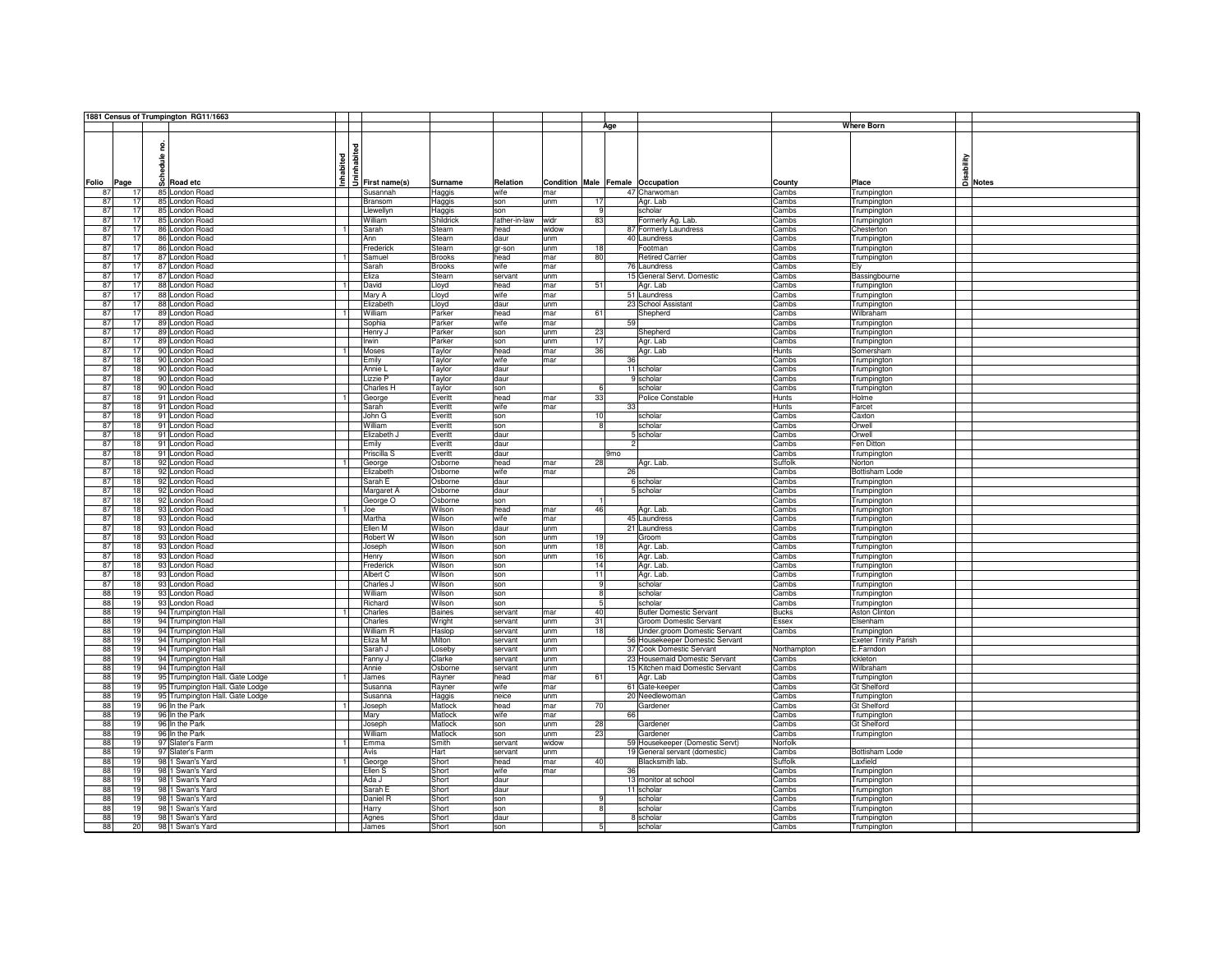|       |          |          | 1881 Census of Trumpington RG11/1663 |                      |                 |               |               |       |                 |                 |                                  |              |                              |                                    |
|-------|----------|----------|--------------------------------------|----------------------|-----------------|---------------|---------------|-------|-----------------|-----------------|----------------------------------|--------------|------------------------------|------------------------------------|
|       |          |          |                                      |                      |                 |               |               |       |                 | Age             |                                  |              | <b>Where Born</b>            |                                    |
|       |          |          |                                      |                      |                 |               |               |       |                 |                 |                                  |              |                              |                                    |
|       |          | 혿        |                                      |                      |                 |               |               |       |                 |                 |                                  |              |                              |                                    |
|       |          |          |                                      |                      | abited          |               |               |       |                 |                 |                                  |              |                              |                                    |
|       |          | Schedule |                                      | nhabited             |                 |               |               |       |                 |                 |                                  |              |                              | Saaility<br>Disability<br>Di Notes |
|       |          |          |                                      |                      |                 |               |               |       |                 |                 |                                  |              |                              |                                    |
| Folio | Page     |          | Road etc                             |                      | 5 First name(s) | Surname       | Relation      |       |                 |                 | Condition Male Female Occupation | County       | Place                        |                                    |
| 87    | 17       |          | 85 London Road                       |                      | Susannah        | Haggis        | wife          | mar   |                 |                 | 47 Charwoman                     | Cambs        | Trumpington                  |                                    |
| 87    | 17       |          | 85 London Road                       |                      | Bransom         | Haggis        | son           | unm   | 17              |                 | Agr. Lab                         | Cambs        | Trumpington                  |                                    |
| 87    | 17       |          | 85 London Road                       |                      | Llewellyn       | Haggis        | son           |       | 9               |                 | scholar                          | Cambs        | Trumpington                  |                                    |
| 87    | 17       |          | 85 London Road                       |                      | William         | Shildrick     | father-in-law | widr  | 83              |                 | Formerly Ag. Lab.                | Cambs        | Trumpington                  |                                    |
| 87    | 17       |          | 86 London Road                       | -1                   | Sarah           | Stearn        | head          | widow |                 |                 | 87 Formerly Laundress            | Cambs        | Chesterton                   |                                    |
| 87    | 17       |          | 86 London Road                       |                      | Ann             | Stearn        | daur          | unm   |                 |                 | 40 Laundress                     | Cambs        | Trumpington                  |                                    |
| 87    | 17       |          | 86 London Road                       |                      | Frederick       | Steam         | gr-son        | unm   | 18              |                 | Footman                          | Cambs        | Trumpington                  |                                    |
| 87    | 17       |          | 87 London Road                       | $\overline{1}$       | Samuel          | <b>Brooks</b> | head          | mar   | 80              |                 | <b>Retired Carrier</b>           | Cambs        | Trumpington                  |                                    |
| 87    | 17       |          | 87 London Road                       |                      | Sarah           | <b>Brooks</b> | wife          | mar   |                 |                 | 76 Laundress                     | Cambs        | Ely                          |                                    |
| 87    | 17       |          | 87 London Road                       |                      | Eliza           | Stearn        | servant       | unm   |                 |                 | 15 General Servt, Domestic       | Cambs        | Bassingbourne                |                                    |
| 87    | 17       |          | 88 London Road                       | $\overline{1}$       | David           | Lloyd         | head          | mar   | 51              |                 | Agr. Lab                         | Cambs        | Trumpington                  |                                    |
| 87    | 17       |          | 88 London Road                       |                      | Mary A          | Lloyd         | wife          | mar   |                 |                 | 51 Laundress                     | Cambs        | Trumpington                  |                                    |
| 87    | 17       |          | 88 London Road                       |                      | Elizabeth       | Lloyd         | daur          | unm   |                 |                 | 23 School Assistant              | Cambs        | Trumpington                  |                                    |
| 87    | 17       |          | 89 London Road                       | -1                   | William         | Parker        | head          | mar   | 61              |                 | Shepherd                         | Cambs        | Wilbraham                    |                                    |
| 87    | 17       |          | 89 London Road                       |                      | Sophia          | Parker        | wife          | mar   |                 | 59              |                                  | Cambs        | Trumpington                  |                                    |
| 87    | 17       |          | 89 London Road                       |                      | Henry J         | Parker        | son           | unm   | 23              |                 | Shepherd                         | Cambs        | Trumpington                  |                                    |
| 87    | 17       |          | 89 London Road                       |                      | Irwin           | Parker        | son           | unm   | 17              |                 | Agr. Lab                         | Cambs        | Trumpington                  |                                    |
| 87    | 17       |          | 90 London Road                       |                      | Moses           | Taylor        | head          | mar   | 36              |                 | Agr. Lab                         | <b>Hunts</b> | Somersham                    |                                    |
| 87    | 18       |          | 90 London Road                       |                      | Emily           | Taylor        | wife          | mar   |                 | 36              |                                  | Cambs        | Trumpington                  |                                    |
| 87    | 18       |          | 90 London Road                       |                      | Annie L         | Taylor        | daur          |       |                 |                 | 11 scholar                       | Cambs        | Trumpington                  |                                    |
| 87    | 18       |          | 90 London Road                       |                      | Lizzie P        | Taylor        | daur          |       |                 |                 | 9 scholar                        | Cambs        | Trumpington                  |                                    |
| 87    | 18       |          | 90 London Road                       |                      | Charles H       | Taylor        | son           |       | 6               |                 | scholar                          | Cambs        | Trumpington                  |                                    |
| 87    | 18       |          | 91 London Road                       | $\blacksquare$       | George          | Everitt       | head          | mar   | 33              |                 | Police Constable                 | Hunts        | Holme                        |                                    |
| 87    | 18       |          | 91 London Road                       |                      | Sarah           | Everitt       | wife          | mar   |                 | 33              |                                  | Hunts        | Farcet                       |                                    |
| 87    | 18       |          | 91 London Road                       |                      | John G          | Everitt       | son           |       | 10              |                 | scholar                          | Cambs        | Caxton                       |                                    |
| 87    | 18       |          | 91 London Road                       |                      | William         | Everitt       | son           |       | $\mathbf{R}$    |                 | scholar                          | Cambs        | Orwell                       |                                    |
| 87    | 18       |          | 91 London Road                       |                      | Elizabeth,      | Everitt       | daur          |       |                 |                 | 5 scholar                        | Cambs        | Orwell                       |                                    |
| 87    | 18       |          | 91 London Road                       |                      | Emily           | Everitt       | daur          |       |                 | $\overline{a}$  |                                  | Cambs        | Fen Ditton                   |                                    |
| 87    | 18       |          | 91 London Road                       |                      | Priscilla S     | Everitt       | daur          |       |                 | 9 <sub>mo</sub> |                                  | Cambs        | Trumpington                  |                                    |
| 87    | 18       |          | 92 London Road                       |                      | George          | Osborne       | head          | mar   | 28              |                 | Agr. Lab.                        | Suffolk      | Norton                       |                                    |
| 87    | 18       |          | 92 London Road                       |                      | Elizabeth       | Osborne       | wife          | mar   |                 | 26              |                                  | Cambs        | <b>Bottisham Lode</b>        |                                    |
| 87    | 18       |          | 92 London Road                       |                      | Sarah E         | Osborne       | daur          |       |                 |                 | 6 scholar                        | Cambs        | Trumpington                  |                                    |
| 87    | 18       |          | 92 London Road                       |                      | Margaret A      | Osborne       | daur          |       |                 |                 | 5 scholar                        | Cambs        | Trumpington                  |                                    |
| 87    | 18       |          | 92 London Road                       |                      | George O        | Osborne       | son           |       |                 |                 |                                  | Cambs        | Trumpington                  |                                    |
| 87    | 18       |          | 93 London Road                       |                      | Joe             | Wilson        | head          | mar   | 46              |                 | Agr. Lab.                        | Cambs        | Trumpington                  |                                    |
| 87    | 18       |          | 93 London Road                       |                      | Martha          | Wilson        | wife          | mar   |                 |                 | 45 Laundress                     | Cambs        | Trumpington                  |                                    |
| 87    | 18       |          | 93 London Road                       |                      | Ellen M         | Wilson        | daur          | unm   |                 |                 | 21 Laundress                     | Cambs        | Trumpington                  |                                    |
| 87    | 18       |          | 93 London Road                       |                      | Robert W        | Wilson        | son           | unm   | 19              |                 | Groom                            | Cambs        | Trumpington                  |                                    |
| 87    | 18       |          | 93 London Road                       |                      | Joseph          | Wilson        | son           | unm   | 18              |                 | Agr. Lab.                        | Cambs        | Trumpington                  |                                    |
| 87    | 18       |          | 93 London Road                       |                      | Henry           | Wilson        | son           | unm   | 16              |                 | Agr. Lab.                        | Cambs        | Trumpington                  |                                    |
| 87    | 18       |          | 93 London Road                       |                      | Frederick       | Wilson        | son           |       | 14              |                 | Agr. Lab.                        | Cambs        | Trumpington                  |                                    |
| 87    | 18       |          | 93 London Road                       |                      | Albert C        | Wilson        | son           |       | 11              |                 | Agr. Lab.                        | Cambs        | Trumpington                  |                                    |
| 87    | 18       |          | 93 London Road                       |                      | Charles J       | Wilson        | son           |       | 9               |                 | scholar                          | Cambs        | Trumpington                  |                                    |
|       | 88<br>19 |          | 93 London Road                       |                      | William         | Wilson        | son           |       | 8               |                 | scholar                          | Cambs        | Trumpington                  |                                    |
| 88    | 19       |          | 93 London Road                       |                      | Richard         | Wilson        | son           |       | $5\overline{5}$ |                 | scholar                          | Cambs        | Trumpington                  |                                    |
|       | 88<br>19 |          | 94 Trumpington Hall                  |                      | Charles         | <b>Baines</b> | servant       | mar   | 40              |                 | <b>Butler Domestic Servant</b>   | <b>Bucks</b> | Aston Clinton                |                                    |
| 88    | 19       |          | 94 Trumpington Hall                  |                      | Charles         | Wright        | servant       | unm   | 31              |                 | Groom Domestic Servant           | Essex        | Elsenham                     |                                    |
| 88    | 19       |          | 94 Trumpington Hall                  |                      | William R       | Haslop        | servant       | unm   | 18              |                 | Under.groom Domestic Servant     | Cambs        | Trumpington                  |                                    |
| 88    | 19       |          | 94 Trumpington Hall                  |                      | Eliza M         | Milton        | servant       | unm   |                 |                 | 56 Housekeeper Domestic Servant  |              | <b>Exeter Trinity Parish</b> |                                    |
| 88    | 19       |          | 94 Trumpington Hall                  |                      | Sarah J         | Loseby        | servant       | unm   |                 |                 | 37 Cook Domestic Servant         | Northampton  | E.Farndon                    |                                    |
| 88    | 19       |          | 94 Trumpington Hall                  |                      | Fanny J         | Clarke        | servant       | inm   |                 |                 | 23 Housemaid Domestic Servant    | Cambs        | ckleton                      |                                    |
| 88    | 19       |          | 94 Trumpington Hall                  |                      | Annie           | Osborne       | servant       | unm   |                 |                 | 15 Kitchen maid Domestic Servant | Cambs        | Wilbraham                    |                                    |
| 88    | 19       |          | 95 Trumpington Hall. Gate Lodge      |                      | James           | Rayner        | head          | mar   | 61              |                 | Agr. Lab                         | Cambs        | Trumpington                  |                                    |
| 88    | 19       |          | 95 Trumpington Hall. Gate Lodge      |                      | Susanna         | Rayner        | wife          | mar   |                 |                 | 61 Gate-keeper                   | Cambs        | Gt Shelford                  |                                    |
| 88    | 19       |          | 95 Trumpington Hall. Gate Lodge      |                      | Susanna         | Haggis        | neice         | unm   |                 |                 | 20 Needlewoman                   | Cambs        | Trumpington                  |                                    |
| 88    | 19       |          | 96 In the Park                       | $\blacktriangleleft$ | Joseph          | Matlock       | head          | mar   | 70              |                 | Gardener                         | Cambs        | <b>Gt Shelford</b>           |                                    |
| 88    | 19       |          | 96 In the Park                       |                      | Mary            | Matlock       | wife          | mar   |                 | 66              |                                  | Cambs        | Trumpington                  |                                    |
| 88    | 19       |          | 96 In the Park                       |                      | Joseph          | Matlock       | son           | unm   | 28              |                 | Gardener                         | Cambs        | <b>Gt Shelford</b>           |                                    |
| 88    | 19       |          | 96 In the Park                       |                      | William         | Matlock       | son           | unm   | 23              |                 | Gardener                         | Cambs        | Trumpington                  |                                    |
| 88    | 19       |          | 97 Slater's Farm                     | $\overline{1}$       | Emma            | Smith         | servant       | widow |                 |                 | 59 Housekeeper (Domestic Servt)  | Norfolk      |                              |                                    |
| 88    | 19       |          | 97 Slater's Farm                     |                      | Avis            | Hart          | servant       | unm   |                 |                 | 19 General servant (domestic)    | Cambs        | <b>Bottisham Lode</b>        |                                    |
| 88    | 19       |          | 98 1 Swan's Yard                     |                      | George          | Short         | head          | mar   | 40              |                 | Blacksmith lab.                  | Suffolk      | Laxfield                     |                                    |
|       | 88<br>19 |          | 98 1 Swan's Yard                     |                      | Ellen S         | Short         | wife          | mar   |                 | 36              |                                  | Cambs        | Trumpington                  |                                    |
|       | 88<br>19 |          | 98 1 Swan's Yard                     |                      | Ada J           | Short         | daur          |       |                 |                 | 13 monitor at school             | Cambs        | Trumpington                  |                                    |
| 88    | 19       |          | 98 1 Swan's Yard                     |                      | Sarah E         | Short         | daur          |       |                 |                 | 11 scholar                       | Cambs        | Trumpington                  |                                    |
| 88    | 19       |          | 98 1 Swan's Yard                     |                      | Daniel R        | Short         | son           |       | 9               |                 | scholar                          | Cambs        | Trumpington                  |                                    |
| 88    | 19       |          | 98 1 Swan's Yard                     |                      | Harry           | Short         | son           |       | R               |                 | scholar                          | Cambs        | Trumpington                  |                                    |
| 88    | 19       |          | 98 1 Swan's Yard                     |                      | Agnes           | Short         | daur          |       |                 |                 | 8 scholar                        | Cambs        | Trumpington                  |                                    |
|       | 88<br>20 |          | 98 1 Swan's Yard                     |                      | James           | Short         | son           |       | 5               |                 | scholar                          | Cambs        | Trumpinaton                  |                                    |
|       |          |          |                                      |                      |                 |               |               |       |                 |                 |                                  |              |                              |                                    |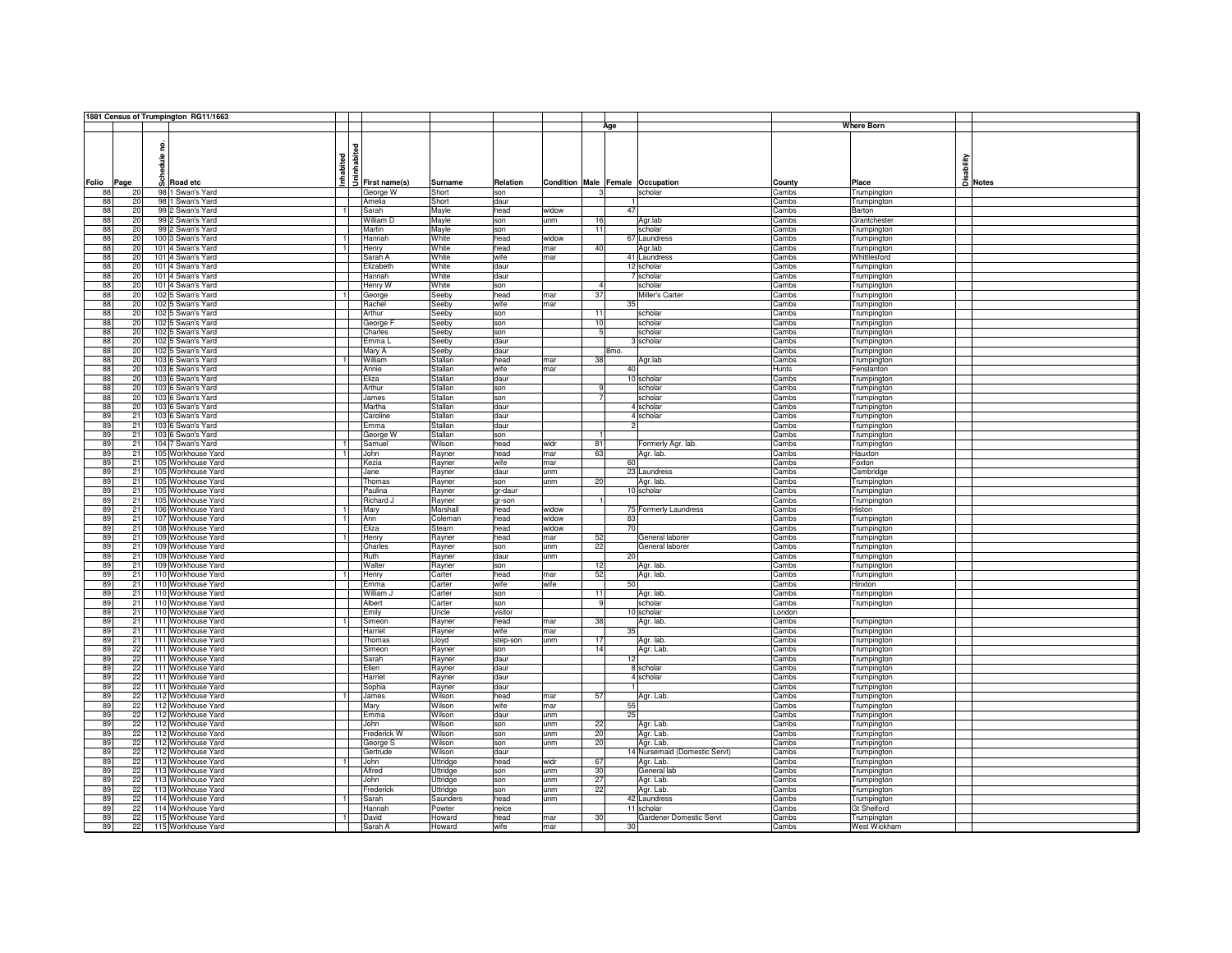|                      |   | 1881 Census of Trumpington RG11/1663 |                                              |                  |              |            |                                  |                               |                |                                    |         |
|----------------------|---|--------------------------------------|----------------------------------------------|------------------|--------------|------------|----------------------------------|-------------------------------|----------------|------------------------------------|---------|
|                      |   |                                      |                                              |                  |              |            | Age                              |                               |                | <b>Where Born</b>                  |         |
|                      |   |                                      |                                              |                  |              |            |                                  |                               |                |                                    |         |
|                      | 읃 |                                      | $\frac{1}{2}$<br>$\frac{1}{2}$ First name(s) |                  |              |            |                                  |                               |                |                                    |         |
|                      | 을 |                                      |                                              |                  |              |            |                                  |                               |                |                                    |         |
|                      | 륮 |                                      |                                              |                  |              |            |                                  |                               |                |                                    |         |
|                      |   | Inhabited                            |                                              |                  |              |            |                                  |                               |                | sability                           |         |
| Folio<br>Page        |   | $\frac{6}{9}$ Road etc               |                                              | Surname          | Relation     |            | Condition Male Female Occupation |                               | County         | Place                              | A Notes |
| 88<br>20             |   | 98 1 Swan's Yard                     | George W                                     | Short            | son          |            |                                  | scholar                       | Cambs          | Trumpington                        |         |
| 88<br>20             |   | 98 1 Swan's Yard                     | Amelia                                       | Short            | daur         |            |                                  |                               | Cambs          | Trumpington                        |         |
| 88<br>20             |   | 99 2 Swan's Yard<br>$\overline{1}$   | Sarah                                        | Mayle            | head         | widow      | 47                               |                               | Cambs          | Barton                             |         |
| 88<br>20             |   | 99 2 Swan's Yard                     | William D                                    | Mayle            | son          | unm        | 16                               | Agr.lab                       | Cambs          | Grantchester                       |         |
| 88<br>20             |   | 99 2 Swan's Yard                     | Martin                                       | Mayle            | son          |            | 11                               | scholar                       | Cambs          | Trumpington                        |         |
| 88<br>20             |   | 100 3 Swan's Yard                    | Hannah                                       | White            | head         | widow      |                                  | 67 Laundress                  | Cambs          | Trumpington                        |         |
| 88<br>20             |   | 101 4 Swan's Yard                    | Henry                                        | White            | head         | mar        | 40                               | Agr.lab                       | Cambs          | Trumpington                        |         |
| 88<br>20             |   | 101 4 Swan's Yard                    | Sarah A                                      | White            | wife         | mar        |                                  | 41 Laundress                  | Cambs          | Whittlesford                       |         |
| 88<br>20             |   | 101 4 Swan's Yard                    | Elizabeth                                    | White            | daur         |            |                                  | 12 scholar                    | Cambs          | Trumpington                        |         |
| 88<br>20             |   | 101 4 Swan's Yard                    | Hannah                                       | White            | daur         |            |                                  | 7 scholar                     | Cambs          | Trumpington                        |         |
| 88<br>20             |   | 101 4 Swan's Yard                    | Henry W                                      | White            | son          |            | $\overline{4}$                   | scholar                       | Cambs          | Trumpington                        |         |
| 88<br>20             |   | 102 5 Swan's Yard                    | George                                       | Seeby            | head         | mar        | 37                               | Miller's Carter               | Cambs          | Trumpington                        |         |
| 88<br>20             |   | 102 5 Swan's Yard                    | Rachel                                       | Seeby            | wife         | mar        | 35                               |                               | Cambs          | Trumpington                        |         |
| 88<br>20             |   | 102 5 Swan's Yard                    | Arthur                                       | Seeby            | son          |            | 11                               | scholar                       | Cambs          | Trumpington                        |         |
| 88<br>20             |   | 102 5 Swan's Yard                    | George F                                     | Seeby            | son          |            | 10                               | scholar                       | Cambs          | Trumpington                        |         |
| 88<br>20             |   | 102 5 Swan's Yard                    | Charles                                      | Seeby            | son          |            | $\overline{5}$                   | scholar                       | Cambs          | Trumpington                        |         |
| 88<br>20             |   | 102 5 Swan's Yard                    | Emma L                                       | Seeby            | daur         |            |                                  | 3 scholar                     | Cambs          | Trumpington                        |         |
| 88<br>20             |   | 102 5 Swan's Yard                    | Mary A                                       | Seeby            | daur         |            | 8 <sub>mo</sub>                  |                               | Cambs          | Trumpington                        |         |
| 88<br>20             |   | 103 6 Swan's Yard                    | William                                      | Stallan          | head         | mar        | 38                               | Agr.lab                       | Cambs          | Trumpington                        |         |
| 88<br>20             |   | 103 6 Swan's Yard                    | Annie                                        | Stallan          | wife         | mar        | 40                               |                               | Hunts          | Fenstanton                         |         |
| 88<br>20             |   | 103 6 Swan's Yard                    | Eliza                                        | Stallan          | daur         |            |                                  | 10 scholar                    | Cambs          | Trumpington                        |         |
| 88<br>20             |   | 103 6 Swan's Yard                    | Arthur                                       | Stallan          | son          |            | -9                               | scholar                       | Cambs          | Trumpington                        |         |
| 88<br>20             |   | 103 6 Swan's Yard                    | James                                        | Stallan          | son          |            | $\overline{7}$                   | scholar                       | Cambs          | Trumpington                        |         |
| 88<br>20             |   | 103 6 Swan's Yard                    | Martha                                       | Stallan          | daur         |            |                                  | 4 scholar                     | Cambs          | Trumpington                        |         |
| 89<br>21             |   | 103 6 Swan's Yard                    | Caroline                                     | Stallan          | daur         |            |                                  | 4 scholar                     | Cambs          | Trumpington                        |         |
| 89<br>21             |   | 103 6 Swan's Yard                    | Emma                                         | Stallan          | daur         |            |                                  |                               | Cambs          | Trumpington                        |         |
| 89<br>21             |   | 103 6 Swan's Yard                    | George W                                     | Stallan          | son          |            |                                  |                               | Cambs          | Trumpington                        |         |
| 89<br>21             |   | 104 7 Swan's Yard<br>$\overline{1}$  | Samuel                                       | Wilson           | head         | widr       | 81                               | Formerly Agr. lab.            | Cambs          | Trumpington                        |         |
| 89<br>21             |   | 105 Workhouse Yard<br>$\overline{1}$ | John                                         | Rayner           | head         | mar        | 63                               | Agr. lab.                     | Cambs          | Hauxton                            |         |
| 89<br>21             |   | 105 Workhouse Yard                   | Kezia                                        | Rayner           | wife         | mar        | 60                               |                               | Cambs          | Foxton                             |         |
| 89<br>21             |   | 105 Workhouse Yard                   | Jane                                         | Rayner           | daur         | unm        |                                  | 23 Laundress                  | Cambs          | Cambridge                          |         |
| 89<br>21             |   | 105 Workhouse Yard                   | Thomas                                       | Rayner           | son          | unm        | 20                               | Agr. lab.                     | Cambs          | Trumpington                        |         |
| 89<br>21             |   | 105 Workhouse Yard                   | Paulina                                      | Rayner           | gr-daur      |            |                                  | 10 scholar                    | Cambs          | Trumpington                        |         |
| 89<br>21             |   | 105 Workhouse Yard                   | Richard J                                    | Rayner           | gr-son       |            |                                  |                               | Cambs          | Trumpington                        |         |
| 89<br>21             |   | 106 Workhouse Yard<br>-1             | Mary                                         | Marshall         | head         | widow      |                                  | 75 Formerly Laundress         | Cambs          | Histon                             |         |
| 89<br>21             |   | 107 Workhouse Yard                   | Ann                                          | Coleman          | head         | widow      | 83                               |                               | Cambs          | Trumpington                        |         |
| 89<br>21             |   | 108 Workhouse Yard                   | Eliza                                        | Stearn           | head         | widow      | 70                               |                               | Cambs          | Trumpington                        |         |
| 89<br>21             |   | 109 Workhouse Yard                   | Henry                                        | Rayner           | head         | mar        | 52                               | General laborer               | Cambs          | Trumpington                        |         |
| 89<br>21             |   | 109 Workhouse Yard                   | Charles                                      | Rayner           | son          | unm        | 22                               | General laborer               | Cambs          | Trumpington                        |         |
| 89<br>21             |   | 109 Workhouse Yard                   | Ruth                                         | Rayner           | daur         | unm        | 20                               |                               | Cambs          | Trumpington                        |         |
| 89<br>21             |   | 109 Workhouse Yard                   | Walter                                       | Rayner           | son          |            | 12                               | Agr. lab.                     | Cambs          | Trumpington                        |         |
| 89<br>21             |   | 110 Workhouse Yard<br>$\overline{1}$ | Henry                                        | Carter           | head         | mar        | 52                               | Agr. lab.                     | Cambs          | Trumpington                        |         |
| 89<br>21             |   | 110 Workhouse Yard                   | Emma                                         | Carter           | wife         | wife       | 50                               |                               | Cambs          | Hinxton                            |         |
| 89<br>21             |   | 110 Workhouse Yard                   | William J                                    | Carter           | son          |            | 11                               | Agr. lab.                     | Cambs          | Trumpington                        |         |
| 89<br>21             |   | 110 Workhouse Yard                   | Albert                                       | Carter           | son          |            | 9                                | scholar                       | Cambs          | Trumpington                        |         |
| 89<br>21             |   | 110 Workhouse Yard                   | Emily                                        | Uncle            | visitor      |            |                                  | 10 scholar                    | London         |                                    |         |
| 89<br>21             |   | 111 Workhouse Yard<br>$\overline{1}$ | Simeon                                       | Rayner           | head         | mar        | 38                               | Agr. lab.                     | Cambs          | Trumpington                        |         |
| 89<br>21             |   | 111 Workhouse Yard                   | Harriet                                      | Rayner           | wife         | mar        | 35                               |                               | Cambs          | Trumpington                        |         |
| 89<br>21             |   | 111 Workhouse Yard                   | Thomas                                       | Lloyd            | step-son     | unm        | 17                               | Agr. lab.                     | Cambs          | Trumpington                        |         |
| 89<br>22             |   | 111 Workhouse Yard                   | Simeon                                       | Rayner           | son          |            | 14                               | Agr. Lab.                     | Cambs          | Trumpington                        |         |
| 89<br>22             |   | 111 Workhouse Yard                   | Sarah                                        | Rayner           | daur         |            | 12                               |                               | Cambs          | Trumpington                        |         |
| 22<br>89             |   | 111 Workhouse Yard                   | Ellen                                        | Rayner           | daur         |            |                                  | 8 scholar                     | Cambs          | Trumpington                        |         |
| 22<br>89             |   | 111 Workhouse Yard                   | Harriet                                      | Rayner           | daur         |            |                                  | 4 scholar                     | Cambs          | Trumpington                        |         |
| 89<br>22             |   | 111 Workhouse Yard                   | Sophia                                       | Rayner           | daur         |            |                                  |                               | Cambs          | Trumpington                        |         |
| 89<br>22             |   | 112 Workhouse Yard<br>$\overline{1}$ | James                                        | Wilson           | head         | mar        | 57                               | Agr. Lab.                     | Cambs          | Trumpington                        |         |
| 89<br>22             |   | 112 Workhouse Yard                   | Mary                                         | Wilson           | wife         | mar        | 55                               |                               | Cambs          | Trumpington                        |         |
| 89<br>22             |   | 112 Workhouse Yard                   | Emma                                         | Wilson           | daur         | unm        | 25                               |                               | Cambs          | Trumpington                        |         |
| 89<br>22             |   | 112 Workhouse Yard                   | John                                         | Wilson           | son          | unm        | 22                               | Agr. Lab.                     | Cambs          | Trumpington                        |         |
| 89<br>22             |   | 112 Workhouse Yard                   | Frederick W                                  | Wilson           | son          | unm        | 20                               |                               | Cambs          |                                    |         |
| 89<br>22             |   | 112 Workhouse Yard                   | George S                                     | Wilson           |              | unm        | 20                               | Agr. Lab.<br>Agr. Lab.        | Cambs          | Trumpington                        |         |
| 89<br>22             |   | 112 Workhouse Yard                   | Gertrude                                     | Wilson           | son<br>daur  |            |                                  | 14 Nursemaid (Domestic Servt) | Cambs          | Trumpington                        |         |
| 89                   |   | 113 Workhouse Yard                   | <b>John</b>                                  |                  | head         | widr       | 67                               |                               | Cambs          | Trumpington                        |         |
| 22                   |   |                                      |                                              | Uttridge         |              |            |                                  | Agr. Lab.                     |                | Trumpington                        |         |
| 89<br>22             |   | 113 Workhouse Yard                   | Alfred                                       | Uttridge         | son          | unm        | 30                               | General lab                   | Cambs          | Trumpington                        |         |
| 89<br>22             |   | 113 Workhouse Yard                   | John                                         | Uttridge         | son          | unm        | 27                               | Agr. Lab.                     | Cambs          | Trumpington                        |         |
| 89<br>22             |   | 113 Workhouse Yard                   | Frederick                                    | Uttridge         | son          | unm        | 22                               | Agr. Lab.                     | Cambs          | Trumpington                        |         |
| 89<br>22             |   | 114 Workhouse Yard<br>$\overline{1}$ | Sarah                                        | Saunders         | head         | unm        |                                  | 42 Laundress                  | Cambs          | Trumpington                        |         |
| 89<br>22             |   | 114 Workhouse Yard                   | Hannah                                       | Powter           | neice        |            |                                  | 11 scholar                    | Cambs          | Gt Shelford                        |         |
|                      |   | 115 Workhouse Yard                   | David                                        | Howard<br>Howard | head<br>wife | mar<br>mar | 30<br>30                         | Gardener Domestic Servt       | Cambs<br>Cambs | Trumpington<br><b>West Wickham</b> |         |
| 89<br>22<br>89<br>22 |   | 115 Workhouse Yard                   | Sarah A                                      |                  |              |            |                                  |                               |                |                                    |         |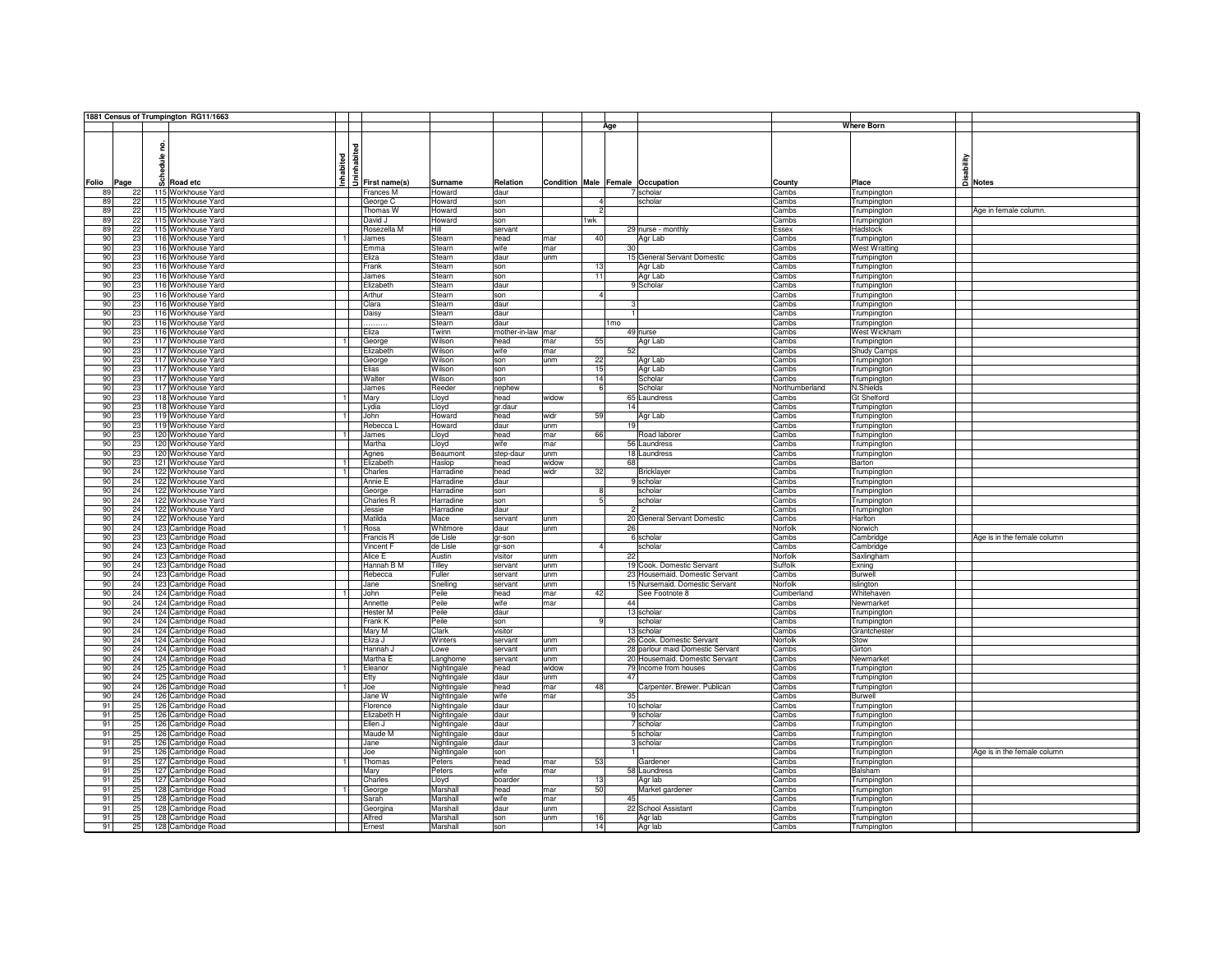|                      |   | 1881 Census of Trumpington RG11/1663                       |                |                                              |                       |                   |            |                                  |                                  |                |                        |                             |
|----------------------|---|------------------------------------------------------------|----------------|----------------------------------------------|-----------------------|-------------------|------------|----------------------------------|----------------------------------|----------------|------------------------|-----------------------------|
|                      |   |                                                            |                |                                              |                       |                   |            | Age                              |                                  |                | <b>Where Born</b>      |                             |
|                      |   |                                                            |                |                                              |                       |                   |            |                                  |                                  |                |                        |                             |
|                      |   |                                                            |                | $\frac{1}{2}$<br>$\frac{1}{2}$ First name(s) |                       |                   |            |                                  |                                  |                |                        |                             |
|                      | ≝ | Inhabited                                                  |                |                                              |                       |                   |            |                                  |                                  |                | sability               |                             |
|                      |   |                                                            |                |                                              |                       |                   |            |                                  |                                  |                |                        |                             |
| Folio<br>Page        |   | o Road etc                                                 |                |                                              | Surname               | Relation          |            | Condition Male Female Occupation |                                  | County         | Place                  | A Notes                     |
| 89<br>22             |   | 115 Workhouse Yard                                         |                | Frances M                                    | Howard                | daur              |            |                                  | 7 scholar                        | Cambs          | Trumpington            |                             |
| 22<br>89             |   | 115 Workhouse Yard                                         |                | George C                                     | Howard                | son               |            | $\mathbf{A}$                     | scholar                          | Cambs          | Trumpington            |                             |
| 22<br>89             |   | 115 Workhouse Yard                                         |                | Thomas W                                     | Howard                | son               |            | $\overline{2}$                   |                                  | Cambs          | Trumpington            | Age in female column.       |
| 89<br>22             |   | 115 Workhouse Yard                                         |                | David J                                      | Howard                | son               |            | 1wk                              |                                  | Cambs          | Trumpington            |                             |
| 89<br>22             |   | 115 Workhouse Yard                                         |                | Rosezella M                                  | Hill                  | servant           |            |                                  | 29 nurse - monthly               | Essex          | Hadstock               |                             |
| 90<br>23             |   | 116 Workhouse Yard                                         |                | James                                        | Stearn                | head              | mar        | 40                               | Agr Lab                          | Cambs          | Trumpington            |                             |
| 90<br>23             |   | 116 Workhouse Yard                                         |                | Emma                                         | Stearn                | wife              | mar        | 30                               |                                  | Cambs          | <b>West Wratting</b>   |                             |
| 90<br>23             |   | 116 Workhouse Yard                                         |                | Eliza                                        | Stearn                | daur              | unm        |                                  | 15 General Servant Domestic      | Cambs          | Trumpington            |                             |
| 90<br>23             |   | 116 Workhouse Yard                                         |                | Frank                                        | Stearn                | son               |            | 13                               | Agr Lab                          | Cambs          | Trumpington            |                             |
| 90<br>23             |   | 116 Workhouse Yard                                         |                | James                                        | Stearn                | son               |            | 11                               | Agr Lab                          | Cambs          | Trumpington            |                             |
| 90<br>23             |   | 116 Workhouse Yard                                         |                | Elizabeth                                    | Stearn                | daur              |            |                                  | 9 Scholar                        | Cambs          | Trumpington            |                             |
| 90<br>23             |   | 116 Workhouse Yard                                         |                | Arthur                                       | Stearn                | son               |            | $\overline{4}$                   |                                  | Cambs          | Trumpington            |                             |
| 90<br>23             |   | 116 Workhouse Yard                                         |                | Clara                                        | Stearn                | daur              |            |                                  |                                  | Cambs          | Trumpington            |                             |
| 90<br>23             |   | 116 Workhouse Yard                                         |                | Daisy                                        | Stearn                | daur              |            |                                  |                                  | Cambs          | Trumpington            |                             |
| 90<br>23             |   | 116 Workhouse Yard                                         |                |                                              | Stearn                | daur              |            | 1 <sub>mo</sub>                  |                                  | Cambs          | Trumpington            |                             |
| 90<br>23             |   | 116 Workhouse Yard                                         |                | Eliza                                        | Twinn                 | mother-in-law mar |            |                                  | 49 nurse                         | Cambs          | West Wickham           |                             |
| 90<br>23             |   | 117 Workhouse Yard                                         |                | George                                       | Wilson                | head              | mar        | 55                               | Agr Lab                          | Cambs          | Trumpington            |                             |
| 90<br>23             |   | 117 Workhouse Yard                                         |                | Elizabeth                                    | Wilson                | wife              | mar        | 52                               |                                  | Cambs          | Shudy Camps            |                             |
| 90<br>23             |   | 117 Workhouse Yard                                         |                | George                                       | Wilson                | son               | unm        | 22                               | Agr Lab                          | Cambs          | Trumpington            |                             |
| 90<br>23             |   | 117 Workhouse Yard                                         |                | Elias                                        | Wilson                | son               |            | 15                               | Agr Lab                          | Cambs          | Trumpington            |                             |
| 90<br>23             |   | 117 Workhouse Yard                                         |                | Walter                                       | Wilson                | son               |            | 14                               | Scholar                          | Cambs          | Trumpington            |                             |
| 90<br>23             |   | 117 Workhouse Yard                                         |                | James                                        | Reeder                | nephew            |            | 6                                | Scholar                          | Northumberland | N.Shields              |                             |
| 90<br>23             |   | 118 Workhouse Yard                                         |                | Mary                                         | Lloyd                 | head              | widow      |                                  | 65 Laundress                     | Cambs          | Gt Shelford            |                             |
| 90<br>23             |   | 118 Workhouse Yard                                         |                | Lydia                                        | Lloyd                 | gr.daur           |            | 14                               |                                  | Cambs          | Trumpington            |                             |
| 90<br>23             |   | 119 Workhouse Yard                                         |                | John                                         | Howard                | head              | widr       | 59                               | Agr Lab                          | Cambs          | Trumpington            |                             |
| 90<br>23<br>90<br>23 |   | 119 Workhouse Yard<br>120 Workhouse Yard<br>$\overline{1}$ |                | Rebecca<br>James                             | Howard                | daur              | unm        | 19<br>66                         |                                  | Cambs          | Trumpington            |                             |
| 90<br>23             |   | 120 Workhouse Yard                                         |                | Martha                                       | Lloyd                 | head<br>wife      | mar        |                                  | Road laborer<br>56 Laundress     | Cambs<br>Cambs | Trumpington            |                             |
| 90<br>23             |   | 120 Workhouse Yard                                         |                | Agnes                                        | Lloyd                 | step-daur         | mar<br>unm |                                  | 18 Laundress                     | Cambs          | Trumpington            |                             |
| 90<br>23             |   | 121 Workhouse Yard                                         |                | Elizabeth                                    | Beaumont<br>Haslop    | head              | widow      | 68                               |                                  | Cambs          | Trumpington<br>Barton  |                             |
| 90<br>24             |   | 122 Workhouse Yard                                         |                | Charles                                      | Harradine             | head              | widr       | 32                               | <b>Bricklayer</b>                | Cambs          | Trumpington            |                             |
| 90<br>24             |   | 122 Workhouse Yard                                         |                | Annie E                                      | Harradine             | daur              |            |                                  | 9 scholar                        | Cambs          | Trumpington            |                             |
| 90<br>24             |   | 122 Workhouse Yard                                         |                | George                                       | Harradine             | son               |            | 8                                | scholar                          | Cambs          | Trumpington            |                             |
| 90<br>24             |   | 122 Workhouse Yard                                         |                | <b>Charles R</b>                             | Harradine             | son               |            | 5                                | scholar                          | Cambs          | Trumpington            |                             |
| 90<br>24             |   | 122 Workhouse Yard                                         |                | Jessie                                       | Harradine             | daur              |            |                                  |                                  | Cambs          | Trumpington            |                             |
| 90<br>24             |   | 122 Workhouse Yard                                         |                | Matilda                                      | Mace                  | servant           | unm        |                                  | 20 General Servant Domestic      | Cambs          | Harlton                |                             |
| 90<br>24             |   | 123 Cambridge Road                                         |                | Rosa                                         | Whitmore              | daur              | unm        | 26                               |                                  | Norfolk        | Norwich                |                             |
| 90<br>23             |   | 123 Cambridge Road                                         |                | Francis R                                    | de Lisle              | gr-son            |            |                                  | 6 scholar                        | Cambs          | Cambridge              | Age is in the female column |
| 90<br>24             |   | 123 Cambridge Road                                         |                | Vincent F                                    | de Lisle              | gr-son            |            | $\mathbf{A}$                     | scholar                          | Cambs          | Cambridge              |                             |
| 90<br>24             |   | 123 Cambridge Road                                         |                | Alice E                                      | Austin                | visitor           | unm        | 22                               |                                  | Norfolk        | Saxlingham             |                             |
| 90<br>24             |   | 123 Cambridge Road                                         |                | Hannah B M                                   | Tilley                | servant           | unm        |                                  | 19 Cook. Domestic Servant        | Suffolk        | Exning                 |                             |
| 90<br>24             |   | 123 Cambridge Road                                         |                | Rebecca                                      | Fuller                | servant           | unm        |                                  | 23 Housemaid. Domestic Servant   | Cambs          | Burwell                |                             |
| 90<br>24             |   | 123 Cambridge Road                                         |                | Jane                                         | Snelling              | servant           | unm        |                                  | 15 Nursemaid. Domestic Servant   | Norfolk        | Islington              |                             |
| 90<br>24             |   | 124 Cambridge Road                                         |                | John                                         | Peile                 | head              | mar        | 42                               | See Footnote 8                   | Cumberland     | Whitehaven             |                             |
| 90<br>24             |   | 124 Cambridge Road                                         |                | Annette                                      | Peile                 | wife              | mar        | 44                               |                                  | Cambs          | Newmarket              |                             |
| 90<br>24             |   | 124 Cambridge Road                                         |                | <b>Hester M</b>                              | Peile                 | daur              |            |                                  | 13 scholar                       | Cambs          | Trumpington            |                             |
| 90<br>24             |   | 124 Cambridge Road                                         |                | Frank K                                      | Peile                 | son               |            | q                                | scholar                          | Cambs          | Trumpington            |                             |
| 90<br>24             |   | 124 Cambridge Road                                         |                | Mary M                                       | Clark                 | visitor           |            |                                  | 13 scholar                       | Cambs          | Grantchester           |                             |
| 90<br>24             |   | 124 Cambridge Road                                         |                | Eliza J                                      | Winters               | servant           | unm.       |                                  | 26 Cook, Domestic Servant        | Norfolk        | Stow                   |                             |
| 90<br>24             |   | 124 Cambridge Road                                         |                | Hannah J                                     | Lowe                  | servant           | unm        |                                  | 28 parlour maid Domestic Servant | Cambs          | Girton                 |                             |
| 90<br>24             |   | 124 Cambridge Road                                         |                | Martha E                                     | Langhorne             | servant           | unm        |                                  | 20 Housemaid. Domestic Servant   | Cambs          | Newmarket              |                             |
| 90<br>24             |   | 125 Cambridge Road                                         |                | Eleanor                                      | Nightingale           | head              | widow      |                                  | 79 Income from houses            | Cambs          | Trumpington            |                             |
| 90<br>24             |   | 125 Cambridge Road                                         |                | Etty                                         | Nightingale           | daur              | unm        | 47                               |                                  | Cambs          | Trumpington            |                             |
| 90<br>24             |   | 126 Cambridge Road                                         | $\overline{1}$ | Joe                                          | Nightingale           | head              | mar        | 48                               | Carpenter. Brewer. Publican      | Cambs          | Trumpington            |                             |
| 90<br>24             |   | 126 Cambridge Road                                         |                | Jane W                                       | Nightingale           | wife              | mar        | 35                               |                                  | Cambs          | Burwell                |                             |
| 91<br>25<br>91       |   | 126 Cambridge Road                                         |                | Florence                                     | Nightingale           | daur              |            |                                  | 10 scholar                       | Cambs          | Trumpington            |                             |
| 25<br>91             |   | 126 Cambridge Road                                         |                | Elizabeth H                                  | Nightingale           | daur              |            |                                  | 9 scholar                        | Cambs          | Trumpington            |                             |
| 25<br>25<br>91       |   | 126 Cambridge Road                                         |                | Ellen J                                      | Nightingale           | daur              |            |                                  | 7 scholar                        | Cambs          | Trumpington            |                             |
| 25<br>91             |   | 126 Cambridge Road<br>126 Cambridge Road                   |                | Maude M<br>Jane                              | Nightingale           | daur<br>daur      |            |                                  | 5 scholar<br>3 scholar           | Cambs<br>Cambs | Trumpington            |                             |
| 91<br>25             |   | 126 Cambridge Road                                         |                | <b>Joe</b>                                   | Nightingale           | son               |            |                                  |                                  | Cambs          | Trumpington            | Age is in the female column |
| 25<br>91             |   | 127 Cambridge Road                                         |                | Thomas                                       | Nightingale<br>Peters | head              | mar        | 53                               | Gardener                         | Cambs          | Trumpington            |                             |
| 91<br>25             |   | 127 Cambridge Road                                         |                | Mary                                         | Peters                | wife              | mar        |                                  | 58 Laundress                     | Cambs          | Trumpington<br>Balsham |                             |
| 91<br>25             |   | 127 Cambridge Road                                         |                | Charles                                      | Lloyd                 | boarder           |            | 13                               | Agr lab                          | Cambs          | Trumpington            |                             |
| 91<br>25             |   | 128 Cambridge Road                                         |                | George                                       | Marshall              | head              | mar        | 50                               | Market gardener                  | Cambs          | Trumpington            |                             |
|                      |   | 128 Cambridge Road                                         |                | Sarah                                        | Marshall              | wife              | mar        | 45                               |                                  | Cambs          | Trumpington            |                             |
|                      |   |                                                            |                |                                              |                       | daur              | unm        |                                  | 22 School Assistant              | Cambs          | Trumpington            |                             |
| 91<br>25             |   |                                                            |                |                                              |                       |                   |            |                                  |                                  |                |                        |                             |
| 91<br>25<br>91<br>25 |   | 128 Cambridge Road<br>128 Cambridge Road                   |                | Georgina<br>Alfred                           | Marshall<br>Marshall  | son               | unm        | 16                               | Agr lab                          | Cambs          | Trumpington            |                             |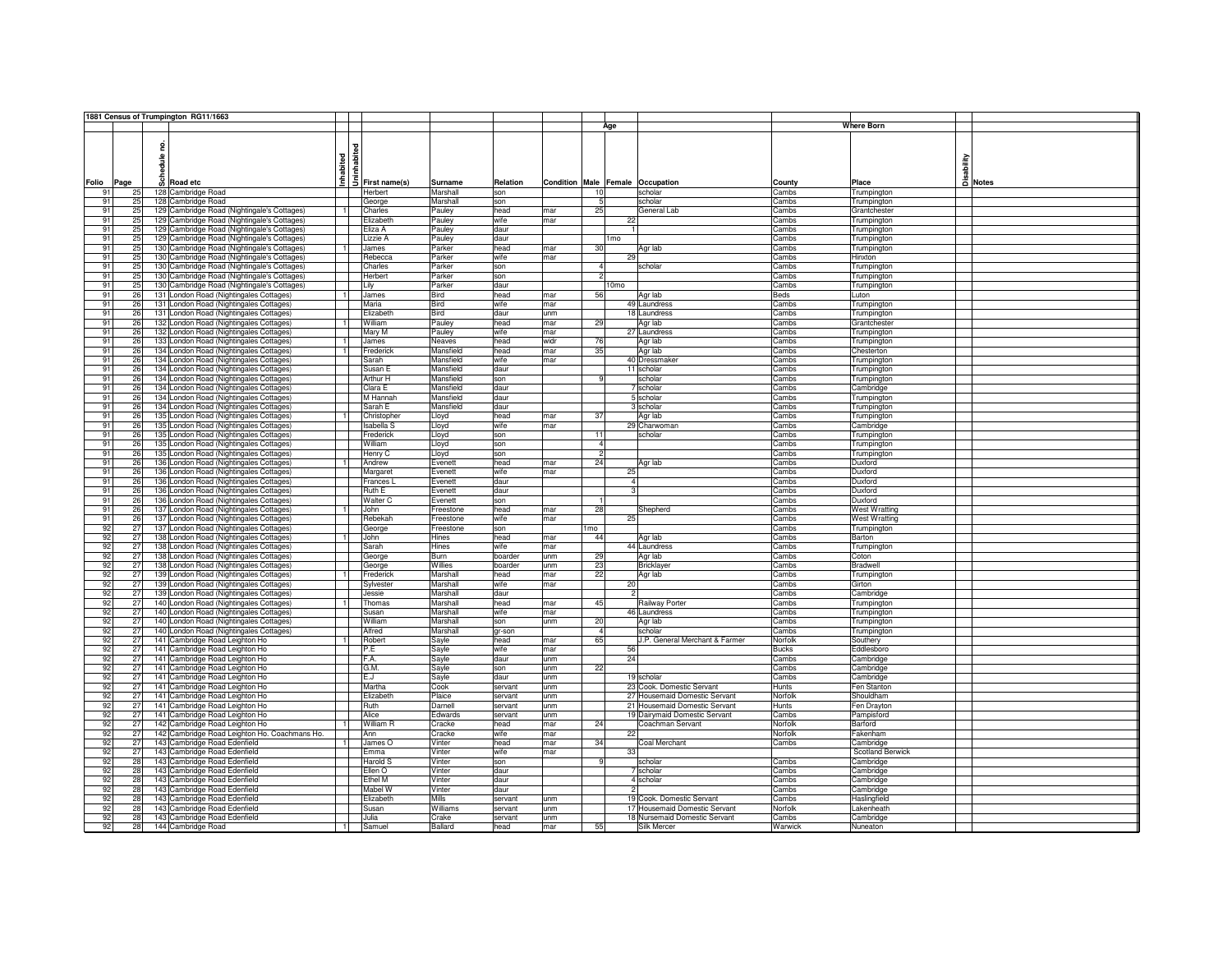|       |      | 1881 Census of Trumpington RG11/1663          |                |                           |           |          |      |               |                  |                                  |              |                      |         |
|-------|------|-----------------------------------------------|----------------|---------------------------|-----------|----------|------|---------------|------------------|----------------------------------|--------------|----------------------|---------|
|       |      |                                               |                |                           |           |          |      |               | Age              |                                  |              | <b>Where Born</b>    |         |
|       |      |                                               |                |                           |           |          |      |               |                  |                                  |              |                      |         |
|       |      |                                               |                |                           |           |          |      |               |                  |                                  |              |                      |         |
|       |      |                                               |                | dendered<br>First name(s) |           |          |      |               |                  |                                  |              |                      |         |
|       |      | å                                             |                |                           |           |          |      |               |                  |                                  |              |                      |         |
|       |      |                                               |                |                           |           |          |      |               |                  |                                  |              | sability             |         |
|       |      |                                               | nhabited       |                           |           |          |      |               |                  |                                  |              |                      |         |
| Folio | Page | co Road etc                                   |                |                           | Surname   | Relation |      |               |                  | Condition Male Female Occupation | County       | Place                | A Notes |
| 91    | 25   | 128 Cambridge Road                            |                | Herbert                   | Marshall  | son      |      | 10            |                  | scholar                          | Cambs        | Trumpington          |         |
| 91    | 25   | 128 Cambridge Road                            |                | George                    | Marshall  | son      |      |               |                  | scholar                          | Cambs        | Trumpington          |         |
| 91    | 25   | 129 Cambridge Road (Nightingale's Cottages)   | $\vert$ 1      | Charles                   | Pauley    | head     | mar  | 25            |                  | General Lab                      | Cambs        | Grantchester         |         |
| 91    | 25   | 129 Cambridge Road (Nightingale's Cottages)   |                | Elizabeth                 | Pauley    | wife     | mar  |               | 22               |                                  | Cambs        | Trumpington          |         |
| 91    | 25   | 129 Cambridge Road (Nightingale's Cottages)   |                | Eliza A                   | Pauley    | daur     |      |               |                  |                                  | Cambs        | Trumpington          |         |
| 91    | 25   | 129 Cambridge Road (Nightingale's Cottages)   |                | Lizzie A                  | Pauley    | daur     |      |               | 1 <sub>mo</sub>  |                                  | Cambs        | Trumpington          |         |
| 91    | 25   | 130 Cambridge Road (Nightingale's Cottages)   |                | James                     | Parker    | head     | mar  | 30            |                  | Agr lab                          | Cambs        | Trumpington          |         |
| 91    | 25   | 130 Cambridge Road (Nightingale's Cottages)   |                | Rebecca                   | Parker    | wife     | mar  |               | 29               |                                  | Cambs        | Hinxton              |         |
|       |      |                                               |                |                           |           |          |      |               |                  | scholar                          |              |                      |         |
| 91    | 25   | 130 Cambridge Road (Nightingale's Cottages)   |                | Charles                   | Parker    | son      |      |               |                  |                                  | Cambs        | Trumpington          |         |
| 91    | 25   | 130 Cambridge Road (Nightingale's Cottages)   |                | Herbert                   | Parker    | son      |      |               |                  |                                  | Cambs        | Trumpington          |         |
| 91    | 25   | 130 Cambridge Road (Nightingale's Cottages)   |                | Lily                      | Parker    | daur     |      |               | 10 <sub>mo</sub> |                                  | Cambs        | Trumpington          |         |
| 91    | 26   | 131 London Road (Nightingales Cottages)       |                | James                     | Bird      | head     | mar  | 56            |                  | Agr lab                          | Beds         | Luton                |         |
| 91    | 26   | 131 London Road (Nightingales Cottages)       |                | Maria                     | Bird      | wife     | mar  |               |                  | 49 Laundress                     | Cambs        | <b>Trumpington</b>   |         |
| 91    | 26   | 131 London Road (Nightingales Cottages)       |                | Elizabeth                 | Bird      | daur     | unm  |               |                  | 18 Laundress                     | Cambs        | Trumpington          |         |
| 91    | 26   | 132 London Road (Nightingales Cottages)       |                | William                   | Pauley    | head     | mar  | 29            |                  | Agr lab                          | Cambs        | Grantchester         |         |
| 91    | 26   | 132 London Road (Nightingales Cottages)       |                | Mary M                    | Pauley    | wife     | mar  |               |                  | 27 Laundress                     | Cambs        | Trumpington          |         |
| 91    | 26   | 133 London Road (Nightingales Cottages)       | $\overline{1}$ | James                     | Neaves    | head     | widr | 76            |                  | Agr lab                          | Cambs        | Trumpington          |         |
| 91    | 26   | 134 London Road (Nightingales Cottages)       | $\overline{1}$ | Frederick                 | Mansfield | head     | mar  | 35            |                  | Agr lab                          | Cambs        | Chesterton           |         |
| 91    | 26   | 134 London Road (Nightingales Cottages)       |                | Sarah                     | Mansfield | wife     | mar  |               |                  | 40 Dressmaker                    | Cambs        | Trumpington          |         |
| 91    | 26   |                                               |                |                           | Mansfield | daur     |      |               |                  | 11 scholar                       |              |                      |         |
|       |      | 134 London Road (Nightingales Cottages)       |                | Susan E                   |           |          |      |               |                  |                                  | Cambs        | Trumpington          |         |
| 91    | 26   | 134 London Road (Nightingales Cottages)       |                | Arthur H                  | Mansfield | son      |      |               |                  | scholar                          | Cambs        | Trumpington          |         |
| 91    | 26   | 134 London Road (Nightingales Cottages)       |                | Clara E                   | Mansfield | daur     |      |               |                  | 7 scholar                        | Cambs        | Cambridge            |         |
| 91    | 26   | 134 London Road (Nightingales Cottages)       |                | M Hannah                  | Mansfield | daur     |      |               |                  | 5 scholar                        | Cambs        | Trumpington          |         |
| 91    | 26   | 134 London Road (Nightingales Cottages)       |                | Sarah E                   | Mansfield | daur     |      |               |                  | 3 scholar                        | Cambs        | Trumpington          |         |
| 91    | 26   | 135 London Road (Nightingales Cottages)       |                | Christopher               | Lloyd     | head     | mar  | 37            |                  | Agr lab                          | Cambs        | Trumpington          |         |
| 91    | 26   | 135 London Road (Nightingales Cottages)       |                | <b>Isabella S</b>         | Lloyd     | wife     | mar  |               |                  | 29 Charwoman                     | Cambs        | Cambridge            |         |
| 91    | 26   | 135 London Road (Nightingales Cottages)       |                | Frederick                 | Lloyd     | son      |      | 11            |                  | scholar                          | Cambs        | Trumpington          |         |
| 91    | 26   | 135 London Road (Nightingales Cottages)       |                | William                   | Lloyd     | son      |      | $\mathbf{A}$  |                  |                                  | Cambs        | Trumpington          |         |
| 91    | 26   | 135 London Road (Nightingales Cottages)       |                | Henry C                   | Lloyd     | son      |      | $\mathcal{P}$ |                  |                                  | Cambs        | Trumpington          |         |
| 91    | 26   | 136 London Road (Nightingales Cottages)       | $\mathbf{1}$   | Andrew                    | Evenett   | head     | mar  | 24            |                  | Agr lab                          | Cambs        | Duxford              |         |
| 91    | 26   | 136 London Road (Nightingales Cottages)       |                | Margaret                  | Evenett   | wife     | mar  |               | 25               |                                  | Cambs        | Duxford              |         |
| 91    | 26   | 136 London Road (Nightingales Cottages)       |                | Frances I                 | Evenett   | daur     |      |               | 4                |                                  | Cambs        | Duxford              |         |
|       |      |                                               |                |                           |           |          |      |               |                  |                                  |              |                      |         |
| 91    | 26   | 136 London Road (Nightingales Cottages)       |                | Ruth E                    | Evenett   | daur     |      |               |                  |                                  | Cambs        | Duxford              |         |
| 91    | 26   | 136 London Road (Nightingales Cottages)       |                | Walter C                  | Evenett   | son      |      |               |                  |                                  | Cambs        | Duxford              |         |
| 91    | 26   | 137 London Road (Nightingales Cottages)       |                | John                      | Freestone | head     | mar  | 28            |                  | Shepherd                         | Cambs        | <b>West Wratting</b> |         |
| 91    | 26   | 137 London Road (Nightingales Cottages)       |                | Rebekah                   | Freestone | wife     | mar  |               | 25               |                                  | Cambs        | <b>West Wratting</b> |         |
| 92    | 27   | 137 London Road (Nightingales Cottages)       |                | George                    | Freestone | son      |      | mo            |                  |                                  | Cambs        | Trumpington          |         |
| 92    | 27   | 138 London Road (Nightingales Cottages)       |                | John                      | Hines     | head     | mar  | 44            |                  | Agr lab                          | Cambs        | Barton               |         |
| 92    | 27   | 138 London Road (Nightingales Cottages)       |                | Sarah                     | Hines     | wife     | mar  |               |                  | 44 Laundress                     | Cambs        | Trumpington          |         |
| 92    | 27   | 138 London Road (Nightingales Cottages)       |                | George                    | Burn      | boarder  | unm  | 29            |                  | Agr lab                          | Cambs        | Coton                |         |
| 92    | 27   | 138 London Road (Nightingales Cottages)       |                | George                    | Willies   | boarder  | lunm | 23            |                  | <b>Bricklayer</b>                | Cambs        | Bradwell             |         |
| 92    | 27   | 139 London Road (Nightingales Cottages)       | $\overline{1}$ | Frederick                 | Marshall  | head     | mar  | 22            |                  | Agr lab                          | Cambs        | Trumpington          |         |
| 92    | 27   | 139 London Road (Nightingales Cottages)       |                | Sylvester                 | Marshall  | wife     | mar  |               | 20               |                                  | Cambs        | Girton               |         |
| 92    | 27   | 139 London Road (Nightingales Cottages)       |                | Jessie                    | Marshall  | daur     |      |               | $\overline{2}$   |                                  | Cambs        | Cambridge            |         |
|       |      |                                               |                |                           |           |          |      |               |                  |                                  |              |                      |         |
| 92    | 27   | 140 London Road (Nightingales Cottages)       |                | Thomas                    | Marshall  | head     | mar  | 45            |                  | Railway Porter                   | Cambs        | Trumpington          |         |
| 92    | 27   | 140 London Road (Nightingales Cottages)       |                | Susan                     | Marshall  | wife     | mar  |               |                  | 46 Laundress                     | Cambs        | Trumpington          |         |
| 92    | 27   | 140 London Road (Nightingales Cottages)       |                | William                   | Marshall  | son      | unm  | 20            |                  | Agr lab                          | Cambs        | Trumpington          |         |
| 92    | 27   | 140 London Road (Nightingales Cottages)       |                | Alfred                    | Marshall  | gr-son   |      |               |                  | scholar                          | Cambs        | Trumpington          |         |
| 92    | 27   | 141 Cambridge Road Leighton Ho                |                | Robert                    | Sayle     | head     | mar  | 65            |                  | J.P. General Merchant & Farmer   | Norfolk      | Southery             |         |
| 92    | 27   | 141 Cambridge Road Leighton Ho                |                | P.E                       | Sayle     | wife     | mar  |               | 56               |                                  | <b>Bucks</b> | Eddlesboro           |         |
| 92    | 27   | 141 Cambridge Road Leighton Ho                |                | F.A.                      | Sayle     | daur     | unm  |               | 24               |                                  | Cambs        | Cambridge            |         |
| 92    | 27   | 141 Cambridge Road Leighton Ho                |                | G.M.                      | Sayle     | son      | unm  | 22            |                  |                                  | Cambs        | Cambridge            |         |
| 92    | 27   | 141 Cambridge Road Leighton Ho                |                | E.J                       | Sayle     | daur     | unm  |               |                  | 19 scholar                       | Cambs        | Cambridge            |         |
| 92    | 27   | 141 Cambridge Road Leighton Ho                |                | Martha                    | Cook      | servant  | unm  |               |                  | 23 Cook. Domestic Servant        | Hunts        | Fen Stanton          |         |
| 92    | 27   | 141 Cambridge Road Leighton Ho                |                | Elizabeth                 | Plaice    | servant  | unm  |               |                  | 27 Housemaid Domestic Servant    | Norfolk      | Shouldham            |         |
| 92    | 27   | 141 Cambridge Road Leighton Ho                |                | Ruth                      | Darnell   | servant  | unm  |               |                  | 21 Housemaid Domestic Servant    | Hunts        | Fen Drayton          |         |
| 92    | 27   | 141 Cambridge Road Leighton Ho                |                | Alice                     | Edwards   | servant  | unm  |               |                  | 19 Dairymaid Domestic Servant    | Cambs        | Pampisford           |         |
|       | 27   |                                               |                | William R                 | Cracke    | head     | mar  | 24            |                  | Coachman Servant                 | Norfolk      | Barford              |         |
| 92    |      | 142 Cambridge Road Leighton Ho                |                |                           |           |          |      |               |                  |                                  |              |                      |         |
| 92    | 27   | 142 Cambridge Road Leighton Ho. Coachmans Ho. |                | Ann                       | Cracke    | wife     | mar  |               | 22               |                                  | Norfolk      | Fakenham             |         |
| 92    | 27   | 143 Cambridge Road Edenfield                  | 11             | James O                   | Vinter    | head     | mar  | 34            |                  | Coal Merchant                    | Cambs        | Cambridge            |         |
| 92    | 27   | 143 Cambridge Road Edenfield                  |                | <b>Emma</b>               | Vinter    | wife     | mar  |               | 33               |                                  |              | Scotland Berwick     |         |
| 92    | 28   | 143 Cambridge Road Edenfield                  |                | Harold S                  | Vinter    | son      |      |               |                  | scholar                          | Cambs        | Cambridge            |         |
| 92    | 28   | 143 Cambridge Road Edenfield                  |                | Ellen O                   | Vinter    | daur     |      |               |                  | 7 scholar                        | Cambs        | ambridge             |         |
| 92    | 28   | 143 Cambridge Road Edenfield                  |                | Ethel M                   | Vinter    | daur     |      |               |                  | 4 scholar                        | Cambs        | ambridge             |         |
| 92    | 28   | 143 Cambridge Road Edenfield                  |                | Mabel W                   | Vinter    | daur     |      |               | $\mathfrak{p}$   |                                  | Cambs        | Cambridge            |         |
| 92    | 28   | 143 Cambridge Road Edenfield                  |                | Elizabeth                 | Mills     | servant  | unm  |               |                  | 19 Cook. Domestic Servant        | Cambs        | Haslingfield         |         |
| 92    | 28   | 143 Cambridge Road Edenfield                  |                | Susan                     | Williams  | servant  | unm  |               |                  | 17 Housemaid Domestic Servant    | Norfolk      | _akenheath           |         |
| 92    | 28   |                                               |                | Julia                     | Crake     | servant  | unm  |               |                  | 18 Nursemaid Domestic Servant    | Cambs        | Cambridge            |         |
|       |      | 143 Cambridge Road Edenfield                  |                |                           |           |          |      |               |                  |                                  |              |                      |         |
| 92    | 28   | 144 Cambridge Road                            |                | Samuel                    | Ballard   | head     | mar  | 55            |                  | Silk Mercer                      | Warwick      | Nuneaton             |         |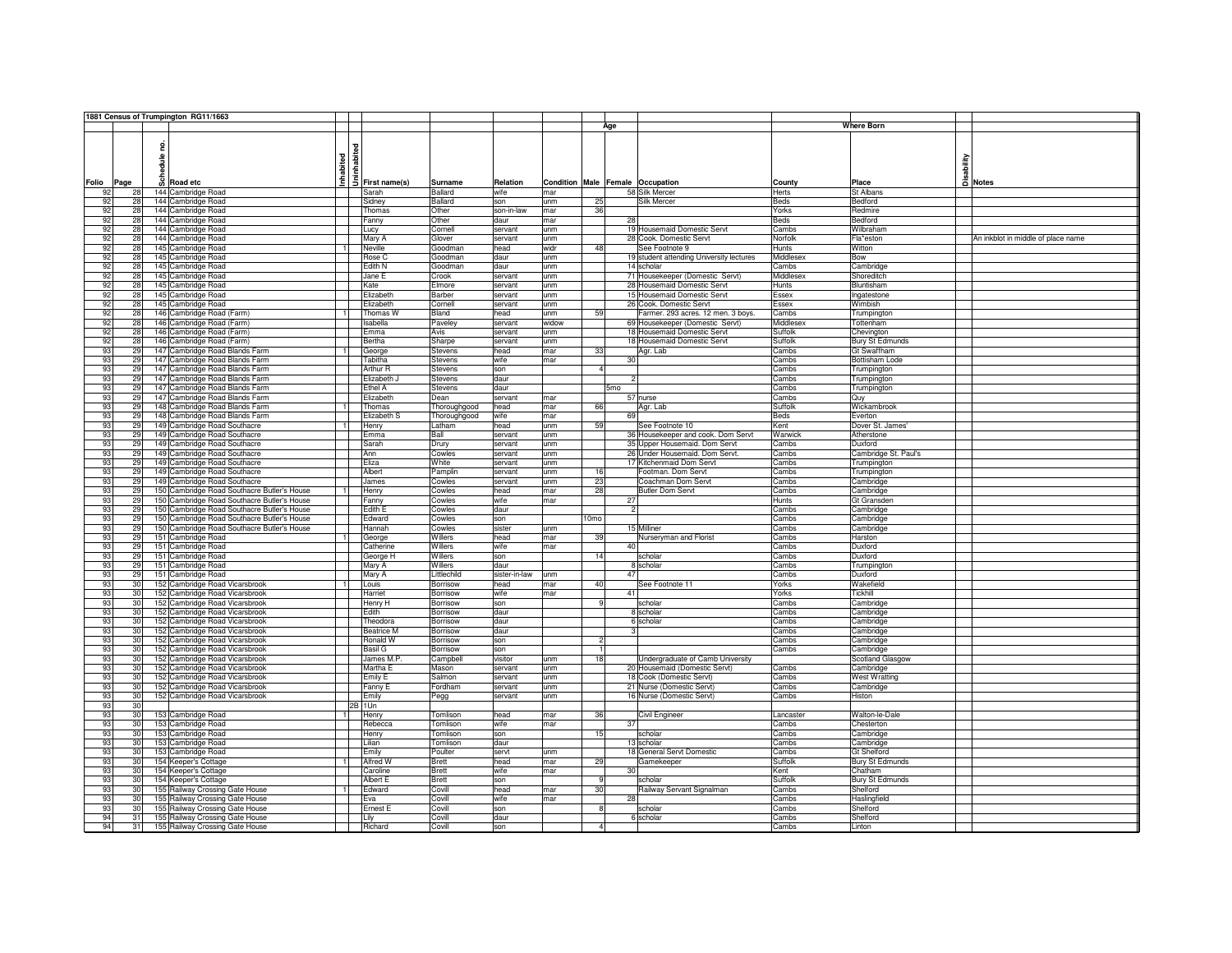|       |                 | 1881 Census of Trumpington RG11/1663        |                |                         |                |               |       |                 |                 |                                          |                  |                        |                                        |
|-------|-----------------|---------------------------------------------|----------------|-------------------------|----------------|---------------|-------|-----------------|-----------------|------------------------------------------|------------------|------------------------|----------------------------------------|
|       |                 |                                             |                |                         |                |               |       |                 | Age             |                                          |                  | <b>Where Born</b>      |                                        |
|       |                 |                                             |                |                         |                |               |       |                 |                 |                                          |                  |                        |                                        |
|       |                 |                                             |                |                         |                |               |       |                 |                 |                                          |                  |                        |                                        |
|       |                 | 혿                                           |                |                         |                |               |       |                 |                 |                                          |                  |                        |                                        |
|       |                 |                                             |                |                         |                |               |       |                 |                 |                                          |                  |                        |                                        |
|       |                 |                                             |                |                         |                |               |       |                 |                 |                                          |                  |                        |                                        |
|       |                 | edule                                       | Inhabited      |                         |                |               |       |                 |                 |                                          |                  |                        | Disability<br>Disability<br>Disability |
|       |                 |                                             |                |                         |                |               |       |                 |                 |                                          |                  |                        |                                        |
| Folio | Page            | និ<br>Road etc                              |                | $\bar{5}$ First name(s) | Surname        | Relation      |       |                 |                 | Condition Male Female Occupation         | County           | Place                  |                                        |
| 92    | 28              | 144 Cambridge Road                          |                | Sarah                   | Ballard        | wife          | mar   |                 |                 | 58 Silk Mercer                           | Herts            | St Albans              |                                        |
|       |                 |                                             |                |                         |                |               |       |                 |                 |                                          |                  |                        |                                        |
| 92    | 28              | 144 Cambridge Road                          |                | Sidney                  | Ballard        | son           | unm   | 25              |                 | Silk Mercer                              | <b>Beds</b>      | Bedford                |                                        |
| 92    | 28              | 144 Cambridge Road                          |                | Thomas                  | Other          | son-in-law    | mar   | 36              |                 |                                          | Yorks            | Redmire                |                                        |
| 92    | 28              | 144 Cambridge Road                          |                | Fanny                   | Other          | daur          | mar   |                 | 28              |                                          | <b>Beds</b>      | Bedford                |                                        |
| 92    | 28              | 144 Cambridge Road                          |                |                         | Cornell        | servant       | unm   |                 |                 | 19 Housemaid Domestic Servt              | Cambs            | Wilbraham              |                                        |
|       |                 |                                             |                | Lucy                    |                |               |       |                 |                 |                                          |                  |                        |                                        |
| 92    | 28              | 144 Cambridge Road                          |                | Mary A                  | Glover         | servant       | unm   |                 |                 | 28 Cook. Domestic Servt                  | Norfolk          | Fla*eston              | An inkblot in middle of place name     |
| 92    | 28              | 145 Cambridge Road                          | $\mathbf{1}$   | Neville                 | Goodman        | head          | widr  | 48              |                 | See Footnote 9                           | Hunts            | Witton                 |                                        |
| 92    | 28              | 145 Cambridge Road                          |                | Rose C                  | Goodman        | daur          | unm   |                 |                 | 19 student attending University lectures | Middlesex        | Bow                    |                                        |
| 92    | 28              | 145 Cambridge Road                          |                | Edith N                 | Goodman        | daur          | unm   |                 |                 | 14 scholar                               | Cambs            | Cambridge              |                                        |
|       |                 |                                             |                |                         |                |               |       |                 |                 |                                          |                  |                        |                                        |
| 92    | 28              | 145 Cambridge Road                          |                | Jane E                  | Crook          | servant       | unm   |                 |                 | 71 Housekeeper (Domestic Servt)          | Middlesex        | Shoreditch             |                                        |
| 92    | 28              | 145 Cambridge Road                          |                | Kate                    | Elmore         | servant       | unm   |                 |                 | 28 Housemaid Domestic Servt              | Hunts            | Bluntisham             |                                        |
| 92    | 28              | 145 Cambridge Road                          |                | Elizabeth               | Barber         | servant       | unm   |                 |                 | 15 Housemaid Domestic Servt              | Essex            | Ingatestone            |                                        |
| 92    | 28              | 145 Cambridge Road                          |                | Elizabeth               |                |               |       |                 |                 | 26 Cook. Domestic Servt                  |                  | Wimbish                |                                        |
|       |                 |                                             |                |                         | Cornell        | servant       | unm   |                 |                 |                                          | Essex            |                        |                                        |
| 92    | 28              | 146 Cambridge Road (Farm)                   |                | Thomas W                | Bland          | head          | unm   | 59              |                 | Farmer. 293 acres. 12 men. 3 boys.       | Cambs            | Trumpington            |                                        |
| 92    | 28              | 146 Cambridge Road (Farm)                   |                | Isabella                | Paveley        | servant       | widow |                 |                 | 69 Housekeeper (Domestic Servt)          | <b>Middlesex</b> | Tottenham              |                                        |
| 92    | 28              | 146 Cambridge Road (Farm)                   |                | Emma                    | Avis           | servant       | unm   |                 |                 | 18 Housemaid Domestic Servt              | Suffolk          | Chevington             |                                        |
| 92    | 28              | 146 Cambridge Road (Farm)                   |                | Bertha                  | Sharpe         | servant       | unm   |                 |                 | 18 Housemaid Domestic Servt              | Suffolk          | <b>Bury St Edmunds</b> |                                        |
|       |                 |                                             |                |                         |                |               |       |                 |                 |                                          |                  |                        |                                        |
| 93    | 29              | 147 Cambridge Road Blands Farm              |                | George                  | Stevens        | head          | mar   | 33              |                 | Agr. Lab                                 | Cambs            | Gt Swaffham            |                                        |
| 93    | 29              | 147 Cambridge Road Blands Farm              |                | Tabitha                 | Stevens        | wife          | mar   |                 | 30              |                                          | Cambs            | <b>Bottisham Lode</b>  |                                        |
| 93    | 29              | 147 Cambridge Road Blands Farm              |                | Arthur R                | <b>Stevens</b> | son           |       | $\overline{4}$  |                 |                                          | Cambs            | Trumpington            |                                        |
| 93    | 29              | 147 Cambridge Road Blands Farm              |                | Elizabeth               | Stevens        | daur          |       |                 |                 |                                          | Cambs            | Trumpington            |                                        |
|       |                 |                                             |                |                         |                |               |       |                 |                 |                                          |                  |                        |                                        |
| 93    | 29              | 147 Cambridge Road Blands Farm              |                | Ethel A                 | Stevens        | daur          |       |                 | 5 <sub>mo</sub> |                                          | Cambs            | Trumpington            |                                        |
| 93    | 29              | 147 Cambridge Road Blands Farm              |                | Elizabeth               | Dean           | servant       | mar   |                 |                 | 57 nurse                                 | Cambs            | Quy                    |                                        |
| 93    | 29              | 148 Cambridge Road Blands Farm              | $\overline{1}$ | Thomas                  | Thoroughgood   | head          | mar   | 66              |                 | Agr. Lab                                 | Suffolk          | Wickambrook            |                                        |
| 93    | 29              | 148 Cambridge Road Blands Farm              |                | Elizabeth S             | Thoroughgood   | wife          | mar   |                 | 69              |                                          | <b>Beds</b>      | Everton                |                                        |
|       |                 |                                             | $\overline{1}$ |                         |                |               |       |                 |                 |                                          |                  |                        |                                        |
| 93    | 29              | 149 Cambridge Road Southacre                |                | Henry                   | I atham        | head          | unm   | 59              |                 | See Footnote 10                          | Kent             | Dover St. James'       |                                        |
| 93    | 29              | 149 Cambridge Road Southacre                |                | Emma                    | Ball           | servant       | unm   |                 |                 | 36 Housekeeper and cook. Dom Servt       | Warwick          | Atherstone             |                                        |
| 93    | 29              | 149 Cambridge Road Southacre                |                | Sarah                   | Drury          | servant       | unm   |                 |                 | 35 Upper Housemaid. Dom Servt            | Cambs            | Duxford                |                                        |
| 93    | 29              | 149 Cambridge Road Southacre                |                | Ann                     | Cowles         | servant       | unm   |                 |                 | 26 Under Housemaid. Dom Servt.           | Cambs            | Cambridge St. Paul's   |                                        |
|       |                 |                                             |                |                         |                |               |       |                 |                 |                                          |                  |                        |                                        |
| 93    | 29              | 149 Cambridge Road Southacre                |                | Eliza                   | White          | servant       | unm   |                 |                 | 17 Kitchenmaid Dom Servt                 | Cambs            | Trumpington            |                                        |
| 93    | 29              | 149 Cambridge Road Southacre                |                | Albert                  | Pamplin        | servant       | unm   | 16              |                 | Footman. Dom Servt                       | Cambs            | Trumpington            |                                        |
| 93    | 29              | 149 Cambridge Road Southacre                |                | James                   | Cowles         | servant       | unm   | 23              |                 | Coachman Dom Servt                       | Cambs            | Cambridge              |                                        |
| 93    | 29              | 150 Cambridge Road Southacre Butler's House |                | Henry                   | Cowles         | head          | mar   | 28              |                 | <b>Butler Dom Servt</b>                  | Cambs            | Cambridge              |                                        |
| 93    | 29              | 150 Cambridge Road Southacre Butler's House |                | Fanny                   | Cowles         | wife          | mar   |                 | 27              |                                          | <b>Hunts</b>     | Gt Gransden            |                                        |
|       |                 |                                             |                |                         |                |               |       |                 |                 |                                          |                  |                        |                                        |
| 93    | 29              | 150 Cambridge Road Southacre Butler's House |                | Edith E                 | Cowles         | daur          |       |                 |                 | $\overline{a}$                           | Cambs            | Cambridge              |                                        |
| 93    | 29              | 150 Cambridge Road Southacre Butler's House |                | Edward                  | Cowles         | son           |       | 0 <sub>mo</sub> |                 |                                          | Cambs            | Cambridge              |                                        |
| 93    | 29              | 150 Cambridge Road Southacre Butler's House |                | Hannah                  | Cowles         | sister        | unm   |                 |                 | 15 Milliner                              | Cambs            | Cambridge              |                                        |
| 93    | 29              | 151 Cambridge Road                          |                | George                  | Willers        | head          | mar   | 39              |                 | Nurseryman and Florist                   | Cambs            | Harston                |                                        |
|       |                 |                                             |                |                         |                |               |       |                 |                 |                                          |                  |                        |                                        |
| 93    | 29              | 151 Cambridge Road                          |                | Catherine               | Willers        | wife          | mar   |                 | 40              |                                          | Cambs            | Duxford                |                                        |
| 93    | 29              | 151 Cambridge Road                          |                | George H                | Willers        | son           |       | 14              |                 | scholar                                  | Cambs            | Duxford                |                                        |
| 93    | 29              | 151 Cambridge Road                          |                | Mary A                  | Willers        | daur          |       |                 |                 | 8 scholar                                | Cambs            | Trumpington            |                                        |
| 93    | 29              | 151 Cambridge Road                          |                | Mary A                  | Littlechild    | sister-in-law | unm   |                 | 47              |                                          | Cambs            | Duxford                |                                        |
| 93    | 30              | 152 Cambridge Road Vicarsbrook              |                | Louis                   | Borrisow       | head          | mar   | 40              |                 | See Footnote 11                          | Yorks            | Wakefield              |                                        |
|       |                 |                                             |                |                         |                |               |       |                 |                 |                                          |                  |                        |                                        |
| 93    | 30              | 152 Cambridge Road Vicarsbrook              |                | Harriet                 | Borrisow       | wife          | mar   |                 | 41              |                                          | Yorks            | Tickhill               |                                        |
| 93    | 30              | 152 Cambridge Road Vicarsbrook              |                | Henry H                 | Borrisow       | son           |       |                 |                 | scholar                                  | Cambs            | Cambridge              |                                        |
| 93    | 30              | 152 Cambridge Road Vicarsbrook              |                | Edith                   | Borrisow       | daur          |       |                 |                 | 8 scholar                                | Cambs            | Cambridge              |                                        |
| 93    | 30              | 152 Cambridge Road Vicarsbrook              |                | Theodora                | Borrisow       | daur          |       |                 |                 | 6 scholar                                | Cambs            | Cambridge              |                                        |
| 93    | 30              | 152 Cambridge Road Vicarsbrook              |                | <b>Beatrice M</b>       | Borrisow       | daur          |       |                 |                 | 3                                        | Cambs            | Cambridge              |                                        |
|       |                 |                                             |                |                         |                |               |       |                 |                 |                                          |                  |                        |                                        |
| 93    | 30 <sup>1</sup> | 152 Cambridge Road Vicarsbrook              |                | Ronald W                | Borrisow       | son           |       | 2               |                 |                                          | Cambs            | Cambridge              |                                        |
| 93    | 30              | 152 Cambridge Road Vicarsbrook              |                | Basil G                 | Borrisow       | son           |       |                 |                 |                                          | Cambs            | Cambridge              |                                        |
| 93    | 30              | 152 Cambridge Road Vicarsbrook              |                | James M.P.              | Campbell       | visitor       | unm   | 18              |                 | Undergraduate of Camb University         |                  | Scotland Glasgow       |                                        |
| 93    | 30              | 152 Cambridge Road Vicarsbrook              |                | Martha E                | Mason          | servant       | unm   |                 |                 | 20 Housemaid (Domestic Servt)            | Cambs            | Cambridge              |                                        |
| 93    | 30              | 152 Cambridge Road Vicarsbrook              |                | Emily E                 | Salmon         | servant       | unm   |                 |                 | 18 Cook (Domestic Servt)                 | Cambs            | <b>West Wratting</b>   |                                        |
|       |                 |                                             |                |                         |                |               |       |                 |                 |                                          |                  |                        |                                        |
| 93    | 30              | 152 Cambridge Road Vicarsbrook              |                | Fanny E                 | Fordham        | servant       | unm   |                 |                 | 21 Nurse (Domestic Servt)                | Cambs            | Cambridge              |                                        |
| 93    | 30              | 152 Cambridge Road Vicarsbrook              |                | Emily                   | Pegg           | servant       | unm   |                 |                 | 16 Nurse (Domestic Servt)                | Cambs            | Histon                 |                                        |
| 93    | 30              |                                             |                | 2B 1Un                  |                |               |       |                 |                 |                                          |                  |                        |                                        |
| 93    | 30              | 153 Cambridge Road                          | Ŧ              | Henry                   | Tomlison       | head          | mar   | 36              |                 | Civil Engineer                           | Lancaster        | Walton-le-Dale         |                                        |
| 93    | 30              |                                             |                |                         | Tomlison       | wife          |       |                 | 37              |                                          |                  | Chesterton             |                                        |
|       |                 | 153 Cambridge Road                          |                | Rebecca                 |                |               | mar   |                 |                 |                                          | Cambs            |                        |                                        |
| 93    | 30              | 153 Cambridge Road                          |                | Henry                   | Tomlison       | son           |       | 15              |                 | scholar                                  | Cambs            | Cambridge              |                                        |
| 93    | 30              | 153 Cambridge Road                          |                | Lilian                  | Tomlison       | daur          |       |                 |                 | 13 scholar                               | Cambs            | Cambridge              |                                        |
| 93    | 30              | 153 Cambridge Road                          |                | Emily                   | Poulter        | servt         | unm   |                 |                 | 18 General Servt Domestic                | Cambs            | Gt Shelford            |                                        |
| 93    | 30              | 154 Keeper's Cottage                        |                | Alfred W                | <b>Brett</b>   | head          | mar   | 29              |                 | Gamekeeper                               | Suffolk          | <b>Bury St Edmunds</b> |                                        |
|       |                 |                                             |                |                         |                |               |       |                 |                 |                                          |                  |                        |                                        |
| 93    | 30              | 154 Keeper's Cottage                        |                | Caroline                | <b>Brett</b>   | wife          | mar   |                 | 30              |                                          | Kent             | Chatham                |                                        |
| 93    | 30              | 154 Keeper's Cottage                        |                | Albert E                | Brett          | son           |       | 9               |                 | scholar                                  | Suffolk          | Bury St Edmunds        |                                        |
| 93    | 30              | 155 Railway Crossing Gate House             |                | Edward                  | Covill         | head          | mar   | 30              |                 | Railway Servant Signalman                | Cambs            | Shelford               |                                        |
| 93    | 30              | 155 Railway Crossing Gate House             |                | Eva                     | Covill         | wife          | mar   |                 | 28              |                                          | Cambs            | Haslingfield           |                                        |
| 93    | 30              | 155 Railway Crossing Gate House             |                | <b>Frnest F</b>         | Covill         | son           |       | R               |                 | scholar                                  | Cambs            | Shelford               |                                        |
|       |                 |                                             |                |                         |                |               |       |                 |                 |                                          |                  |                        |                                        |
| 94    | 31              | 155 Railway Crossing Gate House             |                | Lily                    | Covill         | daur          |       |                 |                 | 6 scholar                                | Cambs            | Shelford               |                                        |
| 94    | 31              | 155 Railway Crossing Gate House             |                | Richard                 | Covill         | son           |       |                 |                 |                                          | Cambs            | Linton                 |                                        |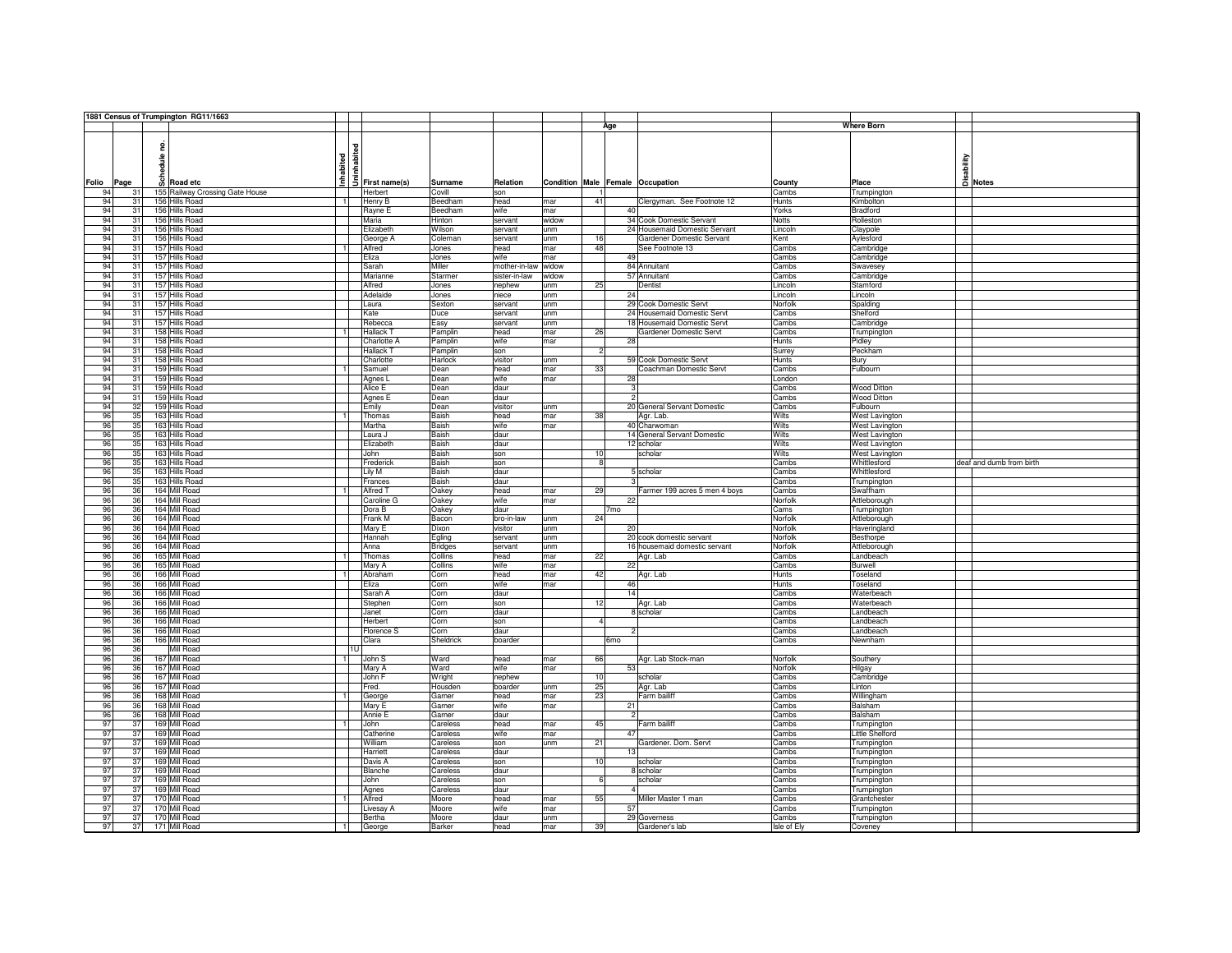|       |      | 1881 Census of Trumpington RG11/1663 |                |                           |                |                     |       |          |                         |                                  |                 |                    |                          |
|-------|------|--------------------------------------|----------------|---------------------------|----------------|---------------------|-------|----------|-------------------------|----------------------------------|-----------------|--------------------|--------------------------|
|       |      |                                      |                |                           |                |                     |       |          | Age                     |                                  |                 | <b>Where Born</b>  |                          |
|       |      |                                      |                |                           |                |                     |       |          |                         |                                  |                 |                    |                          |
|       |      | 읃                                    |                | <b>J</b><br>Trist name(s) |                |                     |       |          |                         |                                  |                 |                    |                          |
|       |      |                                      |                |                           |                |                     |       |          |                         |                                  |                 |                    |                          |
|       |      | sdule                                | Inhabited      |                           |                |                     |       |          |                         |                                  |                 | sability           |                          |
|       |      |                                      |                |                           |                |                     |       |          |                         |                                  |                 |                    |                          |
| Folio | Page | o Road etc                           |                |                           | Surname        | Relation            |       |          |                         | Condition Male Female Occupation | County          | Place              | a Notes                  |
| 94    | 31   | 155 Railway Crossing Gate House      |                | Herbert                   | Covill         | son                 |       |          |                         |                                  | Cambs           | Trumpington        |                          |
|       |      | 156 Hills Road                       |                |                           | Beedham        | head                |       | 41       |                         |                                  | Hunts           | Kimbolton          |                          |
| 94    | 31   |                                      |                | Henry B                   |                |                     | mar   |          |                         | Clergyman. See Footnote 12       |                 |                    |                          |
| 94    | 31   | 156 Hills Road                       |                | Rayne E                   | Beedham        | wife                | mar   |          | 40                      |                                  | Yorks           | <b>Bradford</b>    |                          |
| 94    | 31   | 156 Hills Road                       |                | Maria                     | <b>Hinton</b>  | servant             | widow |          |                         | 34 Cook Domestic Servant         | <b>Notts</b>    | Rolleston          |                          |
| 94    | 31   | 156 Hills Road                       |                | Elizabeth                 | Wilson         | servant             | unm   |          |                         | 24 Housemaid Domestic Servant    | Lincoln         | Claypole           |                          |
| 94    | 31   | 156 Hills Road                       |                | George A                  | Coleman        | servant             | unm   | 16       |                         | Gardener Domestic Servant        | Kent            | Aylesford          |                          |
| 94    | 31   | 157 Hills Road                       |                | Alfred                    | Jones          | head                | mar   | 48       |                         | See Footnote 13                  | Cambs           | Cambridge          |                          |
| 94    | 31   | 157 Hills Road                       |                | Eliza                     | Jones          | wife                | mar   |          | 49                      |                                  | Cambs           | Cambridge          |                          |
| 94    | 31   | 157 Hills Road                       |                | Sarah                     | Miller         | mother-in-law widow |       |          |                         | 84 Annuitant                     | Cambs           | Swavesey           |                          |
| 94    | 31   | 157 Hills Road                       |                | Marianne                  | Starmer        | sister-in-law       | widow |          |                         | 57 Annuitant                     | Cambs           | Cambridge          |                          |
| 94    | 31   | 157 Hills Road                       |                | Alfred                    | Jones          | nephew              | unm   | 25       |                         | Dentist                          | Lincoln         | Stamford           |                          |
| 94    | 31   | 157 Hills Road                       |                | Adelaide                  | Jones          | niece               | unm   |          | 24                      |                                  | Lincoln         | Lincoln            |                          |
| 94    | 31   | 157 Hills Road                       |                | Laura                     | Sexton         | servant             | unm   |          |                         | 29 Cook Domestic Servt           | Norfolk         | Spalding           |                          |
| 94    | 31   | 157 Hills Road                       |                | Kate                      | Duce           | servant             | unm   |          |                         | 24 Housemaid Domestic Servt      | Cambs           | Shelford           |                          |
| 94    | 31   | 157 Hills Road                       |                | Rebecca                   | Easy           | servant             | unm   |          |                         | 18 Housemaid Domestic Servt      | Cambs           | Cambridge          |                          |
| 94    | 31   | 158 Hills Road                       | $\overline{1}$ | <b>Hallack T</b>          | Pamplin        | head                | mar   | 26       |                         | Gardener Domestic Servt          | Cambs           | Trumpington        |                          |
| 94    | 31   | 158 Hills Road                       |                | Charlotte A               |                | wife                | mar   |          | 28                      |                                  | Hunts           | Pidley             |                          |
| 94    | 31   | 158 Hills Road                       |                | Hallack T                 | Pamplin        | son                 |       |          |                         |                                  |                 | Peckham            |                          |
|       |      |                                      |                |                           | Pamplin        |                     |       |          |                         |                                  | Surrey          |                    |                          |
| 94    | 31   | 158 Hills Road                       |                | Charlotte                 | Harlock        | visitor             | unm   |          |                         | 59 Cook Domestic Servt           | Hunts           | Bury               |                          |
| 94    | 31   | 159 Hills Road                       |                | Samuel                    | Dean           | head                | mar   | 33       |                         | Coachman Domestic Servt          | Cambs           | Fulbourn           |                          |
| 94    | 31   | 159 Hills Road                       |                | Agnes L                   | Dean           | wife                | mar   |          | 28                      |                                  | London          |                    |                          |
| 94    | 31   | 159 Hills Road                       |                | Alice E                   | Dean           | daur                |       |          | $\overline{\mathbf{3}}$ |                                  | Cambs           | <b>Wood Ditton</b> |                          |
| 94    | 31   | 159 Hills Road                       |                | Agnes E                   | Dean           | daur                |       |          |                         | $\overline{a}$                   | Cambs           | <b>Wood Ditton</b> |                          |
| 94    | 32   | 159 Hills Road                       |                | Emily                     | Dean           | visitor             | unm   |          |                         | 20 General Servant Domestic      | Cambs           | Fulbourn           |                          |
| 96    | 35   | 163 Hills Road                       |                | Thomas                    | Baish          | head                | mar   | 38       |                         | Agr. Lab.                        | Wilts           | West Lavington     |                          |
| 96    | 35   | 163 Hills Road                       |                | Martha                    | Baish          | wife                | mar   |          |                         | 40 Charwoman                     | Wilts           | West Lavington     |                          |
| 96    | 35   | 163 Hills Road                       |                | Laura J                   | Baish          | daur                |       |          |                         | 14 General Servant Domestic      | Wilts           | West Lavington     |                          |
| 96    | 35   | 163 Hills Road                       |                | Elizabeth                 | Baish          | daur                |       |          |                         | 12 scholar                       | Wilts           | West Lavington     |                          |
| 96    | 35   | 163 Hills Road                       |                | John                      | Baish          | son                 |       | 10       |                         | scholar                          | Wilts           | West Lavington     |                          |
| 96    | 35   | 163 Hills Road                       |                | Frederick                 | Baish          | son                 |       |          |                         |                                  | Cambs           | Whittlesford       | deaf and dumb from birth |
| 96    | 35   | 163 Hills Road                       |                | Lily M                    | Baish          | daur                |       |          |                         | 5 scholar                        | Cambs           | Whittlesford       |                          |
| 96    | 35   | 163 Hills Road                       |                | Frances                   | Baish          | daur                |       |          |                         |                                  | Cambs           | Trumpington        |                          |
| 96    | 36   | 164 Mill Road                        |                | Alfred T                  | Oakey          | head                | mar   | 29       |                         | Farmer 199 acres 5 men 4 boys    | Cambs           | Swaffham           |                          |
| 96    | 36   | 164 Mill Road                        |                | Caroline G                |                | wife                | mar   |          | 22                      |                                  | Norfolk         |                    |                          |
| 96    | 36   | 164 Mill Road                        |                |                           | Oakey          |                     |       |          |                         |                                  |                 | Attleborough       |                          |
|       |      | 164 Mill Road                        |                | Dora B                    | Oakey          | daur                |       |          | 7mo                     |                                  | Cams<br>Norfolk | Trumpington        |                          |
| 96    | 36   |                                      |                | Frank M                   | Bacon          | bro-in-law          | unm   | 24       |                         |                                  |                 | Attleborough       |                          |
| 96    | 36   | 164 Mill Road                        |                | Mary E                    | <b>Dixon</b>   | visitor             | unm   |          | 20                      |                                  | Norfolk         | Haveringland       |                          |
| 96    | 36   | 164 Mill Road                        |                | Hannah                    | Egling         | servant             | unm   |          |                         | 20 cook domestic servant         | Norfolk         | Besthorpe          |                          |
| 96    | 36   | 164 Mill Road                        |                | Anna                      | <b>Bridges</b> | servant             | unm   |          |                         | 16 housemaid domestic servant    | Norfolk         | Attleborough       |                          |
| 96    | 36   | 165 Mill Road                        |                | Thomas                    | Collins        | head                | mar   | 22       |                         | Agr. Lab                         | Cambs           | Landbeach          |                          |
| 96    | 36   | 165 Mill Road                        |                | Mary A                    | Collins        | wife                | mar   |          | 22                      |                                  | Cambs           | Burwell            |                          |
| 96    | 36   | 166 Mill Road                        | $\overline{1}$ | Abraham                   | Corn           | head                | mar   | 42       |                         | Agr. Lab                         | Hunts           | Toseland           |                          |
| 96    | 36   | 166 Mill Road                        |                | Eliza                     | Corn           | wife                | mar   |          | 46                      |                                  | <b>Hunts</b>    | Toseland           |                          |
| 96    | 36   | 166 Mill Road                        |                | Sarah A                   | Corn           | daur                |       |          | 14                      |                                  | Cambs           | Waterbeach         |                          |
| 96    | 36   | 166 Mill Road                        |                | Stephen                   | Corn           | son                 |       | 12       |                         | Agr. Lab                         | Cambs           | Waterbeach         |                          |
| 96    | 36   | 166 Mill Road                        |                | Janet                     | Corn           | daur                |       |          |                         | 8 scholar                        | Cambs           | Landbeach          |                          |
| 96    | 36   | 166 Mill Road                        |                | Herbert                   | Corn           | son                 |       | $\Delta$ |                         |                                  | Cambs           | Landbeach          |                          |
| 96    | 36   | 166 Mill Road                        |                | Florence S                | Corn           | daur                |       |          |                         |                                  | Cambs           | Landbeach          |                          |
| 96    | 36   | 166 Mill Road                        |                | Clara                     | Sheldrick      | boarder             |       |          | 6 <sub>mo</sub>         |                                  | Cambs           | Newnham            |                          |
| 96    | 36   | Mill Road                            |                | 1U                        |                |                     |       |          |                         |                                  |                 |                    |                          |
| 96    | 36   | 167 Mill Road                        |                | John S                    | Ward           | head                | mar   | 66       |                         | Agr. Lab Stock-man               | Norfolk         | Southery           |                          |
| 96    | 36   | 167 Mill Road                        |                | Mary A                    | Ward           | wife                | mar   |          | 53                      |                                  | Norfolk         | Hilgay             |                          |
| 96    | 36   | 167 Mill Road                        |                | John F                    | Wright         | nephew              |       | 10       |                         | scholar                          | Cambs           | Cambridge          |                          |
| 96    | 36   | 167 Mill Road                        |                | Fred.                     | Housden        | boarder             | unm   | 25       |                         | Agr. Lab                         | Cambs           | Linton             |                          |
| 96    | 36   | 168 Mill Road                        | $\overline{1}$ | George                    | Gamer          | head                | mar   | 23       |                         | Farm bailiff                     | Cambs           | Willingham         |                          |
| 96    | 36   | 168 Mill Road                        |                | Mary E                    | Garner         | wife                | mar   |          | 21                      |                                  | Cambs           | Balsham            |                          |
| 96    | 36   | 168 Mill Road                        |                | Annie E                   |                | daur                |       |          | 2                       |                                  | Cambs           | Balsham            |                          |
|       |      |                                      |                |                           | Garner         |                     |       |          |                         |                                  |                 |                    |                          |
| 97    | 37   | 169 Mill Road                        |                | John                      | Careless       | head                | mar   | 45       |                         | Farm bailiff                     | Cambs           | Trumpington        |                          |
| 97    | 37   | 169 Mill Road                        |                | Catherine                 | Careless       | wife                | mar   |          | 47                      |                                  | Cambs           | Little Shelford    |                          |
| 97    | 37   | 169 Mill Road                        |                | William                   | Careless       | son                 | unm   | 21       |                         | Gardener. Dom. Servt             | Cambs           | Trumpington        |                          |
| 97    | 37   | 169 Mill Road                        |                | Harriett                  | Careless       | daur                |       |          | 13                      |                                  | Cambs           | Trumpington        |                          |
| 97    | 37   | 169 Mill Road                        |                | Davis A                   | Careless       | son                 |       | 10       |                         | scholar                          | Cambs           | Trumpington        |                          |
| 97    | 37   | 169 Mill Road                        |                | Blanche                   | Careless       | daur                |       |          |                         | 8 scholar                        | Cambs           | Trumpington        |                          |
| 97    | 37   | 169 Mill Road                        |                | John                      | Careless       | son                 |       |          |                         | scholar                          | Cambs           | Trumpington        |                          |
| 97    | 37   | 169 Mill Road                        |                | Agnes                     | Careless       | daur                |       |          |                         |                                  | Cambs           | Trumpington        |                          |
| 97    | 37   | 170 Mill Road                        | $\overline{1}$ | Alfred                    | Moore          | head                | mar   | 55       |                         | Miller Master 1 man              | Cambs           | Grantchester       |                          |
| 97    | 37   | 170 Mill Road                        |                | Livesay A                 | Moore          | wife                | mar   |          | 57                      |                                  | Cambs           | Trumpington        |                          |
| 97    | 37   | 170 Mill Road                        |                | Bertha                    | Moore          | daur                | unm   |          |                         | 29 Governess                     | Cambs           | Trumpington        |                          |
|       |      |                                      |                | George                    | Barker         | head                | mar   | 39       |                         | Gardener's lab                   | Isle of Ely     | Coveney            |                          |